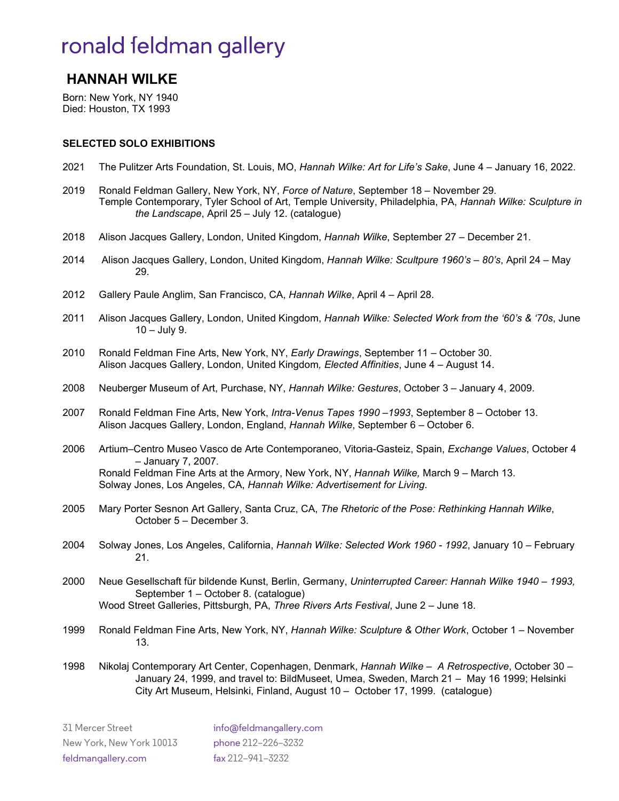# ronald feldman gallery

# **HANNAH WILKE**

Born: New York, NY 1940 Died: Houston, TX 1993

# **SELECTED SOLO EXHIBITIONS**

- 2021 The Pulitzer Arts Foundation, St. Louis, MO, *Hannah Wilke: Art for Life's Sake*, June 4 January 16, 2022.
- 2019 Ronald Feldman Gallery, New York, NY, *Force of Nature*, September 18 November 29. Temple Contemporary, Tyler School of Art, Temple University, Philadelphia, PA, *Hannah Wilke: Sculpture in the Landscape*, April 25 – July 12. (catalogue)
- 2018 Alison Jacques Gallery, London, United Kingdom, *Hannah Wilke*, September 27 December 21.
- 2014 Alison Jacques Gallery, London, United Kingdom, *Hannah Wilke: Scultpure 1960's – 80's*, April 24 May 29.
- 2012 Gallery Paule Anglim, San Francisco, CA, *[Hannah Wilke](http://www.feldmangallery.com/pages/artistsrffa/artwil01.html)*, April 4 April 28.
- 2011 Alison Jacques Gallery, London, United Kingdom, *Hannah Wilke: Selected Work from the '60's & '70s*, June  $10 -$  July 9.
- 2010 Ronald Feldman Fine Arts, New York, NY, *Early Drawings*, September 11 October 30. Alison Jacques Gallery, London, United Kingdom*, Elected Affinities*, June 4 – August 14.
- 2008 Neuberger Museum of Art, Purchase, NY, *Hannah Wilke: Gestures*, October 3 January 4, 2009.
- 2007 Ronald Feldman Fine Arts, New York, *Intra-Venus Tapes 1990 –1993*, September 8 October 13. Alison Jacques Gallery, London, England, *Hannah Wilke*, September 6 – October 6.
- 2006 Artium–Centro Museo Vasco de Arte Contemporaneo, Vitoria-Gasteiz, Spain, *Exchange Values*, October 4 – January 7, 2007. Ronald Feldman Fine Arts at the Armory, New York, NY, *Hannah Wilke,* March 9 – March 13. Solway Jones, Los Angeles, CA, *Hannah Wilke: Advertisement for Living*.
- 2005 Mary Porter Sesnon Art Gallery, Santa Cruz, CA, *The Rhetoric of the Pose: Rethinking Hannah Wilke*, October 5 – December 3.
- 2004 Solway Jones, Los Angeles, California, *Hannah Wilke: Selected Work 1960 - 1992*, January 10 February 21.
- 2000 Neue Gesellschaft für bildende Kunst, Berlin, Germany, *Uninterrupted Career: Hannah Wilke 1940 – 1993,* September 1 – October 8. (catalogue) Wood Street Galleries, Pittsburgh, PA, *Three Rivers Arts Festival*, June 2 – June 18.
- 1999 Ronald Feldman Fine Arts, New York, NY, *Hannah Wilke: Sculpture & Other Work*, October 1 November 13.
- 1998 Nikolaj Contemporary Art Center, Copenhagen, Denmark, *Hannah Wilke A Retrospective*, October 30 January 24, 1999, and travel to: BildMuseet, Umea, Sweden, March 21 – May 16 1999; Helsinki City Art Museum, Helsinki, Finland, August 10 – October 17, 1999. (catalogue)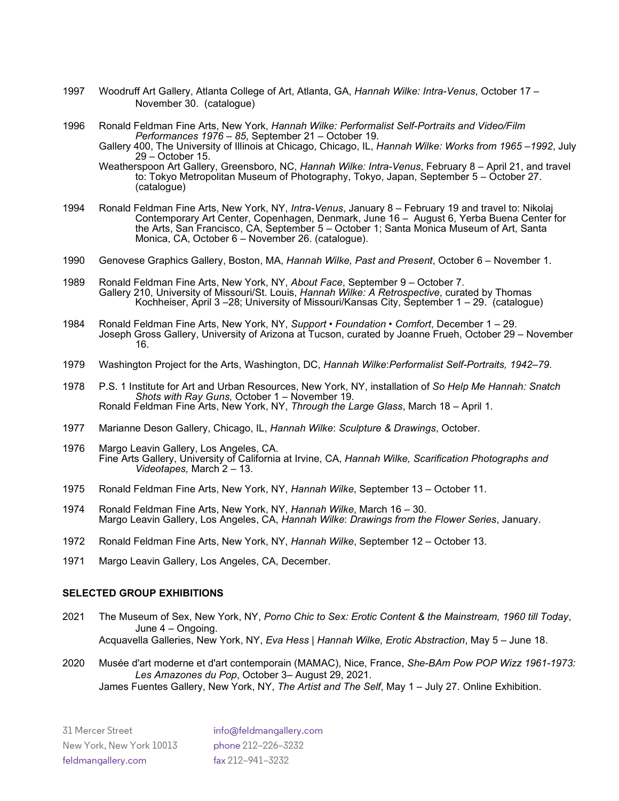- 1997 Woodruff Art Gallery, Atlanta College of Art, Atlanta, GA, *Hannah Wilke: Intra-Venus*, October 17 November 30. (catalogue)
- 1996 Ronald Feldman Fine Arts, New York, *Hannah Wilke: Performalist Self-Portraits and Video/Film Performances 1976* – *85*, September 21 – October 19.

Gallery 400, The University of Illinois at Chicago, Chicago, IL, *Hannah Wilke: Works from 1965* –*1992*, July 29 – October 15.

Weatherspoon Art Gallery, Greensboro, NC, *Hannah Wilke: Intra-Venus*, February 8 – April 21, and travel to: Tokyo Metropolitan Museum of Photography, Tokyo, Japan, September 5 – October 27. (catalogue)

- 1994 Ronald Feldman Fine Arts, New York, NY, *Intra-Venus*, January 8 February 19 and travel to: Nikolaj Contemporary Art Center, Copenhagen, Denmark, June 16 – August 6, Yerba Buena Center for the Arts, San Francisco, CA, September 5 – October 1; Santa Monica Museum of Art, Santa Monica, CA, October 6 – November 26. (catalogue).
- 1990 Genovese Graphics Gallery, Boston, MA, *Hannah Wilke, Past and Present*, October 6 November 1.
- 1989 Ronald Feldman Fine Arts, New York, NY, *About Face*, September 9 October 7. Gallery 210, University of Missouri/St. Louis, *Hannah Wilke: A Retrospective*, curated by Thomas Kochheiser, April 3 –28; University of Missouri/Kansas City, September 1 – 29. (catalogue)
- 1984 Ronald Feldman Fine Arts, New York, NY, *Support Foundation Comfort*, December 1 29. Joseph Gross Gallery, University of Arizona at Tucson, curated by Joanne Frueh, October 29 – November 16.
- 1979 Washington Project for the Arts, Washington, DC, *Hannah Wilke*:*Performalist Self-Portraits, 1942–79*.
- 1978 P.S. 1 Institute for Art and Urban Resources, New York, NY, installation of *So Help Me Hannah: Snatch Shots with Ray Guns,* October 1 – November 19. Ronald Feldman Fine Arts, New York, NY, *Through the Large Glass*, March 18 – April 1.
- 1977 Marianne Deson Gallery, Chicago, IL, *Hannah Wilke*: *Sculpture & Drawings*, October.
- 1976 Margo Leavin Gallery, Los Angeles, CA. Fine Arts Gallery, University of California at Irvine, CA, *Hannah Wilke, Scarification Photographs and Videotapes,* March 2 – 13.
- 1975 Ronald Feldman Fine Arts, New York, NY, *Hannah Wilke*, September 13 October 11.
- 1974 Ronald Feldman Fine Arts, New York, NY, *Hannah Wilke*, March 16 30. Margo Leavin Gallery, Los Angeles, CA, *Hannah Wilke*: *Drawings from the Flower Series*, January.
- 1972 Ronald Feldman Fine Arts, New York, NY, *Hannah Wilke*, September 12 October 13.
- 1971 Margo Leavin Gallery, Los Angeles, CA, December.

#### **SELECTED GROUP EXHIBITIONS**

- 2021 The Museum of Sex, New York, NY, *Porno Chic to Sex: Erotic Content & the Mainstream, 1960 till Today*, June 4 – Ongoing. Acquavella Galleries, New York, NY, *Eva Hess | Hannah Wilke, Erotic Abstraction*, May 5 – June 18.
- 2020 Musée d'art moderne et d'art contemporain (MAMAC), Nice, France, *She-BAm Pow POP Wizz 1961-1973: Les Amazones du Pop*, October 3– August 29, 2021. James Fuentes Gallery, New York, NY, *The Artist and The Self*, May 1 – July 27. Online Exhibition.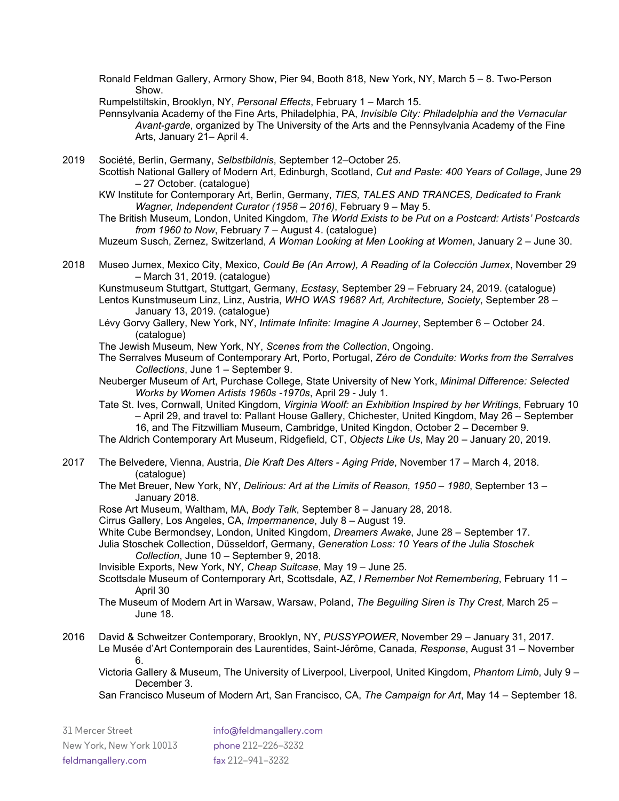Ronald Feldman Gallery, Armory Show, Pier 94, Booth 818, New York, NY, March 5 – 8. Two-Person Show.

Rumpelstiltskin, Brooklyn, NY, *Personal Effects*, February 1 – March 15.

Pennsylvania Academy of the Fine Arts, Philadelphia, PA, *Invisible City: Philadelphia and the Vernacular Avant-garde*, organized by The University of the Arts and the Pennsylvania Academy of the Fine Arts, January 21– April 4.

2019 Société, Berlin, Germany, *Selbstbildnis*, September 12–October 25. Scottish National Gallery of Modern Art, Edinburgh, Scotland, *Cut and Paste: 400 Years of Collage*, June 29 – 27 October. (catalogue)

KW Institute for Contemporary Art, Berlin, Germany, *TIES, TALES AND TRANCES, Dedicated to Frank Wagner, Independent Curator (1958 – 2016)*, February 9 – May 5.

The British Museum, London, United Kingdom, *The World Exists to be Put on a Postcard: Artists' Postcards from 1960 to Now*, February 7 – August 4. (catalogue)

Muzeum Susch, Zernez, Switzerland, *A Woman Looking at Men Looking at Women*, January 2 – June 30.

2018 Museo Jumex, Mexico City, Mexico, *Could Be (An Arrow), A Reading of la Colección Jumex*, November 29 – March 31, 2019. (catalogue)

Kunstmuseum Stuttgart, Stuttgart, Germany, *Ecstasy*, September 29 – February 24, 2019. (catalogue)

Lentos Kunstmuseum Linz, Linz, Austria, *WHO WAS 1968? Art, Architecture, Society*, September 28 – January 13, 2019. (catalogue)

- Lévy Gorvy Gallery, New York, NY, *Intimate Infinite: Imagine A Journey*, September 6 October 24. (catalogue)
- The Jewish Museum, New York, NY, *Scenes from the Collection*, Ongoing.
- The Serralves Museum of Contemporary Art, Porto, Portugal, *Zéro de Conduite: Works from the Serralves Collections*, June 1 – September 9.
- Neuberger Museum of Art, Purchase College, State University of New York, *Minimal Difference: Selected Works by Women Artists 1960s -1970s*, April 29 - July 1.
- Tate St. Ives, Cornwall, United Kingdom, *Virginia Woolf: an Exhibition Inspired by her Writings*, February 10 – April 29, and travel to: Pallant House Gallery, Chichester, United Kingdom, May 26 – September

16, and The Fitzwilliam Museum, Cambridge, United Kingdon, October 2 – December 9.

The Aldrich Contemporary Art Museum, Ridgefield, CT, *Objects Like Us*, May 20 – January 20, 2019.

- 2017 The Belvedere, Vienna, Austria, *Die Kraft Des Alters - Aging Pride*, November 17 March 4, 2018. (catalogue)
	- The Met Breuer, New York, NY, *Delirious: Art at the Limits of Reason, 1950 – 1980*, September 13 January 2018.
	- Rose Art Museum, Waltham, MA, *Body Talk*, September 8 January 28, 2018.

Cirrus Gallery, Los Angeles, CA, *Impermanence*, July 8 – August 19.

- White Cube Bermondsey, London, United Kingdom, *Dreamers Awake*, June 28 September 17.
- Julia Stoschek Collection, Düsseldorf, Germany, *Generation Loss: 10 Years of the Julia Stoschek Collection*, June 10 – September 9, 2018.
- Invisible Exports, New York, NY*, Cheap Suitcase*, May 19 June 25.
- Scottsdale Museum of Contemporary Art, Scottsdale, AZ, *I Remember Not Remembering*, February 11 April 30
- The Museum of Modern Art in Warsaw, Warsaw, Poland, *The Beguiling Siren is Thy Crest*, March 25 June 18.
- 2016 David & Schweitzer Contemporary, Brooklyn, NY, *PUSSYPOWER*, November 29 January 31, 2017. Le Musée d'Art Contemporain des Laurentides, Saint-Jérôme, Canada, *Response*, August 31 – November 6.
	- Victoria Gallery & Museum, The University of Liverpool, Liverpool, United Kingdom, *Phantom Limb*, July 9 December 3.
	- San Francisco Museum of Modern Art, San Francisco, CA, *The Campaign for Art*, May 14 September 18.

| 31 Mercer Street         | info@feldmangallery.com        |
|--------------------------|--------------------------------|
| New York, New York 10013 | phone 212-226-3232             |
| feldmangallery.com       | $\frac{1}{2}$ fax 212-941-3232 |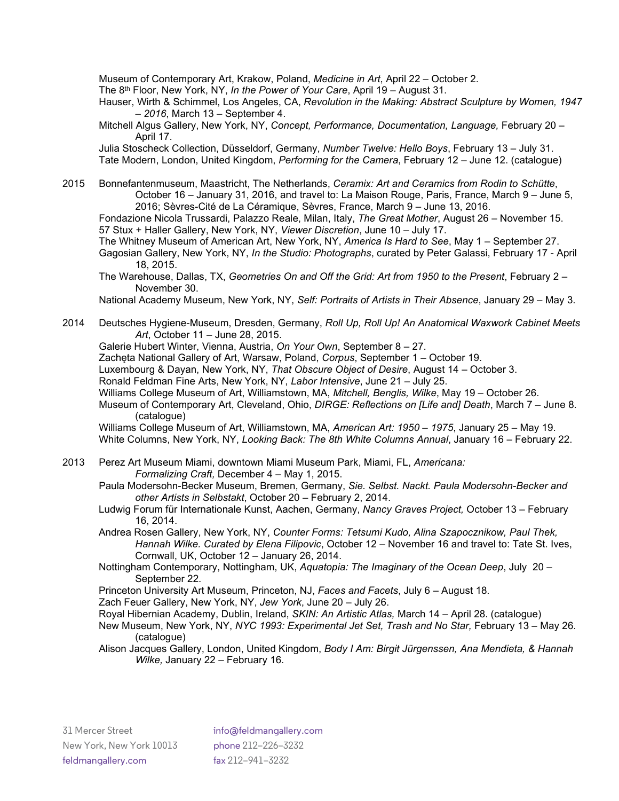Museum of Contemporary Art, Krakow, Poland, *Medicine in Art*, April 22 – October 2.

The 8th Floor, New York, NY, *In the Power of Your Care*, April 19 – August 31.

Hauser, Wirth & Schimmel, Los Angeles, CA, *Revolution in the Making: Abstract Sculpture by Women, 1947 – 2016*, March 13 – September 4.

Mitchell Algus Gallery, New York, NY, *Concept, Performance, Documentation, Language,* February 20 – April 17.

Julia Stoscheck Collection, Düsseldorf, Germany, *Number Twelve: Hello Boys*, February 13 – July 31. Tate Modern, London, United Kingdom, *Performing for the Camera*, February 12 – June 12. (catalogue)

2015 Bonnefantenmuseum, Maastricht, The Netherlands, *Ceramix: Art and Ceramics from Rodin to Schütte*, October 16 – January 31, 2016, and travel to: La Maison Rouge, Paris, France, March 9 – June 5, 2016; Sèvres-Cité de La Céramique, Sèvres, France, March 9 – June 13, 2016.

Fondazione Nicola Trussardi, Palazzo Reale, Milan, Italy, *The Great Mother*, August 26 – November 15. 57 Stux + Haller Gallery, New York, NY, *Viewer Discretion*, June 10 – July 17.

The Whitney Museum of American Art, New York, NY, *America Is Hard to See*, May 1 – September 27. Gagosian Gallery, New York, NY, *In the Studio: Photographs*, curated by Peter Galassi, February 17 - April 18, 2015.

The Warehouse, Dallas, TX, *Geometries On and Off the Grid: Art from 1950 to the Present*, February 2 – November 30.

National Academy Museum, New York, NY, *Self: Portraits of Artists in Their Absence*, January 29 – May 3.

2014 Deutsches Hygiene-Museum, Dresden, Germany, *Roll Up, Roll Up! An Anatomical Waxwork Cabinet Meets Art*, October 11 – June 28, 2015.

Galerie Hubert Winter, Vienna, Austria, *On Your Own*, September 8 – 27.

Zachęta National Gallery of Art, Warsaw, Poland, *Corpus*, September 1 – October 19.

Luxembourg & Dayan, New York, NY, *That Obscure Object of Desire*, August 14 – October 3.

Ronald Feldman Fine Arts, New York, NY, *Labor Intensive*, June 21 – July 25.

Williams College Museum of Art, Williamstown, MA, *Mitchell, Benglis, Wilke*, May 19 – October 26.

Museum of Contemporary Art, Cleveland, Ohio, *DIRGE: Reflections on [Life and] Death*, March 7 – June 8. (catalogue)

Williams College Museum of Art, Williamstown, MA, *American Art: 1950 – 1975*, January 25 – May 19. White Columns, New York, NY, *Looking Back: The 8th White Columns Annual*, January 16 – February 22.

- 2013 Perez Art Museum Miami, downtown Miami Museum Park, Miami, FL, *Americana: Formalizing Craft,* December 4 – May 1, 2015.
	- Paula Modersohn-Becker Museum, Bremen, Germany, *Sie. Selbst. Nackt. Paula Modersohn-Becker and other Artists in Selbstakt*, October 20 – February 2, 2014.
	- Ludwig Forum für Internationale Kunst, Aachen, Germany, *Nancy Graves Project,* October 13 February 16, 2014.
	- Andrea Rosen Gallery, New York, NY, *Counter Forms: Tetsumi Kudo, Alina Szapocznikow, Paul Thek, Hannah Wilke. Curated by Elena Filipovic*, October 12 – November 16 and travel to: Tate St. Ives, Cornwall, UK, October 12 – January 26, 2014.
	- Nottingham Contemporary, Nottingham, UK, *Aquatopia: The Imaginary of the Ocean Deep*, July 20 September 22.
	- Princeton University Art Museum, Princeton, NJ, *Faces and Facets*, July 6 August 18.

Zach Feuer Gallery, New York, NY, *Jew York*, June 20 – July 26.

Royal Hibernian Academy, Dublin, Ireland, *SKIN: An Artistic Atlas,* March 14 – April 28. (catalogue)

- New Museum, New York, NY, *NYC 1993: Experimental Jet Set, Trash and No Star,* February 13 May 26. (catalogue)
- Alison Jacques Gallery, London, United Kingdom, *Body I Am: Birgit Jürgenssen, Ana Mendieta, & Hannah Wilke,* January 22 – February 16.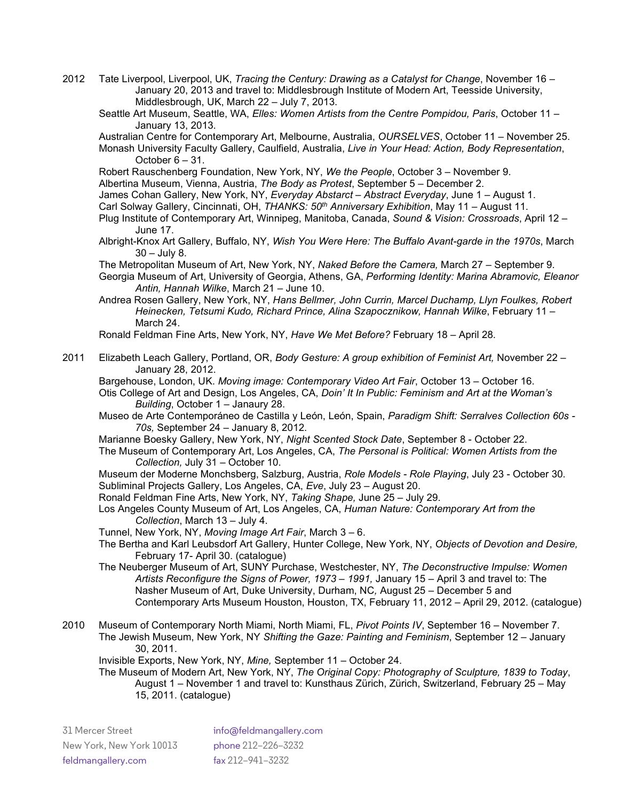- 2012 Tate Liverpool, Liverpool, UK, *Tracing the Century: Drawing as a Catalyst for Change*, November 16 January 20, 2013 and travel to: Middlesbrough Institute of Modern Art, Teesside University, Middlesbrough, UK, March 22 – July 7, 2013.
	- Seattle Art Museum, Seattle, WA, *Elles: Women Artists from the Centre Pompidou, Paris*, October 11 January 13, 2013.
	- Australian Centre for Contemporary Art, Melbourne, Australia, *OURSELVES*, October 11 November 25.
	- Monash University Faculty Gallery, Caulfield, Australia, *Live in Your Head: Action, Body Representation*, October 6 – 31.
	- Robert Rauschenberg Foundation, New York, NY, *We the People*, October 3 November 9.
	- Albertina Museum, Vienna, Austria, *The Body as Protest*, September 5 December 2.
	- James Cohan Gallery, New York, NY, *Everyday Abstarct – Abstract Everyday*, June 1 August 1.
	- Carl Solway Gallery, Cincinnati, OH, *THANKS: 50th Anniversary Exhibition*, May 11 August 11.
	- Plug Institute of Contemporary Art, Winnipeg, Manitoba, Canada, *Sound & Vision: Crossroads*, April 12 June 17.
	- Albright-Knox Art Gallery, Buffalo, NY, *Wish You Were Here: The Buffalo Avant-garde in the 1970s*, March 30 – July 8.
	- The Metropolitan Museum of Art, New York, NY, *Naked Before the Camera,* March 27 September 9. Georgia Museum of Art, University of Georgia, Athens, GA, *Performing Identity: Marina Abramovic, Eleanor Antin, Hannah Wilke*, March 21 – June 10.
	- Andrea Rosen Gallery, New York, NY, *Hans Bellmer, John Currin, Marcel Duchamp, Llyn Foulkes, Robert Heinecken, Tetsumi Kudo, Richard Prince, Alina Szapocznikow, Hannah Wilke*, February 11 – March 24.

Ronald Feldman Fine Arts, New York, NY, *Have We Met Before?* February 18 – April 28.

2011 Elizabeth Leach Gallery, Portland, OR, *Body Gesture: A group exhibition of Feminist Art,* November 22 – January 28, 2012.

Bargehouse, London, UK. *Moving image: Contemporary Video Art Fair*, October 13 – October 16.

Otis College of Art and Design, Los Angeles, CA, *Doin' It In Public: Feminism and Art at the Woman's Building*, October 1 – Janaury 28.

- Museo de Arte Contemporáneo de Castilla y León, León, Spain, *Paradigm Shift: Serralves Collection 60s - 70s,* September 24 – January 8, 2012.
- Marianne Boesky Gallery, New York, NY, *Night Scented Stock Date*, September 8 October 22.
- The Museum of Contemporary Art, Los Angeles, CA, *The Personal is Political: Women Artists from the Collection,* July 31 – October 10.

Museum der Moderne Monchsberg, Salzburg, Austria, *Role Models - Role Playing*, July 23 - October 30. Subliminal Projects Gallery, Los Angeles, CA, *Eve*, July 23 – August 20.

- Ronald Feldman Fine Arts, New York, NY, *Taking Shape,* June 25 July 29.
- Los Angeles County Museum of Art, Los Angeles, CA, *Human Nature: Contemporary Art from the Collection*, March 13 – July 4.

Tunnel, New York, NY, *Moving Image Art Fair*, March 3 – 6.

- The Bertha and Karl Leubsdorf Art Gallery, Hunter College, New York, NY, *Objects of Devotion and Desire,*  February 17- April 30. (catalogue)
- The Neuberger Museum of Art, SUNY Purchase, Westchester, NY, *The Deconstructive Impulse: Women Artists Reconfigure the Signs of Power, 1973 – 1991,* January 15 – April 3 and travel to: The Nasher Museum of Art, Duke University, Durham, NC*,* August 25 – December 5 and Contemporary Arts Museum Houston, Houston, TX, February 11, 2012 – April 29, 2012. (catalogue)
- 2010 Museum of Contemporary North Miami, North Miami, FL, *Pivot Points IV*, September 16 November 7. The Jewish Museum, New York, NY *Shifting the Gaze: Painting and Feminism*, September 12 – January 30, 2011.

Invisible Exports, New York, NY, *Mine,* September 11 – October 24.

The Museum of Modern Art, New York, NY, *The Original Copy: Photography of Sculpture, 1839 to Today*, August 1 – November 1 and travel to: Kunsthaus Zürich, Zürich, Switzerland, February 25 – May 15, 2011. (catalogue)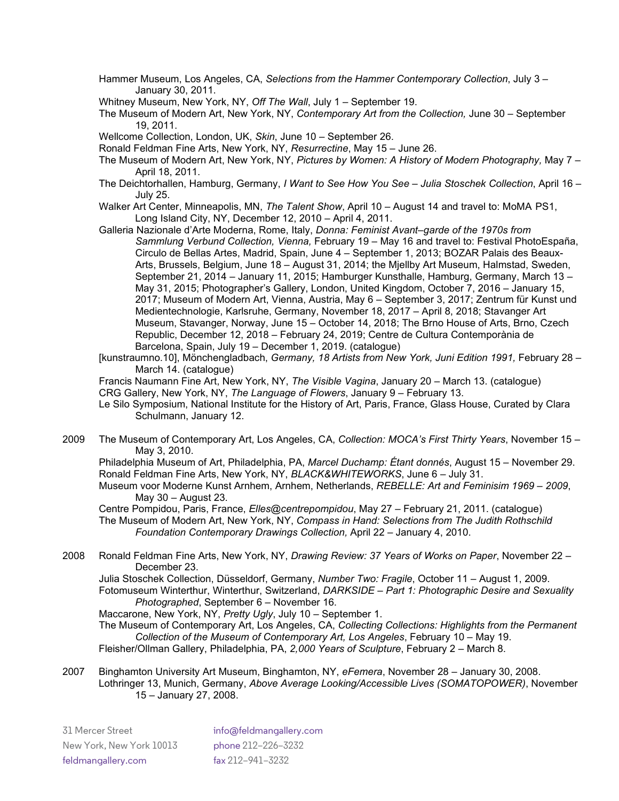- Hammer Museum, Los Angeles, CA, *Selections from the Hammer Contemporary Collection*, July 3 January 30, 2011.
- Whitney Museum, New York, NY, *Off The Wall*, July 1 September 19.
- The Museum of Modern Art, New York, NY, *Contemporary Art from the Collection,* June 30 September 19, 2011.
- Wellcome Collection, London, UK, *Skin*, June 10 September 26.
- Ronald Feldman Fine Arts, New York, NY, *Resurrectine*, May 15 June 26.
- The Museum of Modern Art, New York, NY, *Pictures by Women: A History of Modern Photography,* May 7 April 18, 2011.
- The Deichtorhallen, Hamburg, Germany, *I Want to See How You See – Julia Stoschek Collection*, April 16 July 25.
- Walker Art Center, Minneapolis, MN, *The Talent Show*, April 10 August 14 and travel to: MoMA PS1, Long Island City, NY, December 12, 2010 – April 4, 2011.
- Galleria Nazionale d'Arte Moderna, Rome, Italy, *Donna: Feminist Avant–garde of the 1970s from Sammlung Verbund Collection, Vienna,* February 19 – May 16 and travel to: Festival PhotoEspaña, Circulo de Bellas Artes, Madrid, Spain, June 4 – September 1, 2013; BOZAR Palais des Beaux-Arts, Brussels, Belgium, June 18 – August 31, 2014; the Mjellby Art Museum, Halmstad, Sweden, September 21, 2014 – January 11, 2015; Hamburger Kunsthalle, Hamburg, Germany, March 13 – May 31, 2015; Photographer's Gallery, London, United Kingdom, October 7, 2016 – January 15, 2017; Museum of Modern Art, Vienna, Austria, May 6 – September 3, 2017; Zentrum für Kunst und Medientechnologie, Karlsruhe, Germany, November 18, 2017 – April 8, 2018; Stavanger Art Museum, Stavanger, Norway, June 15 – October 14, 2018; The Brno House of Arts, Brno, Czech Republic, December 12, 2018 – February 24, 2019; Centre de Cultura Contemporània de Barcelona, Spain, July 19 – December 1, 2019. (catalogue)
- [kunstraumno.10], Mönchengladbach, *Germany, 18 Artists from New York, Juni Edition 1991,* February 28 March 14. (catalogue)
- Francis Naumann Fine Art, New York, NY, *The Visible Vagina*, January 20 March 13. (catalogue) CRG Gallery, New York, NY, *The Language of Flowers*, January 9 – February 13.
- Le Silo Symposium, National Institute for the History of Art, Paris, France, Glass House, Curated by Clara Schulmann, January 12.
- 2009 The Museum of Contemporary Art, Los Angeles, CA, *Collection: MOCA's First Thirty Years*, November 15 May 3, 2010.

Philadelphia Museum of Art, Philadelphia, PA, *Marcel Duchamp: Étant donnés*, August 15 – November 29. Ronald Feldman Fine Arts, New York, NY, *BLACK&WHITEWORKS*, June 6 – July 31.

Museum voor Moderne Kunst Arnhem, Arnhem, Netherlands, *REBELLE: Art and Feminisim 1969 – 2009*, May 30 – August 23.

Centre Pompidou, Paris, France, *Elles@centrepompidou*, May 27 – February 21, 2011. (catalogue) The Museum of Modern Art, New York, NY, *Compass in Hand: Selections from The Judith Rothschild Foundation Contemporary Drawings Collection,* April 22 – January 4, 2010.

2008 Ronald Feldman Fine Arts, New York, NY, *Drawing Review: 37 Years of Works on Paper*, November 22 – December 23.

Julia Stoschek Collection, Düsseldorf, Germany, *Number Two: Fragile*, October 11 – August 1, 2009. Fotomuseum Winterthur, Winterthur, Switzerland, *DARKSIDE – Part 1: Photographic Desire and Sexuality Photographed*, September 6 – November 16.

Maccarone, New York, NY, *Pretty Ugly*, July 10 – September 1.

The Museum of Contemporary Art, Los Angeles, CA, *Collecting Collections: Highlights from the Permanent Collection of the Museum of Contemporary Art, Los Angeles*, February 10 – May 19.

Fleisher/Ollman Gallery, Philadelphia, PA, *2,000 Years of Sculpture*, February 2 – March 8.

2007 Binghamton University Art Museum, Binghamton, NY, *eFemera*, November 28 – January 30, 2008. Lothringer 13, Munich, Germany, *Above Average Looking/Accessible Lives (SOMATOPOWER)*, November 15 – January 27, 2008.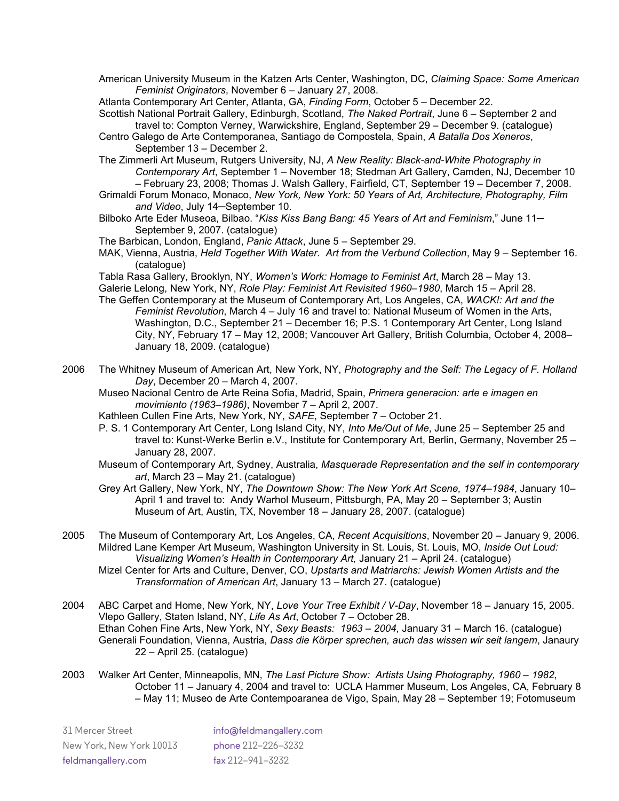American University Museum in the Katzen Arts Center, Washington, DC, *Claiming Space: Some American Feminist Originators*, November 6 – January 27, 2008.

Atlanta Contemporary Art Center, Atlanta, GA, *Finding Form*, October 5 – December 22. Scottish National Portrait Gallery, Edinburgh, Scotland, *The Naked Portrait*, June 6 – September 2 and

- travel to: Compton Verney, Warwickshire, England, September 29 December 9. (catalogue)
- Centro Galego de Arte Contemporanea, Santiago de Compostela, Spain, *A Batalla Dos Xeneros*, September 13 – December 2.

The Zimmerli Art Museum, Rutgers University, NJ, *A New Reality: Black-and-White Photography in Contemporary Art*, September 1 – November 18; Stedman Art Gallery, Camden, NJ, December 10 – February 23, 2008; Thomas J. Walsh Gallery, Fairfield, CT, September 19 – December 7, 2008.

Grimaldi Forum Monaco, Monaco, *New York, New York: 50 Years of Art, Architecture, Photography, Film and Video*, July 14─September 10.

- Bilboko Arte Eder Museoa, Bilbao. "*Kiss Kiss Bang Bang: 45 Years of Art and Feminism*," June 11─ September 9, 2007. (catalogue)
- The Barbican, London, England, *Panic Attack*, June 5 September 29.
- MAK, Vienna, Austria, *Held Together With Water. Art from the Verbund Collection*, May 9 September 16. (catalogue)
- Tabla Rasa Gallery, Brooklyn, NY, *Women's Work: Homage to Feminist Art*, March 28 May 13. Galerie Lelong, New York, NY, *Role Play: Feminist Art Revisited 1960–1980*, March 15 – April 28.
- The Geffen Contemporary at the Museum of Contemporary Art, Los Angeles, CA, *WACK!: Art and the Feminist Revolution*, March 4 – July 16 and travel to: National Museum of Women in the Arts, Washington, D.C., September 21 – December 16; P.S. 1 Contemporary Art Center, Long Island City, NY, February 17 – May 12, 2008; Vancouver Art Gallery, British Columbia, October 4, 2008– January 18, 2009. (catalogue)
- 2006 The Whitney Museum of American Art, New York, NY, *Photography and the Self: The Legacy of F. Holland Day*, December 20 – March 4, 2007.
	- Museo Nacional Centro de Arte Reina Sofia, Madrid, Spain, *Primera generacion: arte e imagen en movimiento (1963–1986)*, November 7 – April 2, 2007.
	- Kathleen Cullen Fine Arts, New York, NY, *SAFE*, September 7 October 21.
	- P. S. 1 Contemporary Art Center, Long Island City, NY, *Into Me/Out of Me*, June 25 September 25 and travel to: Kunst-Werke Berlin e.V., Institute for Contemporary Art, Berlin, Germany, November 25 – January 28, 2007.
	- Museum of Contemporary Art, Sydney, Australia, *Masquerade Representation and the self in contemporary art*, March 23 – May 21. (catalogue)
	- Grey Art Gallery, New York, NY, *The Downtown Show: The New York Art Scene, 1974–1984*, January 10– April 1 and travel to: Andy Warhol Museum, Pittsburgh, PA, May 20 – September 3; Austin Museum of Art, Austin, TX, November 18 – January 28, 2007. (catalogue)
- 2005 The Museum of Contemporary Art, Los Angeles, CA, *Recent Acquisitions*, November 20 January 9, 2006. Mildred Lane Kemper Art Museum, Washington University in St. Louis, St. Louis, MO, *Inside Out Loud: Visualizing Women's Health in Contemporary Art,* January 21 – April 24. (catalogue) Mizel Center for Arts and Culture, Denver, CO, *Upstarts and Matriarchs: Jewish Women Artists and the Transformation of American Art*, January 13 – March 27. (catalogue)
- 2004 ABC Carpet and Home, New York, NY, *Love Your Tree Exhibit / V-Day*, November 18 January 15, 2005. Vlepo Gallery, Staten Island, NY, *Life As Art*, October 7 – October 28. Ethan Cohen Fine Arts, New York, NY, *Sexy Beasts: 1963 – 2004,* January 31 – March 16. (catalogue) Generali Foundation, Vienna, Austria, *Dass die Körper sprechen, auch das wissen wir seit langem*, Janaury 22 – April 25. (catalogue)
- 2003 Walker Art Center, Minneapolis, MN, *The Last Picture Show: Artists Using Photography, 1960 – 1982*, October 11 – January 4, 2004 and travel to: UCLA Hammer Museum, Los Angeles, CA, February 8 – May 11; Museo de Arte Contempoaranea de Vigo, Spain, May 28 – September 19; Fotomuseum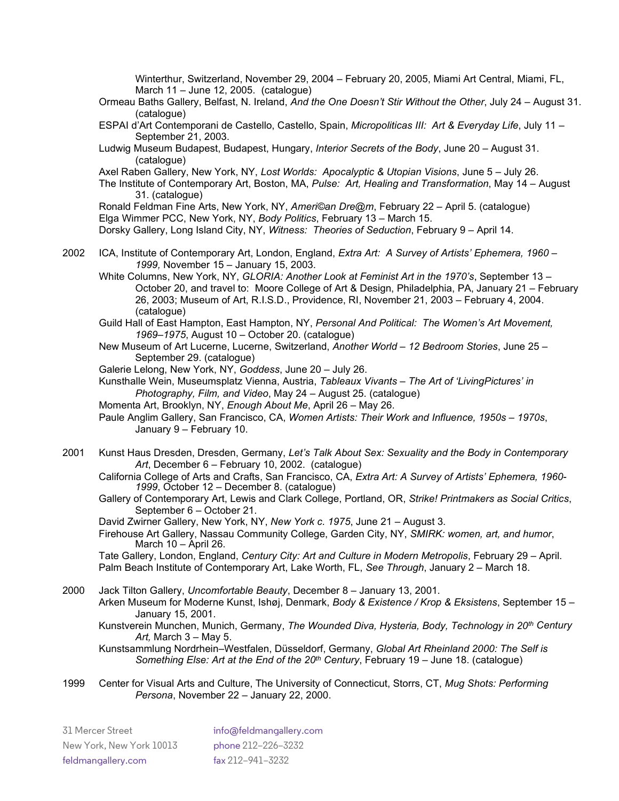Winterthur, Switzerland, November 29, 2004 – February 20, 2005, Miami Art Central, Miami, FL, March 11 – June 12, 2005. (catalogue)

- Ormeau Baths Gallery, Belfast, N. Ireland, *And the One Doesn't Stir Without the Other*, July 24 August 31. (catalogue)
- ESPAI d'Art Contemporani de Castello, Castello, Spain, *Micropoliticas III: Art & Everyday Life*, July 11 September 21, 2003.
- Ludwig Museum Budapest, Budapest, Hungary, *Interior Secrets of the Body*, June 20 August 31. (catalogue)
- Axel Raben Gallery, New York, NY, *Lost Worlds: Apocalyptic & Utopian Visions*, June 5 July 26.
- The Institute of Contemporary Art, Boston, MA, *Pulse: Art, Healing and Transformation*, May 14 August 31. (catalogue)

Ronald Feldman Fine Arts, New York, NY, *Ameri©an Dre@m*, February 22 – April 5. (catalogue) Elga Wimmer PCC, New York, NY, *Body Politics*, February 13 – March 15.

Dorsky Gallery, Long Island City, NY, *Witness: Theories of Seduction*, February 9 – April 14.

- 2002 ICA, Institute of Contemporary Art, London, England, *Extra Art: A Survey of Artists' Ephemera, 1960 1999,* November 15 – January 15, 2003.
	- White Columns, New York, NY, *GLORIA: Another Look at Feminist Art in the 1970's*, September 13 October 20, and travel to: Moore College of Art & Design, Philadelphia, PA, January 21 – February 26, 2003; Museum of Art, R.I.S.D., Providence, RI, November 21, 2003 – February 4, 2004. (catalogue)
	- Guild Hall of East Hampton, East Hampton, NY, *Personal And Political: The Women's Art Movement, 1969–1975*, August 10 – October 20. (catalogue)
	- New Museum of Art Lucerne, Lucerne, Switzerland, *Another World – 12 Bedroom Stories*, June 25 September 29. (catalogue)
	- Galerie Lelong, New York, NY, *Goddess*, June 20 July 26.
	- Kunsthalle Wein, Museumsplatz Vienna, Austria, *Tableaux Vivants – The Art of 'LivingPictures' in Photography, Film, and Video*, May 24 – August 25. (catalogue)
	- Momenta Art, Brooklyn, NY, *Enough About Me*, April 26 May 26.
	- Paule Anglim Gallery, San Francisco, CA, *Women Artists: Their Work and Influence, 1950s – 1970s*, January 9 – February 10.
- 2001 Kunst Haus Dresden, Dresden, Germany, *Let's Talk About Sex: Sexuality and the Body in Contemporary Art*, December 6 – February 10, 2002. (catalogue)

California College of Arts and Crafts, San Francisco, CA, *Extra Art: A Survey of Artists' Ephemera, 1960- 1999*, October 12 – December 8. (catalogue)

- Gallery of Contemporary Art, Lewis and Clark College, Portland, OR, *Strike! Printmakers as Social Critics*, September 6 – October 21.
- David Zwirner Gallery, New York, NY, *New York c. 1975*, June 21 August 3.

Firehouse Art Gallery, Nassau Community College, Garden City, NY, *SMIRK: women, art, and humor*, March  $10 - \text{April } 26$ .

Tate Gallery, London, England, *Century City: Art and Culture in Modern Metropolis*, February 29 – April. Palm Beach Institute of Contemporary Art, Lake Worth, FL, *See Through*, January 2 – March 18.

- 2000 Jack Tilton Gallery, *Uncomfortable Beauty*, December 8 January 13, 2001. Arken Museum for Moderne Kunst, Ishøj, Denmark, *Body & Existence / Krop & Eksistens*, September 15 – January 15, 2001.
	- Kunstverein Munchen, Munich, Germany, *The Wounded Diva, Hysteria, Body, Technology in 20th Century Art,* March 3 – May 5.
	- Kunstsammlung Nordrhein–Westfalen, Düsseldorf, Germany, *Global Art Rheinland 2000: The Self is Something Else: Art at the End of the 20th Century*, February 19 – June 18. (catalogue)
- 1999 Center for Visual Arts and Culture, The University of Connecticut, Storrs, CT, *Mug Shots: Performing Persona*, November 22 – January 22, 2000.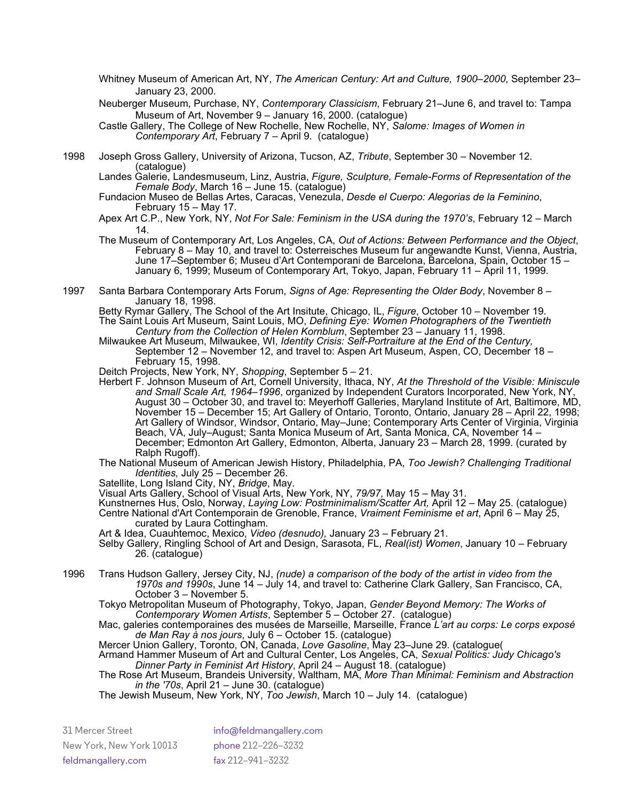- Whitney Museum of American Art, NY, *The American Century: Art and Culture, 1900–2000*, September 23– January 23, 2000.
- Neuberger Museum, Purchase, NY, *Contemporary Classicism*, February 21–June 6, and travel to: Tampa Museum of Art, November 9 – January 16, 2000. (catalogue)
- Castle Gallery, The College of New Rochelle, New Rochelle, NY, *Salome: Images of Women in Contemporary Art*, February 7 – April 9. (catalogue)
- 1998 Joseph Gross Gallery, University of Arizona, Tucson, AZ, *Tribute*, September 30 November 12. (catalogue)
	- Landes Galerie, Landesmuseum, Linz, Austria, *Figure, Sculpture, Female-Forms of Representation of the Female Body*, March 16 – June 15. (catalogue)
	- Fundacion Museo de Bellas Artes, Caracas, Venezula, *Desde el Cuerpo: Alegorias de la Feminino*, February 15 – May 17.
	- Apex Art C.P., New York, NY, *Not For Sale: Feminism in the USA during the 1970's*, February 12 March
	- 14.<br>The Museum of Contemporary Art, Los Angeles, CA, Out of Actions: Between Performance and the Object, February 8 – May 10, and travel to: Osterreisches Museum fur angewandte Kunst, Vienna, Austria, June 17–September 6; Museu d'Art Contemporani de Barcelona, Barcelona, Spain, October 15 – January 6, 1999; Museum of Contemporary Art, Tokyo, Japan, February 11 – April 11, 1999.
- 1997 Santa Barbara Contemporary Arts Forum, *Signs of Age: Representing the Older Body*, November 8 January 18, 1998.

Betty Rymar Gallery, The School of the Art Insitute, Chicago, IL, *Figure*, October 10 – November 19. The Saint Louis Art Museum, Saint Louis, MO, *Defining Eye: Women Photographers of the Twentieth Century from the Collection of Helen Kornblum*, September 23 – January 11, 1998.

- Milwaukee Art Museum, Milwaukee, WI, *Identity Crisis: Self-Portraiture at the End of the Century,*  September 12 – November 12, and travel to: Aspen Art Museum, Aspen, CO, December 18 – February 15, 1998.
- Deitch Projects, New York, NY, *Shopping*, September 5 21.
- Herbert F. Johnson Museum of Art, Cornell University, Ithaca, NY, *At the Threshold of the Visible: Miniscule and Small Scale Art, 1964–1996*, organized by Independent Curators Incorporated, New York, NY, August 30 – October 30, and travel to: Meyerhoff Galleries, Maryland Institute of Art, Baltimore, MD, November 15 – December 15; Art Gallery of Ontario, Toronto, Ontario, January 28 – April 22, 1998; Art Gallery of Windsor, Windsor, Ontario, May–June; Contemporary Arts Center of Virginia, Virginia Beach, VÁ, July–August; Santa Monica Museum of Art, Santa Monica, CA, November 14 – December; Edmonton Art Gallery, Edmonton, Alberta, January 23 – March 28, 1999. (curated by Ralph Rugoff).
- The National Museum of American Jewish History, Philadelphia, PA, *Too Jewish? Challenging Traditional Identities,* July 25 – December 26.
- Satellite, Long Island City, NY, *Bridge*, May.
- Visual Arts Gallery, School of Visual Arts, New York, NY, *79/97,* May 15 May 31.
- Kunstnernes Hus, Oslo, Norway, *Laying Low: Postminimalism/Scatter Art,* April 12 May 25. (catalogue) Centre National d'Art Contemporain de Grenoble, France, *Vraiment Feminisme et art*, April 6 – May 25, curated by Laura Cottingham.
- Art & Idea, Cuauhtemoc, Mexico, *Video (desnudo),* January 23 February 21.
- Selby Gallery, Ringling School of Art and Design, Sarasota, FL, *Real(ist) Women*, January 10 February 26. (catalogue)
- 1996 Trans Hudson Gallery, Jersey City, NJ, *(nude) a comparison of the body of the artist in video from the 1970s and 1990s*, June 14 – July 14, and travel to: Catherine Clark Gallery, San Francisco, CA, October 3 – November 5.

Tokyo Metropolitan Museum of Photography, Tokyo, Japan, *Gender Beyond Memory: The Works of Contemporary Women Artists*, September 5 – October 27. (catalogue)

Mac, galeries contemporaines des musées de Marseille, Marseille, France *L'art au corps: Le corps exposé de Man Ray à nos jours*, July 6 – October 15. (catalogue)

Mercer Union Gallery, Toronto, ON, Canada, *Love Gasoline*, May 23–June 29. (catalogue( Armand Hammer Museum of Art and Cultural Center, Los Angeles, CA, *Sexual Politics: Judy Chicago's* 

*Dinner Party in Feminist Art History*, April 24 – August 18. (catalogue)

The Rose Art Museum, Brandeis University, Waltham, MA, *More Than Minimal: Feminism and Abstraction in the '70s*, April 21 – June 30. (catalogue)

The Jewish Museum, New York, NY, *Too Jewish*, March 10 – July 14. (catalogue)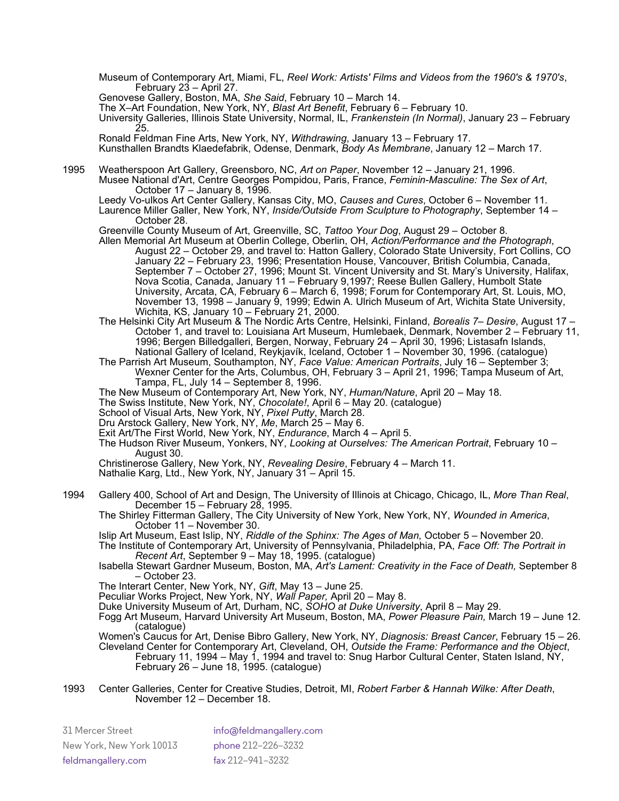Museum of Contemporary Art, Miami, FL, *Reel Work: Artists' Films and Videos from the 1960's & 1970's*, February 23 – April 27.

Genovese Gallery, Boston, MA, *She Said*, February 10 – March 14.

The X–Art Foundation, New York, NY, *Blast Art Benefit*, February 6 – February 10.

University Galleries, Illinois State University, Normal, IL, *Frankenstein (In Normal)*, January 23 – February 25.

Ronald Feldman Fine Arts, New York, NY, *Withdrawing*, January 13 – February 17. Kunsthallen Brandts Klaedefabrik, Odense, Denmark, *Body As Membrane*, January 12 – March 17.

1995 Weatherspoon Art Gallery, Greensboro, NC, *Art on Paper*, November 12 – January 21, 1996.

Musee National d'Art, Centre Georges Pompidou, Paris, France, *Feminin-Masculine: The Sex of Art*, October 17 – January 8, 1996.

Leedy Vo-ulkos Art Center Gallery, Kansas City, MO, *Causes and Cures*, October 6 – November 11. Laurence Miller Galler, New York, NY, *Inside/Outside From Sculpture to Photography*, September 14 – October 28.

Greenville County Museum of Art, Greenville, SC, *Tattoo Your Dog*, August 29 – October 8.

Allen Memorial Art Museum at Oberlin College, Oberlin, OH, *Action/Performance and the Photograph*, August 22 – October 29, and travel to: Hatton Gallery, Colorado State University, Fort Collins, CO January 22 – February 23, 1996; Presentation House, Vancouver, British Columbia, Canada, September 7 – October 27, 1996; Mount St. Vincent University and St. Mary's University, Halifax, Nova Scotia, Canada, January 11 – February 9,1997; Reese Bullen Gallery, Humbolt State University, Arcata, CA, February 6 – March 6, 1998; Forum for Contemporary Art, St. Louis, MO, November 13, 1998 – January 9, 1999; Edwin A. Ulrich Museum of Art, Wichita State University, Wichita, KS, January 10 – February 21, 2000.

The Helsinki City Art Museum & The Nordic Arts Centre, Helsinki, Finland, *Borealis 7– Desire*, August 17 – October 1, and travel to: Louisiana Art Museum, Humlebaek, Denmark, November 2 – February 11,<br>1996; Bergen Billedgalleri, Bergen, Norway, February 24 – April 30, 1996; Listasafn Islands, 1996; Bergen Billedgalleri, Bergen, Norway, February 24 – April 30, 1996; Listasafn Islands,<br>National Gallery of Iceland, Reykjavík, Iceland, October 1 – November 30, 1996. (catalogue)

The Parrish Art Museum, Southampton, NY, *Face Value: American Portraits*, July 16 – September 3; Wexner Center for the Arts, Columbus, OH, February 3 – April 21, 1996; Tampa Museum of Art, Tampa, FL, July 14 – September 8, 1996.

The New Museum of Contemporary Art, New York, NY, *Human/Nature*, April 20 – May 18.

The Swiss Institute, New York, NY, *Chocolate!*, April 6 – May 20. (catalogue)

School of Visual Arts, New York, NY, *Pixel Putty*, March 28.

Dru Arstock Gallery, New York, NY, *Me*, March 25 – May 6.

Exit Art/The First World, New York, NY, *Endurance*, March 4 – April 5.

The Hudson River Museum, Yonkers, NY, *Looking at Ourselves: The American Portrait*, February 10 – August 30.

Christinerose Gallery, New York, NY, *Revealing Desire*, February 4 – March 11.

Nathalie Karg, Ltd., New York, NY, January 31 – April 15.

1994 Gallery 400, School of Art and Design, The University of Illinois at Chicago, Chicago, IL, *More Than Real*, December 15 – February 28, 1995.

The Shirley Fitterman Gallery, The City University of New York, New York, NY, *Wounded in America*, October 11 – November 30.

Islip Art Museum, East Islip, NY, *Riddle of the Sphinx: The Ages of Man,* October 5 – November 20.

The Institute of Contemporary Art, University of Pennsylvania, Philadelphia, PA, *Face Off: The Portrait in Recent Art*, September 9 – May 18, 1995. (catalogue)

Isabella Stewart Gardner Museum, Boston, MA, *Art's Lament: Creativity in the Face of Death,* September 8 – October 23.

The Interart Center, New York, NY, *Gift*, May 13 – June 25.

Peculiar Works Project, New York, NY, *Wall Paper,* April 20 – May 8.

Duke University Museum of Art, Durham, NC, *SOHO at Duke University*, April 8 – May 29.

Fogg Art Museum, Harvard University Art Museum, Boston, MA, *Power Pleasure Pain,* March 19 – June 12. (catalogue)

Women's Caucus for Art, Denise Bibro Gallery, New York, NY, *Diagnosis: Breast Cancer*, February 15 – 26. Cleveland Center for Contemporary Art, Cleveland, OH, *Outside the Frame: Performance and the Object*,

February 11, 1994 – May 1, 1994 and travel to: Snug Harbor Cultural Center, Staten Island, NY, February 26 – June 18, 1995. (catalogue)

1993 Center Galleries, Center for Creative Studies, Detroit, MI, *Robert Farber & Hannah Wilke: After Death*, November 12 – December 18.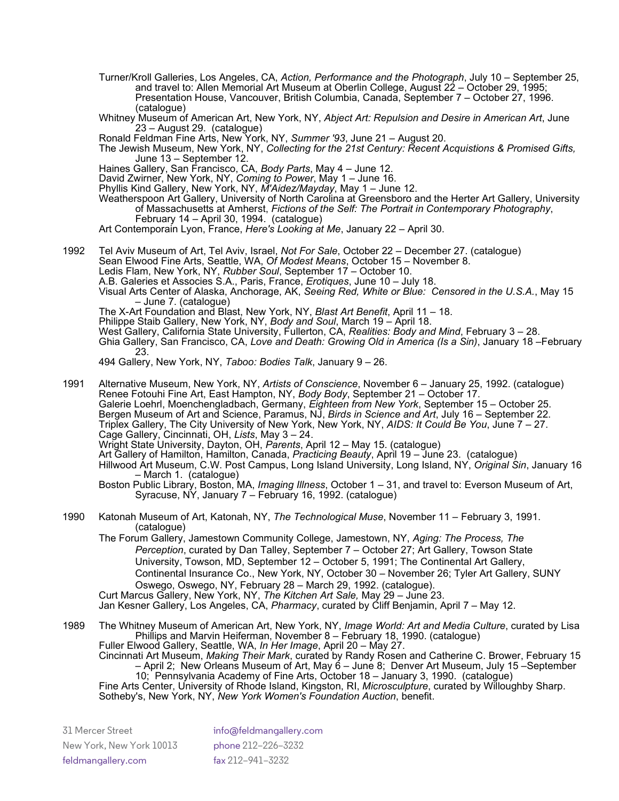- Turner/Kroll Galleries, Los Angeles, CA, *Action, Performance and the Photograph*, July 10 September 25, and travel to: Allen Memorial Art Museum at Oberlin College, August 22 – October 29, 1995; Presentation House, Vancouver, British Columbia, Canada, September 7 – October 27, 1996. (catalogue)
- Whitney Museum of American Art, New York, NY, Abject Art: Repulsion and Desire in American Art, June 23 – August 29. (catalogue)
- Ronald Feldman Fine Arts, New York, NY, *Summer '93*, June 21 August 20.
- The Jewish Museum, New York, NY, *Collecting for the 21st Century: Recent Acquistions & Promised Gifts,* June 13 – September 12.
- Haines Gallery, San Francisco, CA, *Body Parts*, May 4 June 12.
- David Zwirner, New York, NY, *Coming to Power*, May 1 June 16.
- Phyllis Kind Gallery, New York, NY, *M'Aidez/Mayday*, May 1 June 12.
- Weatherspoon Art Gallery, University of North Carolina at Greensboro and the Herter Art Gallery, University of Massachusetts at Amherst, *Fictions of the Self: The Portrait in Contemporary Photography*, February 14 – April 30, 1994. (catalogue)
- Art Contemporain Lyon, France, *Here's Looking at Me*, January 22 April 30.
- 1992 Tel Aviv Museum of Art, Tel Aviv, Israel, *Not For Sale*, October 22 December 27. (catalogue) Sean Elwood Fine Arts, Seattle, WA, *Of Modest Means*, October 15 – November 8. Ledis Flam, New York, NY, *Rubber Soul*, September 17 – October 10. A.B. Galeries et Associes S.A., Paris, France, *Erotiques*, June 10 – July 18. Visual Arts Center of Alaska, Anchorage, AK, *Seeing Red, White or Blue: Censored in the U.S.A.*, May 15 – June 7. (catalogue) The X-Art Foundation and Blast, New York, NY, *Blast Art Benefit*, April 11 – 18. Philippe Staib Gallery, New York, NY, *Body and Soul*, March 19 – April 18. West Gallery, California State University, Fullerton, CA, *Realities: Body and Mind*, February 3 – 28. Ghia Gallery, San Francisco, CA, *Love and Death: Growing Old in America (Is a Sin)*, January 18 –February 23. 494 Gallery, New York, NY, *Taboo: Bodies Talk*, January 9 – 26. 1991 Alternative Museum, New York, NY, *Artists of Conscience*, November 6 – January 25, 1992. (catalogue) Renee Fotouhi Fine Art, East Hampton, NY, *Body Body*, September 21 – October 17. Galerie Loehrl, Moenchengladbach, Germany, *Eighteen from New York*, September 15 – October 25. Bergen Museum of Art and Science, Paramus, NJ, *Birds in Science and Art*, July 16 – September 22. Triplex Gallery, The City University of New York, New York, NY, *AIDS: It Could Be You*, June 7 – 27. Cage Gallery, Cincinnati, OH, *Lists*, May 3 – 24. Wright State University, Dayton, OH, *Parents*, April 12 – May 15. (catalogue) Art Gallery of Hamilton, Hamilton, Canada, *Practicing Beauty*, April 19 – June 23. (catalogue) Hillwood Art Museum, C.W. Post Campus, Long Island University, Long Island, NY, *Original Sin*, January 16 – March 1. (catalogue) Boston Public Library, Boston, MA, *Imaging Illness*, October 1 – 31, and travel to: Everson Museum of Art, Syracuse, NY, January 7 – February 16, 1992. (catalogue) 1990 Katonah Museum of Art, Katonah, NY, *The Technological Muse*, November 11 – February 3, 1991. (catalogue) The Forum Gallery, Jamestown Community College, Jamestown, NY, *Aging: The Process, The Perception*, curated by Dan Talley, September 7 – October 27; Art Gallery, Towson State University, Towson, MD, September 12 – October 5, 1991; The Continental Art Gallery,
	- Continental Insurance Co., New York, NY, October 30 November 26; Tyler Art Gallery, SUNY Oswego, Oswego, NY, February 28 – March 29, 1992. (catalogue). Curt Marcus Gallery, New York, NY, *The Kitchen Art Sale,* May 29 – June 23.
	- Jan Kesner Gallery, Los Angeles, CA, *Pharmacy*, curated by Cliff Benjamin, April 7 May 12.
- 1989 The Whitney Museum of American Art, New York, NY, *Image World: Art and Media Culture*, curated by Lisa Phillips and Marvin Heiferman, November 8 – February 18, 1990. (catalogue) Fuller Elwood Gallery, Seattle, WA, *In Her Image*, April 20 – May 27.
	- Cincinnati Art Museum, *Making Their Mark*, curated by Randy Rosen and Catherine C. Brower, February 15 – April 2; New Orleans Museum of Art, May  $6$  – June 8; Denver Art Museum, July 15 –September 10; Pennsylvania Academy of Fine Arts, October 18 – January 3, 1990. (catalogue)
	- Fine Arts Center, University of Rhode Island, Kingston, RI, *Microsculpture*, curated by Willoughby Sharp. Sotheby's, New York, NY, *New York Women's Foundation Auction*, benefit.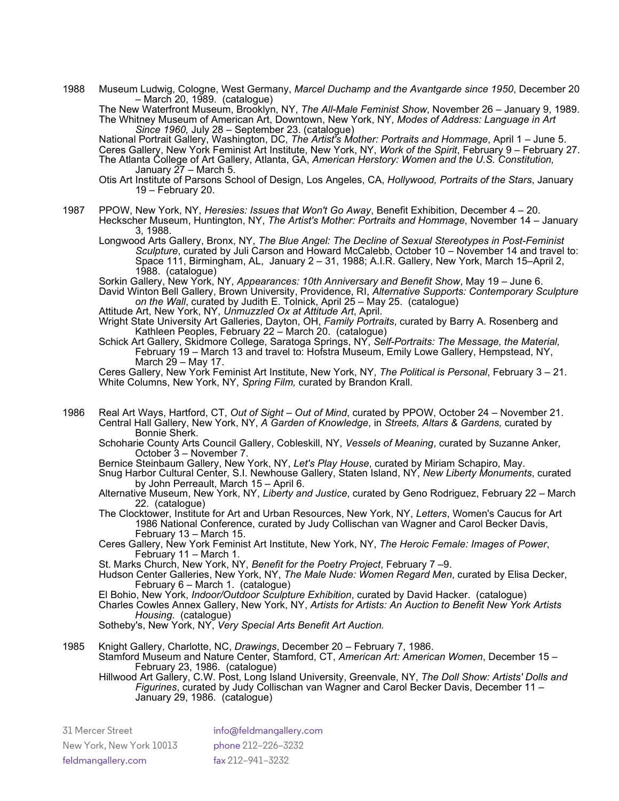1988 Museum Ludwig, Cologne, West Germany, *Marcel Duchamp and the Avantgarde since 1950*, December 20 – March 20, 1989. (catalogue)

The New Waterfront Museum, Brooklyn, NY, *The All-Male Feminist Show*, November 26 – January 9, 1989. The Whitney Museum of American Art, Downtown, New York, NY, *Modes of Address: Language in Art Since 1960,* July 28 – September 23. (catalogue)

National Portrait Gallery, Washington, DC, *The Artist's Mother: Portraits and Hommage*, April 1 – June 5. Ceres Gallery, New York Feminist Art Institute, New York, NY, *Work of the Spirit*, February 9 – February 27. The Atlanta College of Art Gallery, Atlanta, GA, *American Herstory: Women and the U.S. Constitution,* January 27 – March 5.

- Otis Art Institute of Parsons School of Design, Los Angeles, CA, *Hollywood, Portraits of the Stars*, January 19 – February 20.
- 1987 PPOW, New York, NY, *Heresies: Issues that Won't Go Away*, Benefit Exhibition, December 4 20.

Heckscher Museum, Huntington, NY, *The Artist's Mother: Portraits and Hommage*, November 14 – January 3, 1988.

Longwood Arts Gallery, Bronx, NY, *The Blue Angel: The Decline of Sexual Stereotypes in Post-Feminist Sculpture*, curated by Juli Carson and Howard McCalebb, October 10 – November 14 and travel to: Space 111, Birmingham, AL, January 2 – 31, 1988; A.I.R. Gallery, New York, March 15–April 2, 1988. (catalogue)

Sorkin Gallery, New York, NY, *Appearances: 10th Anniversary and Benefit Show*, May 19 – June 6. David Winton Bell Gallery, Brown University, Providence, RI, *Alternative Supports: Contemporary Sculpture on the Wall*, curated by Judith E. Tolnick, April 25 – May 25. (catalogue)

Attitude Art, New York, NY, *Unmuzzled Ox at Attitude Art*, April.

Wright State University Art Galleries, Dayton, OH, *Family Portraits*, curated by Barry A. Rosenberg and Kathleen Peoples, February 22 – March 20. (catalogue)

Schick Art Gallery, Skidmore College, Saratoga Springs, NY, *Self-Portraits: The Message, the Material,* February 19 – March 13 and travel to: Hofstra Museum, Emily Lowe Gallery, Hempstead, NY, March 29 – May 17.

Ceres Gallery, New York Feminist Art Institute, New York, NY, *The Political is Personal*, February 3 – 21. White Columns, New York, NY, *Spring Film,* curated by Brandon Krall.

1986 Real Art Ways, Hartford, CT, *Out of Sight – Out of Mind*, curated by PPOW, October 24 – November 21. Central Hall Gallery, New York, NY, *A Garden of Knowledge*, in *Streets, Altars & Gardens,* curated by Bonnie Sherk.

Schoharie County Arts Council Gallery, Cobleskill, NY, *Vessels of Meaning*, curated by Suzanne Anker*,*  October 3 – November 7.

Bernice Steinbaum Gallery, New York, NY, *Let's Play House*, curated by Miriam Schapiro, May. Snug Harbor Cultural Center, S.I. Newhouse Gallery, Staten Island, NY, *New Liberty Monuments*, curated by John Perreault, March 15 – April 6.

Alternative Museum, New York, NY, *Liberty and Justice*, curated by Geno Rodriguez, February 22 – March 22. (catalogue)

The Clocktower, Institute for Art and Urban Resources, New York, NY, *Letters*, Women's Caucus for Art 1986 National Conference, curated by Judy Collischan van Wagner and Carol Becker Davis,<br>February 13 – March 15.

Ceres Gallery, New York Feminist Art Institute, New York, NY, *The Heroic Female: Images of Power*, February 11 – March 1.

St. Marks Church, New York, NY, *Benefit for the Poetry Project*, February 7 –9.

Hudson Center Galleries, New York, NY, *The Male Nude: Women Regard Men*, curated by Elisa Decker, February 6 – March 1. (catalogue)

El Bohio, New York, *Indoor/Outdoor Sculpture Exhibition*, curated by David Hacker. (catalogue) Charles Cowles Annex Gallery, New York, NY, *Artists for Artists: An Auction to Benefit New York Artists* 

*Housing*. (catalogue) Sotheby's, New York, NY, *Very Special Arts Benefit Art Auction.*

1985 Knight Gallery, Charlotte, NC, *Drawings*, December 20 – February 7, 1986. Stamford Museum and Nature Center, Stamford, CT, *American Art: American Women*, December 15 – February 23, 1986. (catalogue)

Hillwood Art Gallery, C.W. Post, Long Island University, Greenvale, NY, *The Doll Show: Artists' Dolls and Figurines*, curated by Judy Collischan van Wagner and Carol Becker Davis, December 11 – January 29, 1986. (catalogue)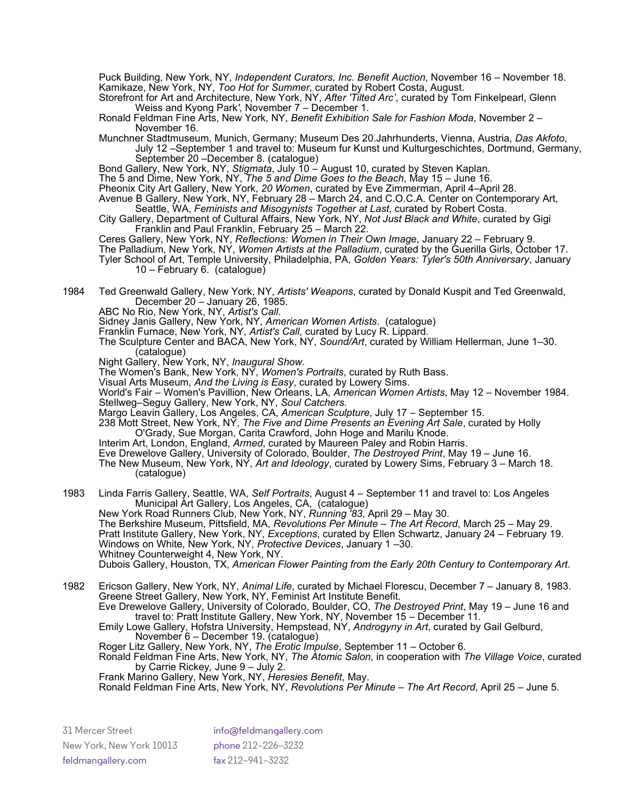Puck Building, New York, NY, *Independent Curators, Inc. Benefit Auction*, November 16 – November 18. Kamikaze, New York, NY, *Too Hot for Summer*, curated by Robert Costa, August.

Storefront for Art and Architecture, New York, NY, *After 'Tilted Arc'*, curated by Tom Finkelpearl, Glenn Weiss and Kyong Park*'*, November 7 – December 1.

- Ronald Feldman Fine Arts, New York, NY, *Benefit Exhibition Sale for Fashion Moda*, November 2 November 16.
- Munchner Stadtmuseum, Munich, Germany; Museum Des 20.Jahrhunderts, Vienna, Austria, *Das Akfoto*, July 12 –September 1 and travel to: Museum fur Kunst und Kulturgeschichtes, Dortmund, Germany, September 20 –December 8. (catalogue)

Bond Gallery, New York, NY, *Stigmata*, July 10 – August 10, curated by Steven Kaplan.

The 5 and Dime, New York, NY, *The 5 and Dime Goes to the Beach*, May 15 – June 16.

Pheonix City Art Gallery, New York, *20 Women*, curated by Eve Zimmerman, April 4–April 28.

- Avenue B Gallery, New York, NY, February 28 March 24, and C.O.C.A. Center on Contemporary Art, Seattle, WA, *Feminists and Misogynists Together at Last*, curated by Robert Costa.
- City Gallery, Department of Cultural Affairs, New York, NY, *Not Just Black and White*, curated by Gigi Franklin and Paul Franklin, February 25 – March 22.
- Ceres Gallery, New York, NY, *Reflections: Women in Their Own Image*, January 22 February 9. The Palladium, New York, NY, *Women Artists at the Palladium*, curated by the Guerilla Girls, October 17. Tyler School of Art, Temple University, Philadelphia, PA, *Golden Years: Tyler's 50th Anniversary*, January 10 – February 6. (catalogue)
- 1984 Ted Greenwald Gallery, New York, NY, *Artists' Weapons*, curated by Donald Kuspit and Ted Greenwald, December 20 – January 26, 1985.

ABC No Rio, New York, NY, *Artist's Call*.

Sidney Janis Gallery, New York, NY, *American Women Artists*. (catalogue)

Franklin Furnace, New York, NY, *Artist's Call*, curated by Lucy R. Lippard.

The Sculpture Center and BACA, New York, NY, *Sound/Art*, curated by William Hellerman, June 1–30. (catalogue)

Night Gallery, New York, NY, *Inaugural Show*.

The Women's Bank, New York, NY, *Women's Portraits*, curated by Ruth Bass.

Visual Arts Museum, *And the Living is Easy*, curated by Lowery Sims.

World's Fair – Women's Pavillion, New Orleans, LA, *American Women Artists*, May 12 – November 1984.<br>Stellweg–Seguy Gallery, New York, NY, *Soul Catchers.* 

Margo Leavin Gallery, Los Angeles, CA, *American Sculpture*, July 17 – September 15.

238 Mott Street, New York, NY, *The Five and Dime Presents an Evening Art Sale*, curated by Holly O'Grady, Sue Morgan, Carita Crawford, John Hoge and Marilu Knode.

Interim Art, London, England, *Armed*, curated by Maureen Paley and Robin Harris.

Eve Drewelove Gallery, University of Colorado, Boulder, *The Destroyed Print*, May 19 – June 16.

- The New Museum, New York, NY, *Art and Ideology*, curated by Lowery Sims, February 3 March 18. (catalogue)
- 1983 Linda Farris Gallery, Seattle, WA, *Self Portraits*, August 4 September 11 and travel to: Los Angeles Municipal Art Gallery, Los Angeles, CA, (catalogue)

New York Road Runners Club, New York, NY, *Running '83*, April 29 – May 30. The Berkshire Museum, Pittsfield, MA, *Revolutions Per Minute – The Art Record*, March 25 – May 29. Pratt Institute Gallery, New York, NY, *Exceptions*, curated by Ellen Schwartz, January 24 – February 19. Windows on White, New York, NY, *Protective Devices*, January 1 –30. Whitney Counterweight 4, New York, NY.

Dubois Gallery, Houston, TX, *American Flower Painting from the Early 20th Century to Contemporary Art*.

1982 Ericson Gallery, New York, NY, *Animal Life*, curated by Michael Florescu, December 7 – January 8, 1983. Greene Street Gallery, New York, NY, Feminist Art Institute Benefit.

Eve Drewelove Gallery, University of Colorado, Boulder, CO, *The Destroyed Print*, May 19 – June 16 and travel to: Pratt Institute Gallery, New York, NY, November 15 – December 11.

Emily Lowe Gallery, Hofstra University, Hempstead, NY, *Androgyny in Art*, curated by Gail Gelburd, November 6 – December 19. (catalogue)

Roger Litz Gallery, New York, NY, *The Erotic Impulse*, September 11 – October 6.

Ronald Feldman Fine Arts, New York, NY, *The Atomic Salon*, in cooperation with *The Village Voice*, curated by Carrie Rickey*,* June 9 – July 2.

Frank Marino Gallery, New York, NY, *Heresies Benefit*, May.

Ronald Feldman Fine Arts, New York, NY, *Revolutions Per Minute – The Art Record*, April 25 – June 5.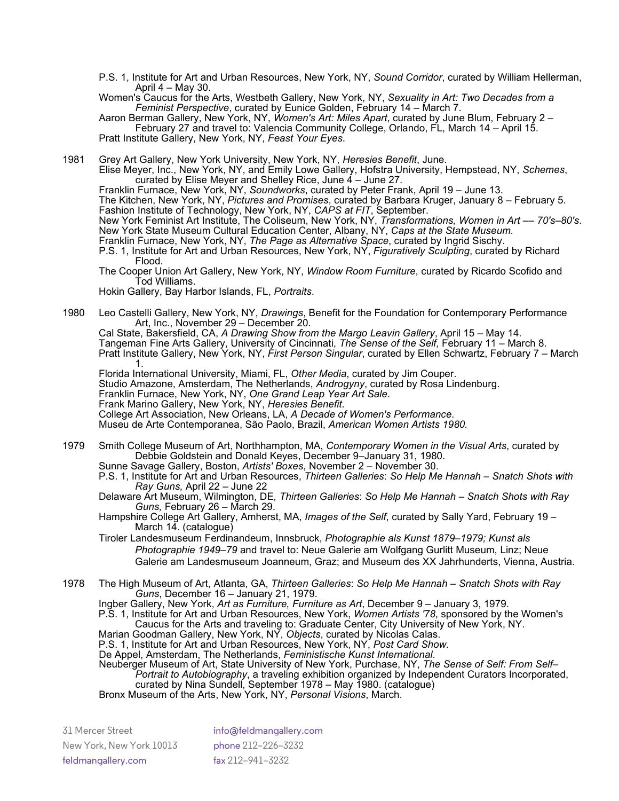P.S. 1, Institute for Art and Urban Resources, New York, NY, *Sound Corridor*, curated by William Hellerman, April 4 – May 30.

Women's Caucus for the Arts, Westbeth Gallery, New York, NY, *Sexuality in Art: Two Decades from a Feminist Perspective*, curated by Eunice Golden, February 14 – March 7.

Aaron Berman Gallery, New York, NY, *Women's Art: Miles Apart*, curated by June Blum, February 2 – February 27 and travel to: Valencia Community College, Orlando, FL, March 14 – April 15. Pratt Institute Gallery, New York, NY, *Feast Your Eyes*.

1981 Grey Art Gallery, New York University, New York, NY, *Heresies Benefit*, June.

Elise Meyer, Inc., New York, NY, and Emily Lowe Gallery, Hofstra University, Hempstead, NY, *Schemes*, curated by Elise Meyer and Shelley Rice, June 4 – June 27.

Franklin Furnace, New York, NY, *Soundworks*, curated by Peter Frank, April 19 – June 13. The Kitchen, New York, NY, *Pictures and Promises*, curated by Barbara Kruger, January 8 – February 5. Fashion Institute of Technology, New York, NY, *CAPS at FIT*, September. New York Feminist Art Institute, The Coliseum, New York, NY, *Transformations, Women in Art –– 70's–80's*. New York State Museum Cultural Education Center, Albany, NY, *Caps at the State Museum*.

- Franklin Furnace, New York, NY, *The Page as Alternative Space*, curated by Ingrid Sischy.
- P.S. 1, Institute for Art and Urban Resources, New York, NY, *Figuratively Sculpting*, curated by Richard Flood.
- The Cooper Union Art Gallery, New York, NY, *Window Room Furniture*, curated by Ricardo Scofido and Tod Williams.

Hokin Gallery, Bay Harbor Islands, FL, *Portraits*.

1980 Leo Castelli Gallery, New York, NY, *Drawings*, Benefit for the Foundation for Contemporary Performance Art, Inc., November 29 – December 20.

Cal State, Bakersfield, CA, *A Drawing Show from the Margo Leavin Gallery*, April 15 – May 14. Tangeman Fine Arts Gallery, University of Cincinnati, *The Sense of the Self,* February 11 – March 8. Pratt Institute Gallery, New York, NY, *First Person Singular*, curated by Ellen Schwartz, February 7 – March 1.

Florida International University, Miami, FL, *Other Media*, curated by Jim Couper. Studio Amazone, Amsterdam, The Netherlands, *Androgyny*, curated by Rosa Lindenburg. Franklin Furnace, New York, NY, *One Grand Leap Year Art Sale*. Frank Marino Gallery, New York, NY, *Heresies Benefit*.

College Art Association, New Orleans, LA, *A Decade of Women's Performance*. Museu de Arte Contemporanea, São Paolo, Brazil, *American Women Artists 1980.*

- 1979 Smith College Museum of Art, Northhampton, MA, *Contemporary Women in the Visual Arts*, curated by Debbie Goldstein and Donald Keyes, December 9–January 31, 1980.
	- Sunne Savage Gallery, Boston, *Artists' Boxes*, November 2 November 30.

P.S. 1, Institute for Art and Urban Resources, *Thirteen Galleries*: *So Help Me Hannah – Snatch Shots with Ray Guns,* April 22 – June 22

Delaware Art Museum, Wilmington, DE*, Thirteen Galleries*: *So Help Me Hannah – Snatch Shots with Ray Guns,* February 26 – March 29.

Hampshire College Art Gallery, Amherst, MA, *Images of the Self*, curated by Sally Yard, February 19 – March 14. (catalogue)

Tiroler Landesmuseum Ferdinandeum, Innsbruck, *Photographie als Kunst 1879–1979; Kunst als Photographie 1949–79* and travel to: Neue Galerie am Wolfgang Gurlitt Museum, Linz; Neue Galerie am Landesmuseum Joanneum, Graz; and Museum des XX Jahrhunderts, Vienna, Austria.

- 1978 The High Museum of Art, Atlanta, GA, *Thirteen Galleries*: *So Help Me Hannah – Snatch Shots with Ray Guns*, December 16 – January 21, 1979.
	- Ingber Gallery, New York, *Art as Furniture, Furniture as Art*, December 9 January 3, 1979.
	- P.S. 1, Institute for Art and Urban Resources, New York, *Women Artists '78*, sponsored by the Women's Caucus for the Arts and traveling to: Graduate Center, City University of New York, NY.
	- Marian Goodman Gallery, New York, NY, *Objects*, curated by Nicolas Calas.

P.S. 1, Institute for Art and Urban Resources, New York, NY, *Post Card Show.*

De Appel, Amsterdam, The Netherlands, *Feministische Kunst International*.

Neuberger Museum of Art, State University of New York, Purchase, NY, *The Sense of Self: From Self– Portrait to Autobiography*, a traveling exhibition organized by Independent Curators Incorporated, curated by Nina Sundell, September 1978 – May 1980. (catalogue)

Bronx Museum of the Arts, New York, NY, *Personal Visions*, March.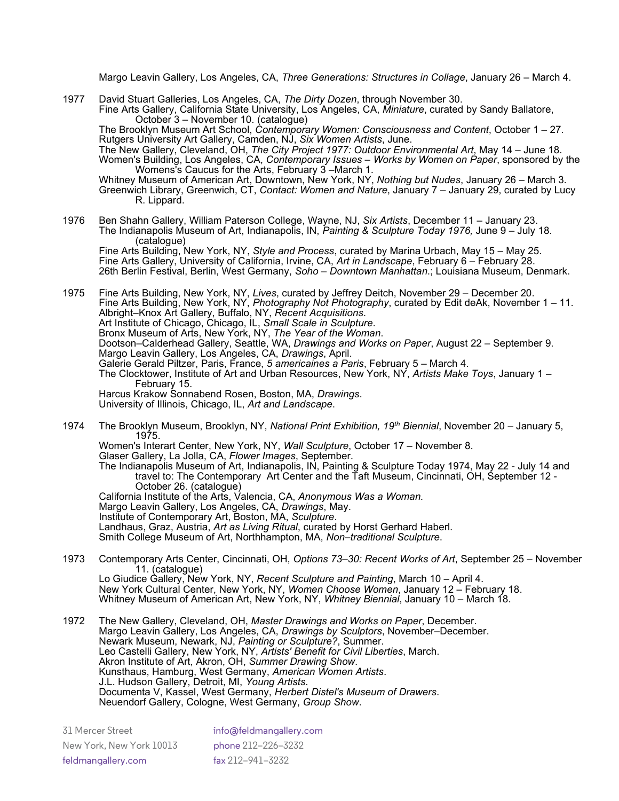Margo Leavin Gallery, Los Angeles, CA, *Three Generations: Structures in Collage*, January 26 – March 4.

1977 David Stuart Galleries, Los Angeles, CA, *The Dirty Dozen*, through November 30.

Fine Arts Gallery, California State University, Los Angeles, CA, *Miniature*, curated by Sandy Ballatore, October 3 – November 10. (catalogue)

The Brooklyn Museum Art School, *Contemporary Women: Consciousness and Content*, October 1 – 27. Rutgers University Art Gallery, Camden, NJ, *Six Women Artists*, June.

The New Gallery, Cleveland, OH, *The City Project 1977: Outdoor Environmental Art*, May 14 – June 18. Women's Building, Los Angeles, CA, *Contemporary Issues – Works by Women on Paper*, sponsored by the Womens's Caucus for the Arts, February 3 –March 1.

Whitney Museum of American Art, Downtown, New York, NY, *Nothing but Nudes*, January 26 – March 3. Greenwich Library, Greenwich, CT, *Contact: Women and Nature*, January 7 – January 29, curated by Lucy R. Lippard.

1976 Ben Shahn Gallery, William Paterson College, Wayne, NJ, *Six Artists*, December 11 – January 23. The Indianapolis Museum of Art, Indianapolis, IN, *Painting & Sculpture Today 1976,* June 9 – July 18. (catalogue) Fine Arts Building, New York, NY, *Style and Process*, curated by Marina Urbach, May 15 – May 25.

Fine Arts Gallery, University of California, Irvine, CA, *Art in Landscape*, February 6 – February 28. 26th Berlin Festival, Berlin, West Germany, *Soho – Downtown Manhattan*.; Louisiana Museum, Denmark.

1975 Fine Arts Building, New York, NY, *Lives*, curated by Jeffrey Deitch, November 29 – December 20. Fine Arts Building, New York, NY, *Photography Not Photography*, curated by Edit deAk, November 1 – 11. Albright–Knox Art Gallery, Buffalo, NY, *Recent Acquisitions*. Art Institute of Chicago, Chicago, IL, *Small Scale in Sculpture*. Bronx Museum of Arts, New York, NY, *The Year of the Woman*. Dootson–Calderhead Gallery, Seattle, WA, *Drawings and Works on Paper*, August 22 – September 9. Margo Leavin Gallery, Los Angeles, CA, *Drawings*, April. Galerie Gerald Piltzer, Paris, France, *5 americaines a Paris*, February 5 – March 4. The Clocktower, Institute of Art and Urban Resources, New York, NY, *Artists Make Toys*, January 1 – February 15. Harcus Krakow Sonnabend Rosen, Boston, MA, *Drawings*. University of Illinois, Chicago, IL, *Art and Landscape*. 1974 The Brooklyn Museum, Brooklyn, NY, *National Print Exhibition, 19th Biennial*, November 20 – January 5, 1975.

Women's Interart Center, New York, NY, *Wall Sculpture*, October 17 – November 8. Glaser Gallery, La Jolla, CA, *Flower Images*, September. The Indianapolis Museum of Art, Indianapolis, IN, Painting & Sculpture Today 1974, May 22 - July 14 and travel to: The Contemporary Art Center and the Taft Museum, Cincinnati, OH, September 12 - October 26. (catalogue) California Institute of the Arts, Valencia, CA, *Anonymous Was a Woman.* Margo Leavin Gallery, Los Angeles, CA, *Drawings*, May.

Landhaus, Graz, Austria, Art as Living Ritual, curated by Horst Gerhard Haberl.

Smith College Museum of Art, Northhampton, MA, *Non–traditional Sculpture*.

1973 Contemporary Arts Center, Cincinnati, OH, *Options 73–30: Recent Works of Art*, September 25 – November 11. (catalogue)

Lo Giudice Gallery, New York, NY, *Recent Sculpture and Painting*, March 10 – April 4. New York Cultural Center, New York, NY, *Women Choose Women*, January 12 – February 18. Whitney Museum of American Art, New York, NY, *Whitney Biennial*, January 10 – March 18.

1972 The New Gallery, Cleveland, OH, *Master Drawings and Works on Paper*, December. Margo Leavin Gallery, Los Angeles, CA, *Drawings by Sculptors*, November–December. Newark Museum, Newark, NJ, *Painting or Sculpture?*, Summer. Leo Castelli Gallery, New York, NY, *Artists' Benefit for Civil Liberties*, March. Akron Institute of Art, Akron, OH, *Summer Drawing Show*. Kunsthaus, Hamburg, West Germany, *American Women Artists*. J.L. Hudson Gallery, Detroit, MI, *Young Artists.*<br>Documenta V, Kassel, West Germany, *Herbert Distel's Museum of Drawers*. Neuendorf Gallery, Cologne, West Germany, *Group Show*.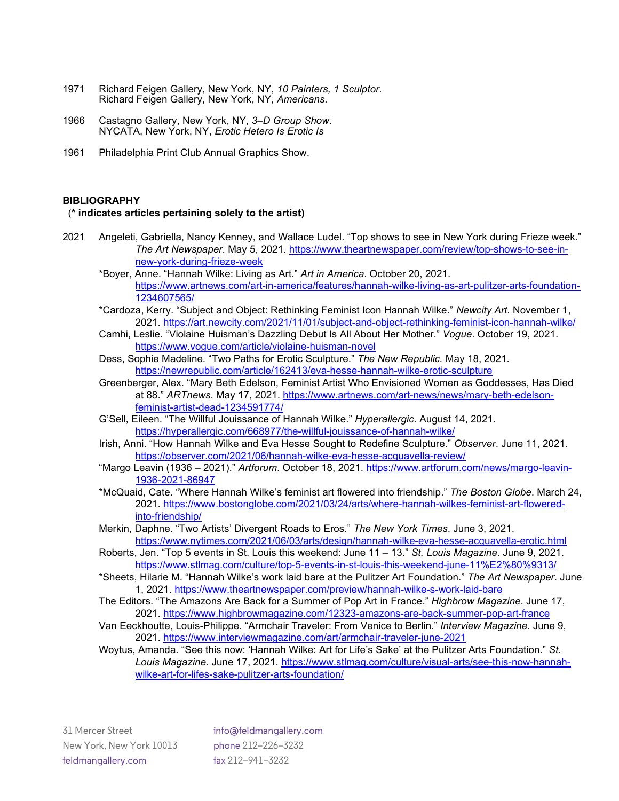- 1971 Richard Feigen Gallery, New York, NY, *10 Painters, 1 Sculptor*. Richard Feigen Gallery, New York, NY, *Americans*.
- 1966 Castagno Gallery, New York, NY, *3–D Group Show*. NYCATA, New York, NY, *Erotic Hetero Is Erotic Is*
- 1961 Philadelphia Print Club Annual Graphics Show.

# **BIBLIOGRAPHY**

# (**\* indicates articles pertaining solely to the artist)**

- 2021 Angeleti, Gabriella, Nancy Kenney, and Wallace Ludel. "Top shows to see in New York during Frieze week." *The Art Newspaper*. May 5, 2021. [https://www.theartnewspaper.com/review/top-shows-to-see-in](https://www.theartnewspaper.com/review/top-shows-to-see-in-new-york-during-frieze-week)[new-york-during-frieze-week](https://www.theartnewspaper.com/review/top-shows-to-see-in-new-york-during-frieze-week)
	- \*Boyer, Anne. "Hannah Wilke: Living as Art." *Art in America*. October 20, 2021. [https://www.artnews.com/art-in-america/features/hannah-wilke-living-as-art-pulitzer-arts-foundation-](https://www.artnews.com/art-in-america/features/hannah-wilke-living-as-art-pulitzer-arts-foundation-1234607565/)[1234607565/](https://www.artnews.com/art-in-america/features/hannah-wilke-living-as-art-pulitzer-arts-foundation-1234607565/)
	- \*Cardoza, Kerry. "Subject and Object: Rethinking Feminist Icon Hannah Wilke." *Newcity Art*. November 1, 2021.<https://art.newcity.com/2021/11/01/subject-and-object-rethinking-feminist-icon-hannah-wilke/>
	- Camhi, Leslie. "Violaine Huisman's Dazzling Debut Is All About Her Mother." *Vogue*. October 19, 2021. <https://www.vogue.com/article/violaine-huisman-novel>
	- Dess, Sophie Madeline. "Two Paths for Erotic Sculpture." *The New Republic.* May 18, 2021. <https://newrepublic.com/article/162413/eva-hesse-hannah-wilke-erotic-sculpture>
	- Greenberger, Alex. "Mary Beth Edelson, Feminist Artist Who Envisioned Women as Goddesses, Has Died at 88." *ARTnews*. May 17, 2021. [https://www.artnews.com/art-news/news/mary-beth-edelson](https://www.artnews.com/art-news/news/mary-beth-edelson-feminist-artist-dead-1234591774/)[feminist-artist-dead-1234591774/](https://www.artnews.com/art-news/news/mary-beth-edelson-feminist-artist-dead-1234591774/)
	- G'Sell, Eileen. "The Willful Jouissance of Hannah Wilke." *Hyperallergic*. August 14, 2021. <https://hyperallergic.com/668977/the-willful-jouissance-of-hannah-wilke/>
	- Irish, Anni. "How Hannah Wilke and Eva Hesse Sought to Redefine Sculpture." *Observer*. June 11, 2021. <https://observer.com/2021/06/hannah-wilke-eva-hesse-acquavella-review/>
	- "Margo Leavin (1936 2021)." *Artforum*. October 18, 2021. [https://www.artforum.com/news/margo-leavin-](https://www.artforum.com/news/margo-leavin-1936-2021-86947)[1936-2021-86947](https://www.artforum.com/news/margo-leavin-1936-2021-86947)
	- \*McQuaid, Cate. "Where Hannah Wilke's feminist art flowered into friendship." *The Boston Globe*. March 24, 2021. [https://www.bostonglobe.com/2021/03/24/arts/where-hannah-wilkes-feminist-art-flowered](https://www.bostonglobe.com/2021/03/24/arts/where-hannah-wilkes-feminist-art-flowered-into-friendship/)[into-friendship/](https://www.bostonglobe.com/2021/03/24/arts/where-hannah-wilkes-feminist-art-flowered-into-friendship/)
	- Merkin, Daphne. "Two Artists' Divergent Roads to Eros." *The New York Times*. June 3, 2021. <https://www.nytimes.com/2021/06/03/arts/design/hannah-wilke-eva-hesse-acquavella-erotic.html>
	- Roberts, Jen. "Top 5 events in St. Louis this weekend: June 11 13." *St. Louis Magazine*. June 9, 2021. <https://www.stlmag.com/culture/top-5-events-in-st-louis-this-weekend-june-11%E2%80%9313/>
	- \*Sheets, Hilarie M. "Hannah Wilke's work laid bare at the Pulitzer Art Foundation." *The Art Newspaper*. June 1, 2021.<https://www.theartnewspaper.com/preview/hannah-wilke-s-work-laid-bare>
	- The Editors. "The Amazons Are Back for a Summer of Pop Art in France." *Highbrow Magazine*. June 17, 2021.<https://www.highbrowmagazine.com/12323-amazons-are-back-summer-pop-art-france>
	- Van Eeckhoutte, Louis-Philippe. "Armchair Traveler: From Venice to Berlin." *Interview Magazine.* June 9, 2021.<https://www.interviewmagazine.com/art/armchair-traveler-june-2021>

Woytus, Amanda. "See this now: 'Hannah Wilke: Art for Life's Sake' at the Pulitzer Arts Foundation." *St. Louis Magazine*. June 17, 2021. [https://www.stlmag.com/culture/visual-arts/see-this-now-hannah](https://www.stlmag.com/culture/visual-arts/see-this-now-hannah-wilke-art-for-lifes-sake-pulitzer-arts-foundation/)[wilke-art-for-lifes-sake-pulitzer-arts-foundation/](https://www.stlmag.com/culture/visual-arts/see-this-now-hannah-wilke-art-for-lifes-sake-pulitzer-arts-foundation/)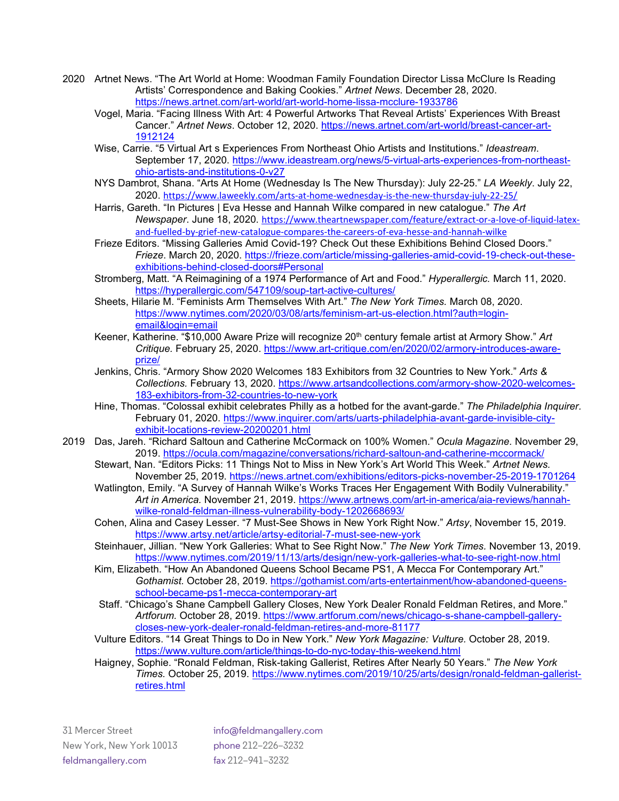- 2020 Artnet News. "The Art World at Home: Woodman Family Foundation Director Lissa McClure Is Reading Artists' Correspondence and Baking Cookies." *Artnet News*. December 28, 2020. <https://news.artnet.com/art-world/art-world-home-lissa-mcclure-1933786>
	- Vogel, Maria. "Facing Illness With Art: 4 Powerful Artworks That Reveal Artists' Experiences With Breast Cancer." *Artnet News*. October 12, 2020. [https://news.artnet.com/art-world/breast-cancer-art-](https://news.artnet.com/art-world/breast-cancer-art-1912124)[1912124](https://news.artnet.com/art-world/breast-cancer-art-1912124)
	- Wise, Carrie. "5 Virtual Art s Experiences From Northeast Ohio Artists and Institutions." *Ideastream*. September 17, 2020. [https://www.ideastream.org/news/5-virtual-arts-experiences-from-northeast](https://www.ideastream.org/news/5-virtual-arts-experiences-from-northeast-ohio-artists-and-institutions-0-v27)[ohio-artists-and-institutions-0-v27](https://www.ideastream.org/news/5-virtual-arts-experiences-from-northeast-ohio-artists-and-institutions-0-v27)
	- NYS Dambrot, Shana. "Arts At Home (Wednesday Is The New Thursday): July 22-25." *LA Weekly*. July 22, 2020. <https://www.laweekly.com/arts-at-home-wednesday-is-the-new-thursday-july-22-25/>
	- Harris, Gareth. "In Pictures | Eva Hesse and Hannah Wilke compared in new catalogue." *The Art Newspaper*. June 18, 2020. [https://www.theartnewspaper.com/feature/extract-or-a-love-of-liquid-latex](https://www.theartnewspaper.com/feature/extract-or-a-love-of-liquid-latex-and-fuelled-by-grief-new-catalogue-compares-the-careers-of-eva-hesse-and-hannah-wilke)[and-fuelled-by-grief-new-catalogue-compares-the-careers-of-eva-hesse-and-hannah-wilke](https://www.theartnewspaper.com/feature/extract-or-a-love-of-liquid-latex-and-fuelled-by-grief-new-catalogue-compares-the-careers-of-eva-hesse-and-hannah-wilke)
	- Frieze Editors. "Missing Galleries Amid Covid-19? Check Out these Exhibitions Behind Closed Doors." *Frieze*. March 20, 2020. [https://frieze.com/article/missing-galleries-amid-covid-19-check-out-these](https://frieze.com/article/missing-galleries-amid-covid-19-check-out-these-exhibitions-behind-closed-doors#Personal)[exhibitions-behind-closed-doors#Personal](https://frieze.com/article/missing-galleries-amid-covid-19-check-out-these-exhibitions-behind-closed-doors#Personal)
	- Stromberg, Matt. "A Reimagining of a 1974 Performance of Art and Food." *Hyperallergic.* March 11, 2020. <https://hyperallergic.com/547109/soup-tart-active-cultures/>
	- Sheets, Hilarie M. "Feminists Arm Themselves With Art." *The New York Times.* March 08, 2020. [https://www.nytimes.com/2020/03/08/arts/feminism-art-us-election.html?auth=login](https://www.nytimes.com/2020/03/08/arts/feminism-art-us-election.html?auth=login-email&login=email)[email&login=email](https://www.nytimes.com/2020/03/08/arts/feminism-art-us-election.html?auth=login-email&login=email)
	- Keener, Katherine. "\$10,000 Aware Prize will recognize 20<sup>th</sup> century female artist at Armory Show." Art *Critique.* February 25, 2020. [https://www.art-critique.com/en/2020/02/armory-introduces-aware](https://www.art-critique.com/en/2020/02/armory-introduces-aware-prize/)[prize/](https://www.art-critique.com/en/2020/02/armory-introduces-aware-prize/)
	- Jenkins, Chris. "Armory Show 2020 Welcomes 183 Exhibitors from 32 Countries to New York." *Arts & Collections.* February 13, 2020. [https://www.artsandcollections.com/armory-show-2020-welcomes-](https://www.artsandcollections.com/armory-show-2020-welcomes-183-exhibitors-from-32-countries-to-new-york)[183-exhibitors-from-32-countries-to-new-york](https://www.artsandcollections.com/armory-show-2020-welcomes-183-exhibitors-from-32-countries-to-new-york)
	- Hine, Thomas. "Colossal exhibit celebrates Philly as a hotbed for the avant-garde." *The Philadelphia Inquirer.*  February 01, 2020. [https://www.inquirer.com/arts/uarts-philadelphia-avant-garde-invisible-city](https://www.inquirer.com/arts/uarts-philadelphia-avant-garde-invisible-city-exhibit-locations-review-20200201.html)[exhibit-locations-review-20200201.html](https://www.inquirer.com/arts/uarts-philadelphia-avant-garde-invisible-city-exhibit-locations-review-20200201.html)
- 2019 Das, Jareh. "Richard Saltoun and Catherine McCormack on 100% Women." *Ocula Magazine.* November 29, 2019.<https://ocula.com/magazine/conversations/richard-saltoun-and-catherine-mccormack/>
	- Stewart, Nan. "Editors Picks: 11 Things Not to Miss in New York's Art World This Week." *Artnet News.*  November 25, 2019.<https://news.artnet.com/exhibitions/editors-picks-november-25-2019-1701264>
	- Watlington, Emily. "A Survey of Hannah Wilke's Works Traces Her Engagement With Bodily Vulnerability." *Art in America.* November 21, 2019. [https://www.artnews.com/art-in-america/aia-reviews/hannah](https://www.artnews.com/art-in-america/aia-reviews/hannah-wilke-ronald-feldman-illness-vulnerability-body-1202668693/)[wilke-ronald-feldman-illness-vulnerability-body-1202668693/](https://www.artnews.com/art-in-america/aia-reviews/hannah-wilke-ronald-feldman-illness-vulnerability-body-1202668693/)
	- Cohen, Alina and Casey Lesser. "7 Must-See Shows in New York Right Now." *Artsy*, November 15, 2019. <https://www.artsy.net/article/artsy-editorial-7-must-see-new-york>
	- Steinhauer, Jillian. "New York Galleries: What to See Right Now." *The New York Times.* November 13, 2019. <https://www.nytimes.com/2019/11/13/arts/design/new-york-galleries-what-to-see-right-now.html>
	- Kim, Elizabeth. "How An Abandoned Queens School Became PS1, A Mecca For Contemporary Art." *Gothamist.* October 28, 2019. [https://gothamist.com/arts-entertainment/how-abandoned-queens](https://gothamist.com/arts-entertainment/how-abandoned-queens-school-became-ps1-mecca-contemporary-art)[school-became-ps1-mecca-contemporary-art](https://gothamist.com/arts-entertainment/how-abandoned-queens-school-became-ps1-mecca-contemporary-art)
	- Staff. "Chicago's Shane Campbell Gallery Closes, New York Dealer Ronald Feldman Retires, and More." *Artforum.* October 28, 2019. [https://www.artforum.com/news/chicago-s-shane-campbell-gallery](https://www.artforum.com/news/chicago-s-shane-campbell-gallery-closes-new-york-dealer-ronald-feldman-retires-and-more-81177)[closes-new-york-dealer-ronald-feldman-retires-and-more-81177](https://www.artforum.com/news/chicago-s-shane-campbell-gallery-closes-new-york-dealer-ronald-feldman-retires-and-more-81177)
	- Vulture Editors. "14 Great Things to Do in New York." *New York Magazine: Vulture.* October 28, 2019. <https://www.vulture.com/article/things-to-do-nyc-today-this-weekend.html>
	- Haigney, Sophie. "Ronald Feldman, Risk-taking Gallerist, Retires After Nearly 50 Years." *The New York Times.* October 25, 2019. [https://www.nytimes.com/2019/10/25/arts/design/ronald-feldman-gallerist](https://www.nytimes.com/2019/10/25/arts/design/ronald-feldman-gallerist-retires.html)[retires.html](https://www.nytimes.com/2019/10/25/arts/design/ronald-feldman-gallerist-retires.html)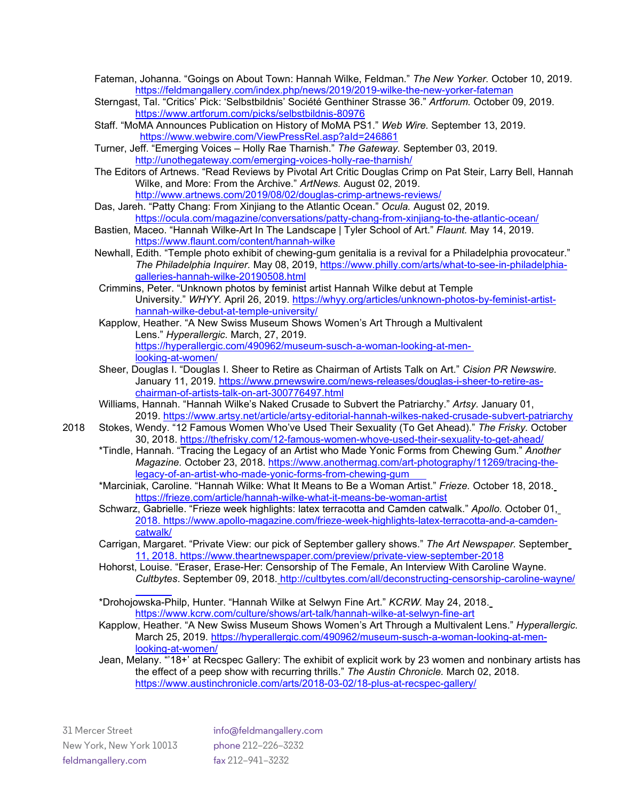Fateman, Johanna. "Goings on About Town: Hannah Wilke, Feldman." *The New Yorker.* October 10, 2019. <https://feldmangallery.com/index.php/news/2019/2019-wilke-the-new-yorker-fateman>

- Sterngast, Tal. "Critics' Pick: 'Selbstbildnis' Société Genthiner Strasse 36." *Artforum.* October 09, 2019. <https://www.artforum.com/picks/selbstbildnis-80976>
- Staff. "MoMA Announces Publication on History of MoMA PS1." *Web Wire.* September 13, 2019. <https://www.webwire.com/ViewPressRel.asp?aId=246861>
- Turner, Jeff. "Emerging Voices Holly Rae Tharnish." *The Gateway.* September 03, 2019. <http://unothegateway.com/emerging-voices-holly-rae-tharnish/>
- The Editors of Artnews. "Read Reviews by Pivotal Art Critic Douglas Crimp on Pat Steir, Larry Bell, Hannah Wilke, and More: From the Archive." *ArtNews.* August 02, 2019. <http://www.artnews.com/2019/08/02/douglas-crimp-artnews-reviews/>
- Das, Jareh. "Patty Chang: From Xinjiang to the Atlantic Ocean." *Ocula.* August 02, 2019. <https://ocula.com/magazine/conversations/patty-chang-from-xinjiang-to-the-atlantic-ocean/>
- Bastien, Maceo. "Hannah Wilke-Art In The Landscape | Tyler School of Art." *Flaunt.* May 14, 2019. <https://www.flaunt.com/content/hannah-wilke>
- Newhall, Edith. "Temple photo exhibit of chewing-gum genitalia is a revival for a Philadelphia provocateur." *The Philadelphia Inquirer.* May 08, 2019, [https://www.philly.com/arts/what-to-see-in-philadelphia](https://www.philly.com/arts/what-to-see-in-philadelphia-galleries-hannah-wilke-20190508.html)[galleries-hannah-wilke-20190508.html](https://www.philly.com/arts/what-to-see-in-philadelphia-galleries-hannah-wilke-20190508.html)
- Crimmins, Peter. "Unknown photos by feminist artist Hannah Wilke debut at Temple University." *WHYY.* April 26, 2019. [https://whyy.org/articles/unknown-photos-by-feminist-artist](https://whyy.org/articles/unknown-photos-by-feminist-artist-hannah-wilke-debut-at-temple-university/)[hannah-wilke-debut-at-temple-university/](https://whyy.org/articles/unknown-photos-by-feminist-artist-hannah-wilke-debut-at-temple-university/)

Kapplow, Heather. "A New Swiss Museum Shows Women's Art Through a Multivalent Lens." *Hyperallergic.* March, 27, 2019. [https://hyperallergic.com/490962/museum-susch-a-woman-looking-at-men](https://hyperallergic.com/490962/museum-susch-a-woman-looking-at-men-%20looking-at-women/)[looking-at-women/](https://hyperallergic.com/490962/museum-susch-a-woman-looking-at-men-%20looking-at-women/)

- Sheer, Douglas I. "Douglas I. Sheer to Retire as Chairman of Artists Talk on Art." *Cision PR Newswire.*  January 11, 2019. [https://www.prnewswire.com/news-releases/douglas-i-sheer-to-retire-as](https://www.prnewswire.com/news-releases/douglas-i-sheer-to-retire-as-chairman-of-artists-talk-on-art-300776497.html)[chairman-of-artists-talk-on-art-300776497.html](https://www.prnewswire.com/news-releases/douglas-i-sheer-to-retire-as-chairman-of-artists-talk-on-art-300776497.html)
- Williams, Hannah. "Hannah Wilke's Naked Crusade to Subvert the Patriarchy." *Artsy.* January 01, 2019.<https://www.artsy.net/article/artsy-editorial-hannah-wilkes-naked-crusade-subvert-patriarchy>
- 2018 Stokes, Wendy. "12 Famous Women Who've Used Their Sexuality (To Get Ahead)." *The Frisky.* October 30, 2018.<https://thefrisky.com/12-famous-women-whove-used-their-sexuality-to-get-ahead/>
	- \*Tindle, Hannah. "Tracing the Legacy of an Artist who Made Yonic Forms from Chewing Gum." *Another Magazine.* October 23, 2018. [https://www.anothermag.com/art-photography/11269/tracing-the](https://www.anothermag.com/art-photography/11269/tracing-the-legacy-of-an-artist-who-made-yonic-forms-from-chewing-gum)[legacy-of-an-artist-who-made-yonic-forms-from-chewing-gum](https://www.anothermag.com/art-photography/11269/tracing-the-legacy-of-an-artist-who-made-yonic-forms-from-chewing-gum)
	- \*Marciniak, Caroline. "Hannah Wilke: What It Means to Be a Woman Artist." *Frieze.* October 18, 2018. <https://frieze.com/article/hannah-wilke-what-it-means-be-woman-artist>
	- Schwarz, Gabrielle. "Frieze week highlights: latex terracotta and Camden catwalk." *Apollo.* October 01, 2018. [https://www.apollo-magazine.com/frieze-week-highlights-latex-terracotta-and-a-camden](https://www.apollo-magazine.com/frieze-week-highlights-latex-terracotta-and-a-camden-catwalk/)[catwalk/](https://www.apollo-magazine.com/frieze-week-highlights-latex-terracotta-and-a-camden-catwalk/)
	- Carrigan, Margaret. "Private View: our pick of September gallery shows." *The Art Newspaper.* September 11, 2018. <https://www.theartnewspaper.com/preview/private-view-september-2018>
	- Hohorst, Louise. "Eraser, Erase-Her: Censorship of The Female, An Interview With Caroline Wayne. *Cultbytes*. September 09, 2018. <http://cultbytes.com/all/deconstructing-censorship-caroline-wayne/>

\*Drohojowska-Philp, Hunter. "Hannah Wilke at Selwyn Fine Art." *KCRW.* May 24, 2018. <https://www.kcrw.com/culture/shows/art-talk/hannah-wilke-at-selwyn-fine-art>

- Kapplow, Heather. "A New Swiss Museum Shows Women's Art Through a Multivalent Lens." *Hyperallergic.*  March 25, 2019. [https://hyperallergic.com/490962/museum-susch-a-woman-looking-at-men](https://hyperallergic.com/490962/museum-susch-a-woman-looking-at-men-looking-at-women/)[looking-at-women/](https://hyperallergic.com/490962/museum-susch-a-woman-looking-at-men-looking-at-women/)
- Jean, Melany. "'18+' at Recspec Gallery: The exhibit of explicit work by 23 women and nonbinary artists has the effect of a peep show with recurring thrills." *The Austin Chronicle.* March 02, 2018. <https://www.austinchronicle.com/arts/2018-03-02/18-plus-at-recspec-gallery/>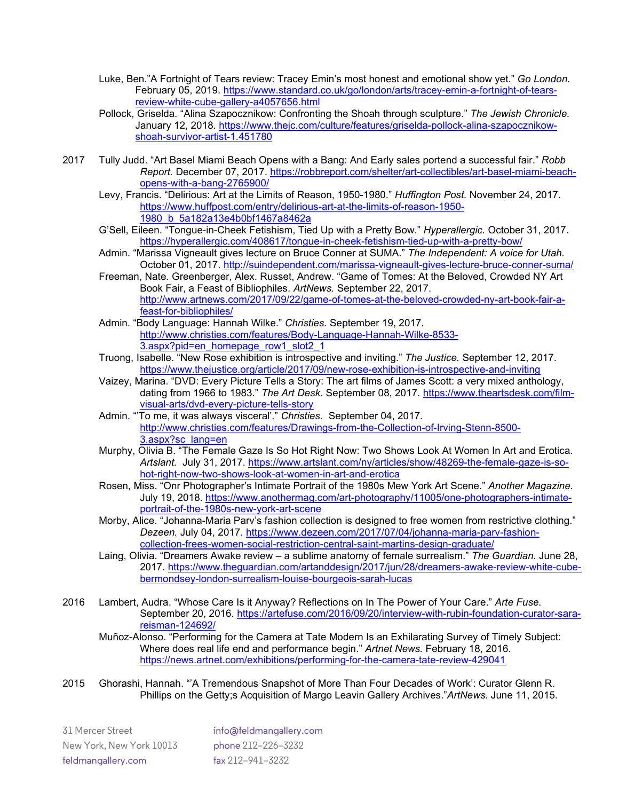- Luke, Ben."A Fortnight of Tears review: Tracey Emin's most honest and emotional show yet." *Go London.*  February 05, 2019. [https://www.standard.co.uk/go/london/arts/tracey-emin-a-fortnight-of-tears](https://www.standard.co.uk/go/london/arts/tracey-emin-a-fortnight-of-tears-review-white-cube-gallery-a4057656.html)[review-white-cube-gallery-a4057656.html](https://www.standard.co.uk/go/london/arts/tracey-emin-a-fortnight-of-tears-review-white-cube-gallery-a4057656.html)
- Pollock, Griselda. "Alina Szapocznikow: Confronting the Shoah through sculpture." *The Jewish Chronicle.*  January 12, 2018. [https://www.thejc.com/culture/features/griselda-pollock-alina-szapocznikow](https://www.thejc.com/culture/features/griselda-pollock-alina-szapocznikow-shoah-survivor-artist-1.451780)[shoah-survivor-artist-1.451780](https://www.thejc.com/culture/features/griselda-pollock-alina-szapocznikow-shoah-survivor-artist-1.451780)
- 2017 Tully Judd. "Art Basel Miami Beach Opens with a Bang: And Early sales portend a successful fair." *Robb Report.* December 07, 2017. [https://robbreport.com/shelter/art-collectibles/art-basel-miami-beach](https://robbreport.com/shelter/art-collectibles/art-basel-miami-beach-opens-with-a-bang-2765900/)[opens-with-a-bang-2765900/](https://robbreport.com/shelter/art-collectibles/art-basel-miami-beach-opens-with-a-bang-2765900/)
	- Levy, Francis. "Delirious: Art at the Limits of Reason, 1950-1980." *Huffington Post.* November 24, 2017. [https://www.huffpost.com/entry/delirious-art-at-the-limits-of-reason-1950-](https://www.huffpost.com/entry/delirious-art-at-the-limits-of-reason-1950-1980_b_5a182a13e4b0bf1467a8462a) [1980\\_b\\_5a182a13e4b0bf1467a8462a](https://www.huffpost.com/entry/delirious-art-at-the-limits-of-reason-1950-1980_b_5a182a13e4b0bf1467a8462a)
	- G'Sell, Eileen. "Tongue-in-Cheek Fetishism, Tied Up with a Pretty Bow." *Hyperallergic.* October 31, 2017. <https://hyperallergic.com/408617/tongue-in-cheek-fetishism-tied-up-with-a-pretty-bow/>
	- Admin. "Marissa Vigneault gives lecture on Bruce Conner at SUMA." *The Independent: A voice for Utah.*  October 01, 2017.<http://suindependent.com/marissa-vigneault-gives-lecture-bruce-conner-suma/>
	- Freeman, Nate. Greenberger, Alex. Russet, Andrew. "Game of Tomes: At the Beloved, Crowded NY Art Book Fair, a Feast of Bibliophiles. *ArtNews.* September 22, 2017. [http://www.artnews.com/2017/09/22/game-of-tomes-at-the-beloved-crowded-ny-art-book-fair-a](http://www.artnews.com/2017/09/22/game-of-tomes-at-the-beloved-crowded-ny-art-book-fair-a-feast-for-bibliophiles/)[feast-for-bibliophiles/](http://www.artnews.com/2017/09/22/game-of-tomes-at-the-beloved-crowded-ny-art-book-fair-a-feast-for-bibliophiles/)
	- Admin. "Body Language: Hannah Wilke." *Christies.* September 19, 2017. [http://www.christies.com/features/Body-Language-Hannah-Wilke-8533-](http://www.christies.com/features/Body-Language-Hannah-Wilke-8533-3.aspx?pid=en_homepage_row1_slot2_1) [3.aspx?pid=en\\_homepage\\_row1\\_slot2\\_1](http://www.christies.com/features/Body-Language-Hannah-Wilke-8533-3.aspx?pid=en_homepage_row1_slot2_1)
	- Truong, Isabelle. "New Rose exhibition is introspective and inviting." *The Justice.* September 12, 2017. <https://www.thejustice.org/article/2017/09/new-rose-exhibition-is-introspective-and-inviting>
	- Vaizey, Marina. "DVD: Every Picture Tells a Story: The art films of James Scott: a very mixed anthology, dating from 1966 to 1983." *The Art Desk.* September 08, 2017. [https://www.theartsdesk.com/film](https://www.theartsdesk.com/film-visual-arts/dvd-every-picture-tells-story)[visual-arts/dvd-every-picture-tells-story](https://www.theartsdesk.com/film-visual-arts/dvd-every-picture-tells-story)
	- Admin. "'To me, it was always visceral'." *Christies.* September 04, 2017. [http://www.christies.com/features/Drawings-from-the-Collection-of-Irving-Stenn-8500-](http://www.christies.com/features/Drawings-from-the-Collection-of-Irving-Stenn-8500-3.aspx?sc_lang=en) [3.aspx?sc\\_lang=en](http://www.christies.com/features/Drawings-from-the-Collection-of-Irving-Stenn-8500-3.aspx?sc_lang=en)
	- Murphy, Olivia B. "The Female Gaze Is So Hot Right Now: Two Shows Look At Women In Art and Erotica. *Artslant.* July 31, 2017. [https://www.artslant.com/ny/articles/show/48269-the-female-gaze-is-so](https://www.artslant.com/ny/articles/show/48269-the-female-gaze-is-so-hot-right-now-two-shows-look-at-women-in-art-and-erotica)[hot-right-now-two-shows-look-at-women-in-art-and-erotica](https://www.artslant.com/ny/articles/show/48269-the-female-gaze-is-so-hot-right-now-two-shows-look-at-women-in-art-and-erotica)
	- Rosen, Miss. "Onr Photographer's Intimate Portrait of the 1980s Mew York Art Scene." *Another Magazine.*  July 19, 2018. [https://www.anothermag.com/art-photography/11005/one-photographers-intimate](https://www.anothermag.com/art-photography/11005/one-photographers-intimate-portrait-of-the-1980s-new-york-art-scene)[portrait-of-the-1980s-new-york-art-scene](https://www.anothermag.com/art-photography/11005/one-photographers-intimate-portrait-of-the-1980s-new-york-art-scene)
	- Morby, Alice. "Johanna-Maria Parv's fashion collection is designed to free women from restrictive clothing." *Dezeen.* July 04, 2017. [https://www.dezeen.com/2017/07/04/johanna-maria-parv-fashion](https://www.dezeen.com/2017/07/04/johanna-maria-parv-fashion-collection-frees-women-social-restriction-central-saint-martins-design-graduate/)[collection-frees-women-social-restriction-central-saint-martins-design-graduate/](https://www.dezeen.com/2017/07/04/johanna-maria-parv-fashion-collection-frees-women-social-restriction-central-saint-martins-design-graduate/)
	- Laing, Olivia. "Dreamers Awake review a sublime anatomy of female surrealism." *The Guardian.* June 28, 2017. [https://www.theguardian.com/artanddesign/2017/jun/28/dreamers-awake-review-white-cube](https://www.theguardian.com/artanddesign/2017/jun/28/dreamers-awake-review-white-cube-bermondsey-london-surrealism-louise-bourgeois-sarah-lucas)[bermondsey-london-surrealism-louise-bourgeois-sarah-lucas](https://www.theguardian.com/artanddesign/2017/jun/28/dreamers-awake-review-white-cube-bermondsey-london-surrealism-louise-bourgeois-sarah-lucas)
- 2016 Lambert, Audra. "Whose Care Is it Anyway? Reflections on In The Power of Your Care." *Arte Fuse.*  September 20, 2016. [https://artefuse.com/2016/09/20/interview-with-rubin-foundation-curator-sara](https://artefuse.com/2016/09/20/interview-with-rubin-foundation-curator-sara-reisman-124692/)[reisman-124692/](https://artefuse.com/2016/09/20/interview-with-rubin-foundation-curator-sara-reisman-124692/)
	- Muñoz-Alonso. "Performing for the Camera at Tate Modern Is an Exhilarating Survey of Timely Subject: Where does real life end and performance begin." *Artnet News.* February 18, 2016. <https://news.artnet.com/exhibitions/performing-for-the-camera-tate-review-429041>
- 2015 Ghorashi, Hannah. "'A Tremendous Snapshot of More Than Four Decades of Work': Curator Glenn R. Phillips on the Getty;s Acquisition of Margo Leavin Gallery Archives."*ArtNews.* June 11, 2015.

New York, New York 10013 phone 212–226–3232 feldmangallery.com fax 212–941–3232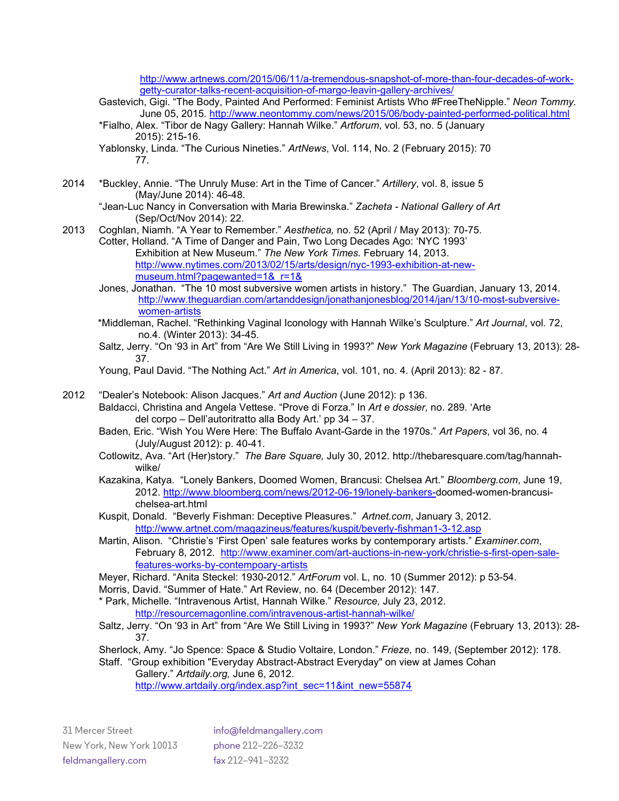[http://www.artnews.com/2015/06/11/a-tremendous-snapshot-of-more-than-four-decades-of-work](http://www.artnews.com/2015/06/11/a-tremendous-snapshot-of-more-than-four-decades-of-work-getty-curator-talks-recent-acquisition-of-margo-leavin-gallery-archives/)[getty-curator-talks-recent-acquisition-of-margo-leavin-gallery-archives/](http://www.artnews.com/2015/06/11/a-tremendous-snapshot-of-more-than-four-decades-of-work-getty-curator-talks-recent-acquisition-of-margo-leavin-gallery-archives/)

- Gastevich, Gigi. "The Body, Painted And Performed: Feminist Artists Who #FreeTheNipple." *Neon Tommy.*  June 05, 2015.<http://www.neontommy.com/news/2015/06/body-painted-performed-political.html>
- \*Fialho, Alex. "Tibor de Nagy Gallery: Hannah Wilke." *Artforum*, vol. 53, no. 5 (January 2015): 215-16.
- Yablonsky, Linda. "The Curious Nineties." *ArtNews*, Vol. 114, No. 2 (February 2015): 70 77.
- 2014 \*Buckley, Annie. "The Unruly Muse: Art in the Time of Cancer." *Artillery*, vol. 8, issue 5 (May/June 2014): 46-48.
	- "Jean-Luc Nancy in Conversation with Maria Brewinska." *Zacheta - National Gallery of Art* (Sep/Oct/Nov 2014): 22.
- 2013 Coghlan, Niamh. "A Year to Remember." *Aesthetica,* no. 52 (April / May 2013): 70-75.
- Cotter, Holland. "A Time of Danger and Pain, Two Long Decades Ago: 'NYC 1993' Exhibition at New Museum." *The New York Times.* February 14, 2013. [http://www.nytimes.com/2013/02/15/arts/design/nyc-1993-exhibition-at-new](http://www.nytimes.com/2013/02/15/arts/design/nyc-1993-exhibition-at-new-museum.html?pagewanted=1&_r=1&)[museum.html?pagewanted=1&\\_r=1&](http://www.nytimes.com/2013/02/15/arts/design/nyc-1993-exhibition-at-new-museum.html?pagewanted=1&_r=1&)
	- Jones, Jonathan. "The 10 most subversive women artists in history." The Guardian, January 13, 2014. [http://www.theguardian.com/artanddesign/jonathanjonesblog/2014/jan/13/10-most-subversive](http://www.theguardian.com/artanddesign/jonathanjonesblog/2014/jan/13/10-most-subversive-women-artists)[women-artists](http://www.theguardian.com/artanddesign/jonathanjonesblog/2014/jan/13/10-most-subversive-women-artists)
	- \*Middleman, Rachel. "Rethinking Vaginal Iconology with Hannah Wilke's Sculpture." *Art Journal*, vol. 72, no.4. (Winter 2013): 34-45.
	- Saltz, Jerry. "On '93 in Art" from "Are We Still Living in 1993?" *New York Magazine* (February 13, 2013): 28- 37.
	- Young, Paul David. "The Nothing Act." *Art in America*, vol. 101, no. 4. (April 2013): 82 87.
- 2012 "Dealer's Notebook: Alison Jacques." *Art and Auction* (June 2012): p 136. Baldacci, Christina and Angela Vettese. "Prove di Forza." In *Art e dossier,* no. 289. 'Arte del corpo – Dell'autoritratto alla Body Art.' pp 34 – 37.
	- Baden, Eric. "Wish You Were Here: The Buffalo Avant-Garde in the 1970s." *Art Papers*, vol 36, no. 4 (July/August 2012): p. 40-41.
	- Cotlowitz, Ava. "Art (Her)story." *The Bare Square,* July 30, 2012. http://thebaresquare.com/tag/hannahwilke/
	- Kazakina, Katya. "Lonely Bankers, Doomed Women, Brancusi: Chelsea Art." *Bloomberg.com*, June 19, 2012. [http://www.bloomberg.com/news/2012-06-19/lonely-bankers-d](http://www.bloomberg.com/news/2012-06-19/lonely-bankers-)oomed-women-brancusichelsea-art.html
	- Kuspit, Donald. "Beverly Fishman: Deceptive Pleasures." *Artnet.com*, January 3, 2012. <http://www.artnet.com/magazineus/features/kuspit/beverly-fishman1-3-12.asp>
	- Martin, Alison. "Christie's 'First Open' sale features works by contemporary artists." *Examiner.com*, February 8, 2012. [http://www.examiner.com/art-auctions-in-new-york/christie-s-first-open-sale](http://www.examiner.com/art-auctions-in-new-york/christie-s-first-open-sale-features-works-by-contempoary-artists)[features-works-by-contempoary-artists](http://www.examiner.com/art-auctions-in-new-york/christie-s-first-open-sale-features-works-by-contempoary-artists)
	- Meyer, Richard. "Anita Steckel: 1930-2012." *ArtForum* vol. L, no. 10 (Summer 2012): p 53-54.
	- Morris, David. "Summer of Hate." Art Review, no. 64 (December 2012): 147.
	- \* Park, Michelle. "Intravenous Artist, Hannah Wilke." *Resource,* July 23, 2012. <http://resourcemagonline.com/intravenous-artist-hannah-wilke/>
	- Saltz, Jerry. "On '93 in Art" from "Are We Still Living in 1993?" *New York Magazine* (February 13, 2013): 28- 37.
	- Sherlock, Amy. "Jo Spence: Space & Studio Voltaire, London." *Frieze,* no. 149, (September 2012): 178.

Staff. "Group exhibition "Everyday Abstract-Abstract Everyday" on view at James Cohan Gallery." *Artdaily.org,* June 6, 2012.

[http://www.artdaily.org/index.asp?int\\_sec=11&int\\_new=55874](http://www.artdaily.org/index.asp?int_sec=11&int_new=55874)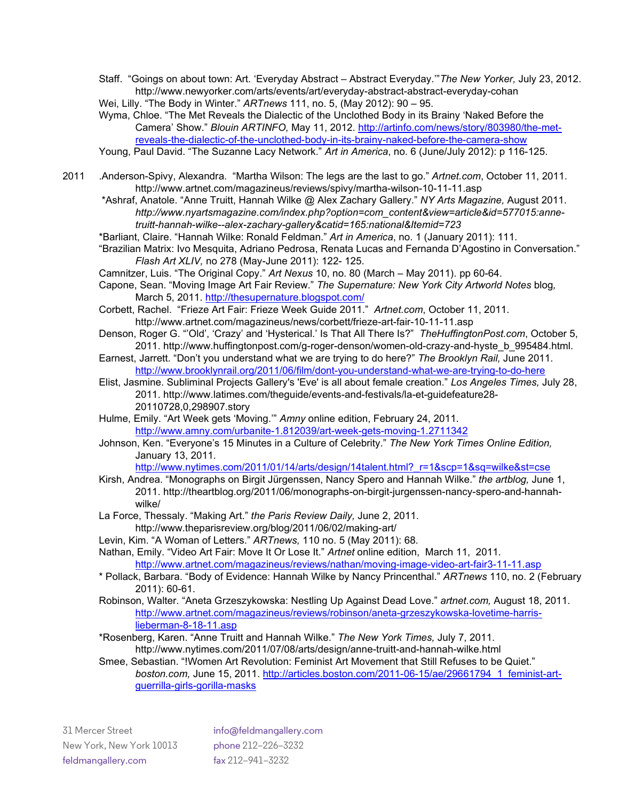Staff. "Goings on about town: Art. 'Everyday Abstract – Abstract Everyday.'"*The New Yorker,* July 23, 2012. http://www.newyorker.com/arts/events/art/everyday-abstract-abstract-everyday-cohan Wei, Lilly. "The Body in Winter." *ARTnews* 111, no. 5, (May 2012): 90 – 95.

Wyma, Chloe. "The Met Reveals the Dialectic of the Unclothed Body in its Brainy 'Naked Before the Camera' Show." *Blouin ARTINFO,* May 11, 2012. [http://artinfo.com/news/story/803980/the-met](http://artinfo.com/news/story/803980/the-met-reveals-the-dialectic-of-the-unclothed-body-in-its-brainy-naked-before-the-camera-show)[reveals-the-dialectic-of-the-unclothed-body-in-its-brainy-naked-before-the-camera-show](http://artinfo.com/news/story/803980/the-met-reveals-the-dialectic-of-the-unclothed-body-in-its-brainy-naked-before-the-camera-show)

- Young, Paul David. "The Suzanne Lacy Network." *Art in America*, no. 6 (June/July 2012): p 116-125.
- 2011 .Anderson-Spivy, Alexandra. "Martha Wilson: The legs are the last to go." *Artnet.com*, October 11, 2011. http://www.artnet.com/magazineus/reviews/spivy/martha-wilson-10-11-11.asp
	- \*Ashraf, Anatole. "Anne Truitt, Hannah Wilke @ Alex Zachary Gallery." *NY Arts Magazine,* August 2011. *http://www.nyartsmagazine.com/index.php?option=com\_content&view=article&id=577015:annetruitt-hannah-wilke--alex-zachary-gallery&catid=165:national&Itemid=723*
	- \*Barliant, Claire. "Hannah Wilke: Ronald Feldman." *Art in America*, no. 1 (January 2011): 111.
	- "Brazilian Matrix: Ivo Mesquita, Adriano Pedrosa, Renata Lucas and Fernanda D'Agostino in Conversation." *Flash Art XLIV,* no 278 (May-June 2011): 122- 125.
	- Camnitzer, Luis. "The Original Copy." *Art Nexus* 10, no. 80 (March May 2011). pp 60-64.
	- Capone, Sean. "Moving Image Art Fair Review." *The Supernature: New York City Artworld Notes* blog*,*  March 5, 2011. <http://thesupernature.blogspot.com/>
	- Corbett, Rachel. "Frieze Art Fair: Frieze Week Guide 2011." *Artnet.com*, October 11, 2011. http://www.artnet.com/magazineus/news/corbett/frieze-art-fair-10-11-11.asp
	- Denson, Roger G. "'Old', 'Crazy' and 'Hysterical.' Is That All There Is?" *TheHuffingtonPost.com*, October 5, 2011. http://www.huffingtonpost.com/g-roger-denson/women-old-crazy-and-hyste\_b\_995484.html.
	- Earnest, Jarrett. "Don't you understand what we are trying to do here?" *The Brooklyn Rail,* June 2011. <http://www.brooklynrail.org/2011/06/film/dont-you-understand-what-we-are-trying-to-do-here>
	- Elist, Jasmine. Subliminal Projects Gallery's 'Eve' is all about female creation." *Los Angeles Times,* July 28, 2011. http://www.latimes.com/theguide/events-and-festivals/la-et-guidefeature28- 20110728,0,298907.story
	- Hulme, Emily. "Art Week gets 'Moving.'" *Amny* online edition, February 24, 2011. <http://www.amny.com/urbanite-1.812039/art-week-gets-moving-1.2711342>
	- Johnson, Ken. "Everyone's 15 Minutes in a Culture of Celebrity." *The New York Times Online Edition,*  January 13, 2011.

[http://www.nytimes.com/2011/01/14/arts/design/14talent.html?\\_r=1&scp=1&sq=wilke&st=cse](http://www.nytimes.com/2011/01/14/arts/design/14talent.html?_r=1&scp=1&sq=wilke&st=cse)

- Kirsh, Andrea. "Monographs on Birgit Jürgenssen, Nancy Spero and Hannah Wilke." *the artblog,* June 1, 2011. http://theartblog.org/2011/06/monographs-on-birgit-jurgenssen-nancy-spero-and-hannahwilke/
- La Force, Thessaly. "Making Art." *the Paris Review Daily,* June 2, 2011. http://www.theparisreview.org/blog/2011/06/02/making-art/
- Levin, Kim. "A Woman of Letters." *ARTnews,* 110 no. 5 (May 2011): 68.
- Nathan, Emily. "Video Art Fair: Move It Or Lose It." *Artnet* online edition, March 11, 2011. <http://www.artnet.com/magazineus/reviews/nathan/moving-image-video-art-fair3-11-11.asp>
- \* Pollack, Barbara. "Body of Evidence: Hannah Wilke by Nancy Princenthal." *ARTnews* 110, no. 2 (February 2011): 60-61.
- Robinson, Walter. "Aneta Grzeszykowska: Nestling Up Against Dead Love." *artnet.com,* August 18, 2011. [http://www.artnet.com/magazineus/reviews/robinson/aneta-grzeszykowska-lovetime-harris](http://www.artnet.com/magazineus/reviews/robinson/aneta-grzeszykowska-lovetime-harris-lieberman-8-18-11.asp)[lieberman-8-18-11.asp](http://www.artnet.com/magazineus/reviews/robinson/aneta-grzeszykowska-lovetime-harris-lieberman-8-18-11.asp)
- \*Rosenberg, Karen. "Anne Truitt and Hannah Wilke." *The New York Times,* July 7, 2011. http://www.nytimes.com/2011/07/08/arts/design/anne-truitt-and-hannah-wilke.html
- Smee, Sebastian. "!Women Art Revolution: Feminist Art Movement that Still Refuses to be Quiet." *boston.com,* June 15, 2011. [http://articles.boston.com/2011-06-15/ae/29661794\\_1\\_feminist-art](http://articles.boston.com/2011-06-15/ae/29661794_1_feminist-art-guerrilla-girls-gorilla-masks)[guerrilla-girls-gorilla-masks](http://articles.boston.com/2011-06-15/ae/29661794_1_feminist-art-guerrilla-girls-gorilla-masks)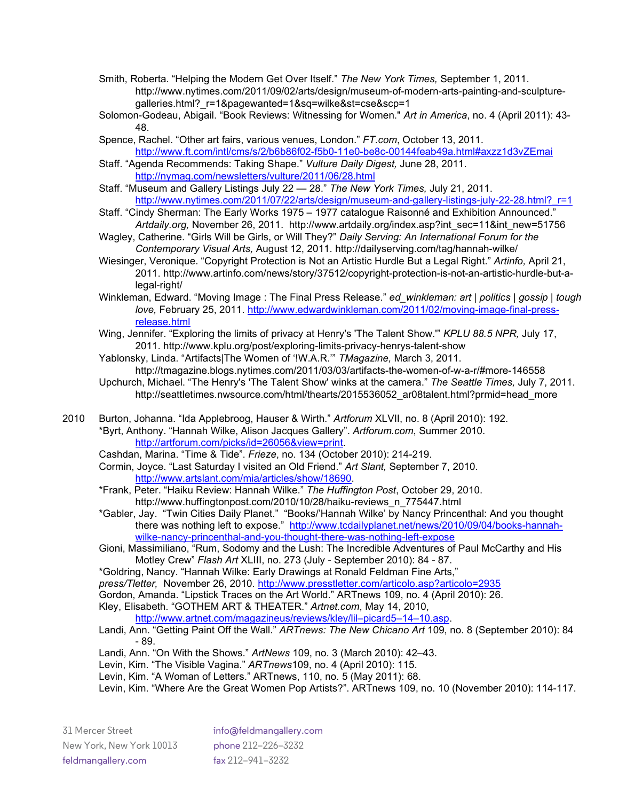- Smith, Roberta. "Helping the Modern Get Over Itself." *The New York Times,* September 1, 2011. http://www.nytimes.com/2011/09/02/arts/design/museum-of-modern-arts-painting-and-sculpturegalleries.html?\_r=1&pagewanted=1&sq=wilke&st=cse&scp=1
- Solomon-Godeau, Abigail. "Book Reviews: Witnessing for Women." *Art in America*, no. 4 (April 2011): 43- 48.
- Spence, Rachel. "Other art fairs, various venues, London." *FT.com*, October 13, 2011. <http://www.ft.com/intl/cms/s/2/b6b86f02-f5b0-11e0-be8c-00144feab49a.html#axzz1d3vZEmai>
- Staff. "Agenda Recommends: Taking Shape." *Vulture Daily Digest,* June 28, 2011. <http://nymag.com/newsletters/vulture/2011/06/28.html>
- Staff. "Museum and Gallery Listings July 22 28." *The New York Times,* July 21, 2011. [http://www.nytimes.com/2011/07/22/arts/design/museum-and-gallery-listings-july-22-28.html?\\_r=1](http://www.nytimes.com/2011/07/22/arts/design/museum-and-gallery-listings-july-22-28.html?_r=1)
- Staff. "Cindy Sherman: The Early Works 1975 1977 catalogue Raisonné and Exhibition Announced." *Artdaily.org,* November 26, 2011. http://www.artdaily.org/index.asp?int\_sec=11&int\_new=51756
- Wagley, Catherine. "Girls Will be Girls, or Will They?" *Daily Serving: An International Forum for the Contemporary Visual Arts,* August 12, 2011. http://dailyserving.com/tag/hannah-wilke/
- Wiesinger, Veronique. "Copyright Protection is Not an Artistic Hurdle But a Legal Right." *Artinfo,* April 21, 2011. http://www.artinfo.com/news/story/37512/copyright-protection-is-not-an-artistic-hurdle-but-alegal-right/
- Winkleman, Edward. "Moving Image : The Final Press Release." *ed\_winkleman: art | politics | gossip | tough love,* February 25, 2011. [http://www.edwardwinkleman.com/2011/02/moving-image-final-press](http://www.edwardwinkleman.com/2011/02/moving-image-final-press-release.html)[release.html](http://www.edwardwinkleman.com/2011/02/moving-image-final-press-release.html)
- Wing, Jennifer. "Exploring the limits of privacy at Henry's 'The Talent Show.'" *KPLU 88.5 NPR,* July 17, 2011. http://www.kplu.org/post/exploring-limits-privacy-henrys-talent-show
- Yablonsky, Linda. "Artifacts|The Women of '!W.A.R.'" *TMagazine,* March 3, 2011.

http://tmagazine.blogs.nytimes.com/2011/03/03/artifacts-the-women-of-w-a-r/#more-146558 Upchurch, Michael. "The Henry's 'The Talent Show' winks at the camera." *The Seattle Times,* July 7, 2011. http://seattletimes.nwsource.com/html/thearts/2015536052\_ar08talent.html?prmid=head\_more

2010 Burton, Johanna. "Ida Applebroog, Hauser & Wirth." *Artforum* XLVII, no. 8 (April 2010): 192. \*Byrt, Anthony. "Hannah Wilke, Alison Jacques Gallery". *Artforum.com*, Summer 2010. [http://artforum.com/picks/id=26056&view=print.](http://artforum.com/picks/id=26056&view=print)

- Cashdan, Marina. "Time & Tide". *Frieze*, no. 134 (October 2010): 214-219.
- Cormin, Joyce. "Last Saturday I visited an Old Friend." *Art Slant,* September 7, 2010. [http://www.artslant.com/mia/articles/show/18690.](http://www.artslant.com/mia/articles/show/18690)
- \*Frank, Peter. "Haiku Review: Hannah Wilke." *The Huffington Post*, October 29, 2010. http://www.huffingtonpost.com/2010/10/28/haiku-reviews\_n\_775447.html
- \*Gabler, Jay. "Twin Cities Daily Planet." "Books/'Hannah Wilke' by Nancy Princenthal: And you thought there was nothing left to expose." [http://www.tcdailyplanet.net/news/2010/09/04/books-hannah](http://www.tcdailyplanet.net/news/2010/09/04/books-hannah-wilke-nancy-princenthal-and-you-thought-there-was-nothing-left-expose)[wilke-nancy-princenthal-and-you-thought-there-was-nothing-left-expose](http://www.tcdailyplanet.net/news/2010/09/04/books-hannah-wilke-nancy-princenthal-and-you-thought-there-was-nothing-left-expose)
- Gioni, Massimiliano, "Rum, Sodomy and the Lush: The Incredible Adventures of Paul McCarthy and His Motley Crew" *Flash Art* XLIII, no. 273 (July - September 2010): 84 - 87.

\*Goldring, Nancy. "Hannah Wilke: Early Drawings at Ronald Feldman Fine Arts,"

- *press/Tletter,* November 26, 2010.<http://www.presstletter.com/articolo.asp?articolo=2935>
- Gordon, Amanda. "Lipstick Traces on the Art World." ARTnews 109, no. 4 (April 2010): 26.

Kley, Elisabeth. "GOTHEM ART & THEATER." *Artnet.com*, May 14, 2010,

[http://www.artnet.com/magazineus/reviews/kley/lil–picard5–14–10.asp.](http://www.artnet.com/magazineus/reviews/kley/lil%E2%80%93picard5%E2%80%9314%E2%80%9310.asp)

- Landi, Ann. "Getting Paint Off the Wall." *ARTnews: The New Chicano Art* 109, no. 8 (September 2010): 84 - 89.
- Landi, Ann. "On With the Shows." *ArtNews* 109, no. 3 (March 2010): 42–43.
- Levin, Kim. "The Visible Vagina." *ARTnews*109, no. 4 (April 2010): 115.
- Levin, Kim. "A Woman of Letters." ARTnews, 110, no. 5 (May 2011): 68.
- Levin, Kim. "Where Are the Great Women Pop Artists?". ARTnews 109, no. 10 (November 2010): 114-117.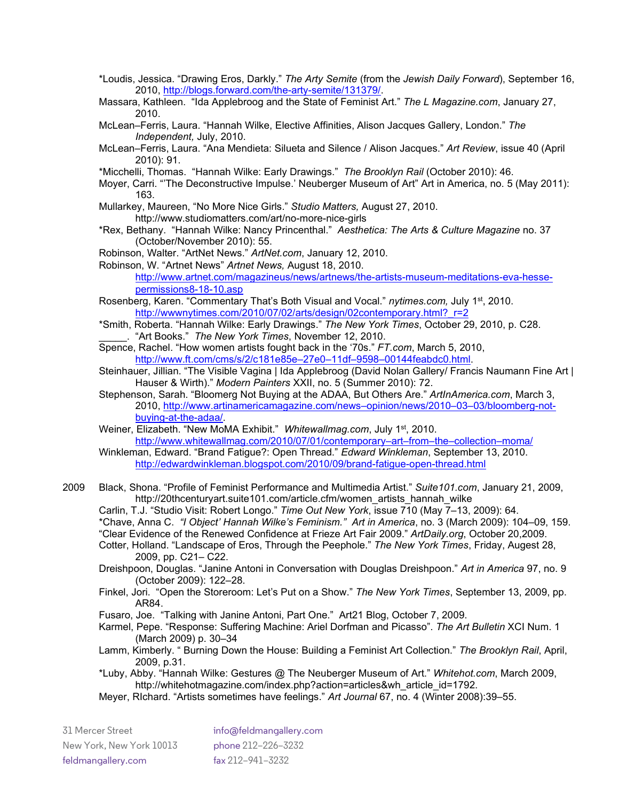- \*Loudis, Jessica. "Drawing Eros, Darkly." *The Arty Semite* (from the *Jewish Daily Forward*), September 16, 2010, [http://blogs.forward.com/the-arty-semite/131379/.](http://blogs.forward.com/the-arty-semite/131379/)
- Massara, Kathleen. "Ida Applebroog and the State of Feminist Art." *The L Magazine.com*, January 27, 2010.
- McLean–Ferris, Laura. "Hannah Wilke, Elective Affinities, Alison Jacques Gallery, London." *The Independent,* July, 2010.
- McLean–Ferris, Laura. "Ana Mendieta: Silueta and Silence / Alison Jacques." *Art Review*, issue 40 (April 2010): 91.
- \*Micchelli, Thomas. "Hannah Wilke: Early Drawings." *The Brooklyn Rail* (October 2010): 46.
- Moyer, Carri. "'The Deconstructive Impulse.' Neuberger Museum of Art" Art in America, no. 5 (May 2011): 163.
- Mullarkey, Maureen, "No More Nice Girls." *Studio Matters,* August 27, 2010.

http://www.studiomatters.com/art/no-more-nice-girls

- \*Rex, Bethany. "Hannah Wilke: Nancy Princenthal." *Aesthetica: The Arts & Culture Magazine* no. 37 (October/November 2010): 55.
- Robinson, Walter. "ArtNet News." *ArtNet.com*, January 12, 2010.
- Robinson, W. "Artnet News" *Artnet News,* August 18, 2010.

[http://www.artnet.com/magazineus/news/artnews/the-artists-museum-meditations-eva-hesse](http://www.artnet.com/magazineus/news/artnews/the-artists-museum-meditations-eva-hesse-permissions8-18-10.asp)[permissions8-18-10.asp](http://www.artnet.com/magazineus/news/artnews/the-artists-museum-meditations-eva-hesse-permissions8-18-10.asp)

- Rosenberg, Karen. "Commentary That's Both Visual and Vocal." *nytimes.com,* July 1st, 2010. [http://wwwnytimes.com/2010/07/02/arts/design/02contemporary.html?\\_r=2](http://wwwnytimes.com/2010/07/02/arts/design/02contemporary.html?_r=2)
- \*Smith, Roberta. "Hannah Wilke: Early Drawings." *The New York Times*, October 29, 2010, p. C28. \_\_\_\_\_. "Art Books." *The New York Times*, November 12, 2010.

Spence, Rachel. "How women artists fought back in the '70s." *FT.com*, March 5, 2010, [http://www.ft.com/cms/s/2/c181e85e–27e0–11df–9598–00144feabdc0.html.](http://www.ft.com/cms/s/2/c181e85e-27e0-11df-9598-00144feabdc0.html)

- Steinhauer, Jillian. "The Visible Vagina | Ida Applebroog (David Nolan Gallery/ Francis Naumann Fine Art | Hauser & Wirth)." *Modern Painters* XXII, no. 5 (Summer 2010): 72.
- Stephenson, Sarah. "Bloomerg Not Buying at the ADAA, But Others Are." *ArtInAmerica.com*, March 3, 2010, [http://www.artinamericamagazine.com/news–opinion/news/2010–03–03/bloomberg-not](http://www.artinamericamagazine.com/news%E2%80%93opinion/news/2010%E2%80%9303%E2%80%9303/bloomberg-not-buying-at-the-adaa/)[buying-at-the-adaa/.](http://www.artinamericamagazine.com/news%E2%80%93opinion/news/2010%E2%80%9303%E2%80%9303/bloomberg-not-buying-at-the-adaa/)

Weiner, Elizabeth. "New MoMA Exhibit." *Whitewallmag.com*, July 1st, 2010. [http://www.whitewallmag.com/2010/07/01/contemporary–art–from–the–collection–moma/](http://www.whitewallmag.com/2010/07/01/contemporary-art-from-the-collection-moma/)

Winkleman, Edward. "Brand Fatigue?: Open Thread." *Edward Winkleman*, September 13, 2010. <http://edwardwinkleman.blogspot.com/2010/09/brand-fatigue-open-thread.html>

2009 Black, Shona. "Profile of Feminist Performance and Multimedia Artist." *Suite101.com*, January 21, 2009, http://20thcenturyart.suite101.com/article.cfm/women\_artists\_hannah\_wilke

Carlin, T.J. "Studio Visit: Robert Longo." *Time Out New York*, issue 710 (May 7–13, 2009): 64. \*Chave, Anna C. *"I Object' Hannah Wilke's Feminism." Art in America*, no. 3 (March 2009): 104–09, 159. "Clear Evidence of the Renewed Confidence at Frieze Art Fair 2009." *ArtDaily.org*, October 20,2009. Cotter, Holland. "Landscape of Eros, Through the Peephole." *The New York Times*, Friday, Augest 28, 2009, pp. C21– C22.

Dreishpoon, Douglas. "Janine Antoni in Conversation with Douglas Dreishpoon." *Art in America* 97, no. 9 (October 2009): 122–28.

- Finkel, Jori. "Open the Storeroom: Let's Put on a Show." *The New York Times*, September 13, 2009, pp. AR84.
- Fusaro, Joe. "Talking with Janine Antoni, Part One." Art21 Blog, October 7, 2009.
- Karmel, Pepe. "Response: Suffering Machine: Ariel Dorfman and Picasso". *The Art Bulletin* XCI Num. 1 (March 2009) p. 30–34
- Lamm, Kimberly. " Burning Down the House: Building a Feminist Art Collection." *The Brooklyn Rail*, April, 2009, p.31.
- \*Luby, Abby. "Hannah Wilke: Gestures @ The Neuberger Museum of Art." *Whitehot.com*, March 2009, http://whitehotmagazine.com/index.php?action=articles&wh\_article\_id=1792.
- Meyer, RIchard. "Artists sometimes have feelings." *Art Journal* 67, no. 4 (Winter 2008):39–55.

| 31 Mercer Street         | info@feldmangallery.com        |
|--------------------------|--------------------------------|
| New York. New York 10013 | phone 212-226-3232             |
| feldmangallery.com       | $\frac{1}{2}$ fax 212-941-3232 |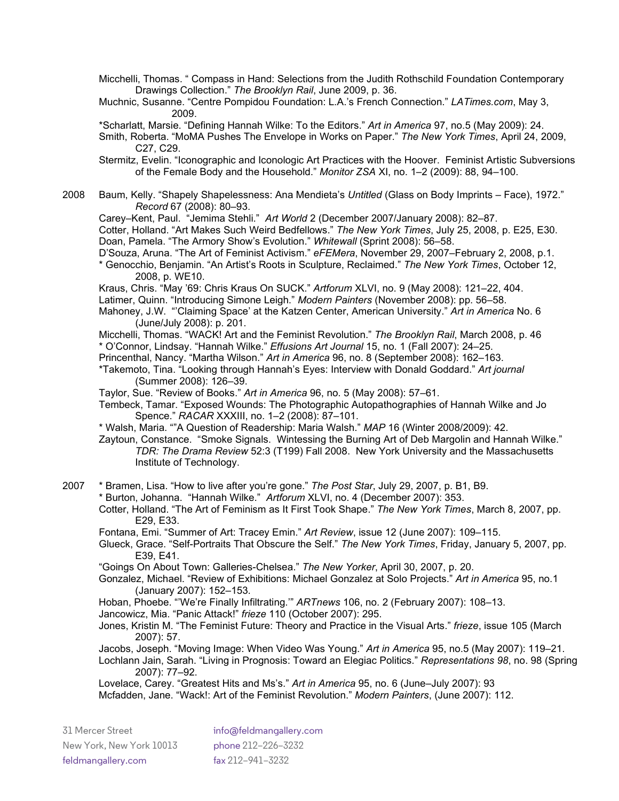- Micchelli, Thomas. " Compass in Hand: Selections from the Judith Rothschild Foundation Contemporary Drawings Collection." *The Brooklyn Rail*, June 2009, p. 36.
- Muchnic, Susanne. "Centre Pompidou Foundation: L.A.'s French Connection." *LATimes.com*, May 3, 2009.
- \*Scharlatt, Marsie. "Defining Hannah Wilke: To the Editors." *Art in America* 97, no.5 (May 2009): 24.
- Smith, Roberta. "MoMA Pushes The Envelope in Works on Paper." *The New York Times*, April 24, 2009, C27, C29.
- Stermitz, Evelin. "Iconographic and Iconologic Art Practices with the Hoover. Feminist Artistic Subversions of the Female Body and the Household." *Monitor ZSA* XI, no. 1–2 (2009): 88, 94–100.
- 2008 Baum, Kelly. "Shapely Shapelessness: Ana Mendieta's *Untitled* (Glass on Body Imprints Face), 1972." *Record* 67 (2008): 80–93.

Carey–Kent, Paul. "Jemima Stehli." *Art World* 2 (December 2007/January 2008): 82–87.

Cotter, Holland. "Art Makes Such Weird Bedfellows." *The New York Times*, July 25, 2008, p. E25, E30. Doan, Pamela. "The Armory Show's Evolution." *Whitewall* (Sprint 2008): 56–58.

D'Souza, Aruna. "The Art of Feminist Activism." *eFEMera*, November 29, 2007–February 2, 2008, p.1.

\* Genocchio, Benjamin. "An Artist's Roots in Sculpture, Reclaimed." *The New York Times*, October 12, 2008, p. WE10.

Kraus, Chris. "May '69: Chris Kraus On SUCK." *Artforum* XLVI, no. 9 (May 2008): 121–22, 404. Latimer, Quinn. "Introducing Simone Leigh." *Modern Painters* (November 2008): pp. 56–58.

Mahoney, J.W. "'Claiming Space' at the Katzen Center, American University." *Art in America* No. 6 (June/July 2008): p. 201.

Micchelli, Thomas. "WACK! Art and the Feminist Revolution." *The Brooklyn Rail*, March 2008, p. 46 \* O'Connor, Lindsay. "Hannah Wilke." *Effusions Art Journal* 15, no. 1 (Fall 2007): 24–25.

- Princenthal, Nancy. "Martha Wilson." *Art in America* 96, no. 8 (September 2008): 162–163.
- \*Takemoto, Tina. "Looking through Hannah's Eyes: Interview with Donald Goddard." *Art journal* (Summer 2008): 126–39.

Taylor, Sue. "Review of Books." *Art in America* 96, no. 5 (May 2008): 57–61.

- Tembeck, Tamar. "Exposed Wounds: The Photographic Autopathographies of Hannah Wilke and Jo Spence." *RACAR* XXXIII, no. 1–2 (2008): 87–101.
- \* Walsh, Maria. ""A Question of Readership: Maria Walsh." *MAP* 16 (Winter 2008/2009): 42.

Zaytoun, Constance. "Smoke Signals. Wintessing the Burning Art of Deb Margolin and Hannah Wilke." *TDR: The Drama Review* 52:3 (T199) Fall 2008. New York University and the Massachusetts Institute of Technology.

2007 \* Bramen, Lisa. "How to live after you're gone." *The Post Star*, July 29, 2007, p. B1, B9.

\* Burton, Johanna. "Hannah Wilke." *Artforum* XLVI, no. 4 (December 2007): 353.

Cotter, Holland. "The Art of Feminism as It First Took Shape." *The New York Times*, March 8, 2007, pp. E29, E33.

Fontana, Emi. "Summer of Art: Tracey Emin." *Art Review*, issue 12 (June 2007): 109–115.

Glueck, Grace. "Self-Portraits That Obscure the Self." *The New York Times*, Friday, January 5, 2007, pp. E39, E41.

"Goings On About Town: Galleries-Chelsea." *The New Yorker*, April 30, 2007, p. 20.

Gonzalez, Michael. "Review of Exhibitions: Michael Gonzalez at Solo Projects." *Art in America* 95, no.1 (January 2007): 152–153.

Hoban, Phoebe. "'We're Finally Infiltrating.'" *ARTnews* 106, no. 2 (February 2007): 108–13.

- Jancowicz, Mia. "Panic Attack!" *frieze* 110 (October 2007): 295.
- Jones, Kristin M. "The Feminist Future: Theory and Practice in the Visual Arts." *frieze*, issue 105 (March 2007): 57.
- Jacobs, Joseph. "Moving Image: When Video Was Young." *Art in America* 95, no.5 (May 2007): 119–21.
- Lochlann Jain, Sarah. "Living in Prognosis: Toward an Elegiac Politics." *Representations 98*, no. 98 (Spring 2007): 77–92.

Lovelace, Carey. "Greatest Hits and Ms's." *Art in America* 95, no. 6 (June–July 2007): 93 Mcfadden, Jane. "Wack!: Art of the Feminist Revolution." *Modern Painters*, (June 2007): 112.

| 31 Mercer Street         | info@feldmangallery.com        |
|--------------------------|--------------------------------|
| New York. New York 10013 | phone 212-226-3232             |
| feldmangallery.com       | $\frac{1}{2}$ fax 212-941-3232 |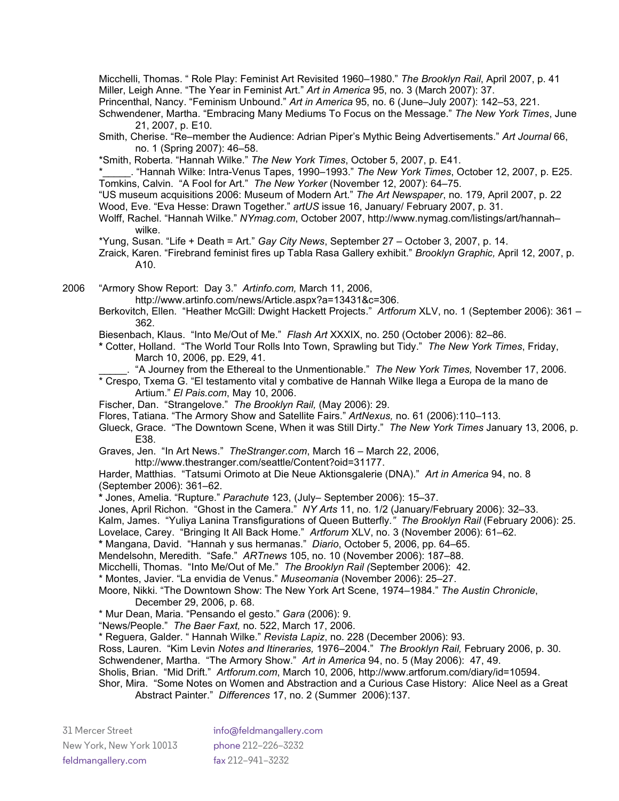Micchelli, Thomas. " Role Play: Feminist Art Revisited 1960–1980." *The Brooklyn Rail*, April 2007, p. 41 Miller, Leigh Anne. "The Year in Feminist Art." *Art in America* 95, no. 3 (March 2007): 37. Princenthal, Nancy. "Feminism Unbound." *Art in America* 95, no. 6 (June–July 2007): 142–53, 221.

Schwendener, Martha. "Embracing Many Mediums To Focus on the Message." *The New York Times*, June 21, 2007, p. E10.

Smith, Cherise. "Re–member the Audience: Adrian Piper's Mythic Being Advertisements." *Art Journal* 66, no. 1 (Spring 2007): 46–58.

\*Smith, Roberta. "Hannah Wilke." *The New York Times*, October 5, 2007, p. E41.

. "Hannah Wilke: Intra-Venus Tapes, 1990–1993." The New York Times, October 12, 2007, p. E25. Tomkins, Calvin. "A Fool for Art." *The New Yorker* (November 12, 2007): 64–75.

"US museum acquisitions 2006: Museum of Modern Art." *The Art Newspaper*, no. 179, April 2007, p. 22 Wood, Eve. "Eva Hesse: Drawn Together." *artUS* issue 16, January/ February 2007, p. 31.

Wolff, Rachel. "Hannah Wilke." *NYmag.com*, October 2007, http://www.nymag.com/listings/art/hannah– wilke.

\*Yung, Susan. "Life + Death = Art." *Gay City News*, September 27 – October 3, 2007, p. 14.

Zraick, Karen. "Firebrand feminist fires up Tabla Rasa Gallery exhibit." *Brooklyn Graphic,* April 12, 2007, p. A10.

2006 "Armory Show Report: Day 3." *Artinfo.com,* March 11, 2006,

http://www.artinfo.com/news/Article.aspx?a=13431&c=306.

Berkovitch, Ellen. "Heather McGill: Dwight Hackett Projects." *Artforum* XLV, no. 1 (September 2006): 361 – 362.

Biesenbach, Klaus. "Into Me/Out of Me." *Flash Art* XXXIX, no. 250 (October 2006): 82–86.

**\*** Cotter, Holland. "The World Tour Rolls Into Town, Sprawling but Tidy." *The New York Times*, Friday, March 10, 2006, pp. E29, 41.

\_\_\_\_\_. "A Journey from the Ethereal to the Unmentionable." *The New York Times,* November 17, 2006.

\* Crespo, Txema G. "El testamento vital y combative de Hannah Wilke llega a Europa de la mano de Artium." *El Pais.com*, May 10, 2006.

Fischer, Dan. "Strangelove." *The Brooklyn Rail,* (May 2006): 29.

Flores, Tatiana. "The Armory Show and Satellite Fairs." *ArtNexus,* no. 61 (2006):110–113.

Glueck, Grace. "The Downtown Scene, When it was Still Dirty." *The New York Times* January 13, 2006, p. E38.

Graves, Jen. "In Art News." *TheStranger.com*, March 16 – March 22, 2006,

http://www.thestranger.com/seattle/Content?oid=31177.

Harder, Matthias. "Tatsumi Orimoto at Die Neue Aktionsgalerie (DNA)." *Art in America* 94, no. 8 (September 2006): 361–62.

**\*** Jones, Amelia. "Rupture." *Parachute* 123, (July– September 2006): 15–37.

Jones, April Richon. "Ghost in the Camera." *NY Arts* 11, no. 1/2 (January/February 2006): 32–33.

Kalm, James. "Yuliya Lanina Transfigurations of Queen Butterfly*." The Brooklyn Rail* (February 2006): 25.

Lovelace, Carey. "Bringing It All Back Home." *Artforum* XLV, no. 3 (November 2006): 61–62.

**\*** Mangana, David. "Hannah y sus hermanas." *Diario*, October 5, 2006, pp. 64–65.

Mendelsohn, Meredith. "Safe." *ARTnews* 105, no. 10 (November 2006): 187–88.

Micchelli, Thomas. "Into Me/Out of Me." *The Brooklyn Rail (*September 2006): 42.

\* Montes, Javier. "La envidia de Venus." *Museomania* (November 2006): 25–27.

Moore, Nikki. "The Downtown Show: The New York Art Scene, 1974–1984." *The Austin Chronicle*, December 29, 2006, p. 68.

\* Mur Dean, Maria. "Pensando el gesto." *Gara* (2006): 9.

"News/People." *The Baer Faxt,* no. 522, March 17, 2006.

\* Reguera, Galder. " Hannah Wilke." *Revista Lapiz*, no. 228 (December 2006): 93.

Ross, Lauren. "Kim Levin *Notes and Itineraries,* 1976–2004." *The Brooklyn Rail,* February 2006, p. 30.

Schwendener, Martha. "The Armory Show." *Art in America* 94, no. 5 (May 2006): 47, 49.

Sholis, Brian. "Mid Drift." *Artforum.com*, March 10, 2006, http://www.artforum.com/diary/id=10594.

Shor, Mira. "Some Notes on Women and Abstraction and a Curious Case History: Alice Neel as a Great Abstract Painter." *Differences* 17, no. 2 (Summer 2006):137.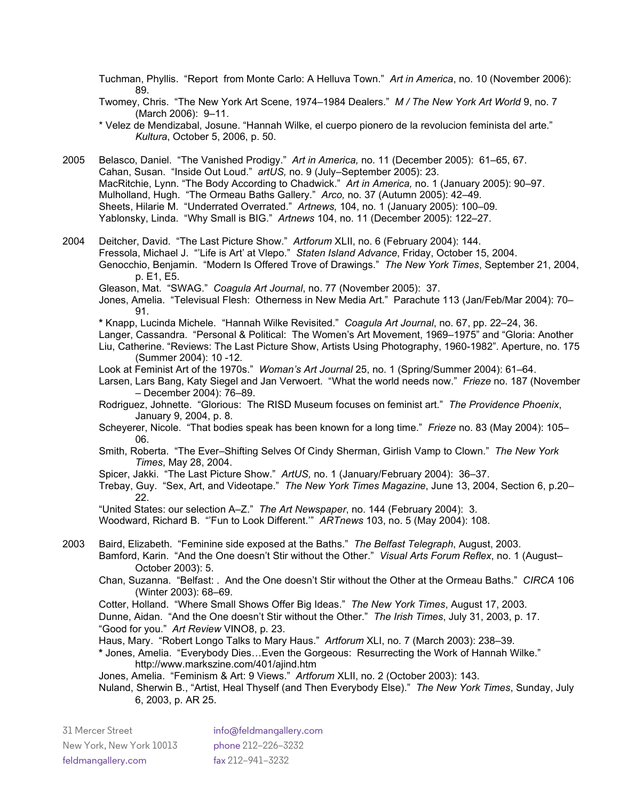Tuchman, Phyllis. "Report from Monte Carlo: A Helluva Town." *Art in America*, no. 10 (November 2006): 89.

Twomey, Chris. "The New York Art Scene, 1974–1984 Dealers." *M / The New York Art World* 9, no. 7 (March 2006): 9–11.

\* Velez de Mendizabal, Josune. "Hannah Wilke, el cuerpo pionero de la revolucion feminista del arte." *Kultura*, October 5, 2006, p. 50.

2005 Belasco, Daniel. "The Vanished Prodigy." *Art in America,* no. 11 (December 2005): 61–65, 67. Cahan, Susan. "Inside Out Loud." *artUS,* no. 9 (July–September 2005): 23. MacRitchie, Lynn. "The Body According to Chadwick." *Art in America,* no. 1 (January 2005): 90–97. Mulholland, Hugh. "The Ormeau Baths Gallery." *Arco,* no. 37 (Autumn 2005): 42–49. Sheets, Hilarie M. "Underrated Overrated." *Artnews,* 104, no. 1 (January 2005): 100–09. Yablonsky, Linda. "Why Small is BIG." *Artnews* 104, no. 11 (December 2005): 122–27.

2004 Deitcher, David. "The Last Picture Show." *Artforum* XLII, no. 6 (February 2004): 144. Fressola, Michael J. "'Life is Art' at Vlepo." *Staten Island Advance*, Friday, October 15, 2004. Genocchio, Benjamin. "Modern Is Offered Trove of Drawings." *The New York Times*, September 21, 2004, p. E1, E5.

Gleason, Mat. "SWAG." *Coagula Art Journal*, no. 77 (November 2005): 37.

Jones, Amelia. "Televisual Flesh: Otherness in New Media Art." Parachute 113 (Jan/Feb/Mar 2004): 70– 91.

**\*** Knapp, Lucinda Michele. "Hannah Wilke Revisited." *Coagula Art Journal*, no. 67, pp. 22–24, 36. Langer, Cassandra. "Personal & Political: The Women's Art Movement, 1969–1975" and "Gloria: Another Liu, Catherine. "Reviews: The Last Picture Show, Artists Using Photography, 1960-1982". Aperture, no. 175 (Summer 2004): 10 -12.

Look at Feminist Art of the 1970s." *Woman's Art Journal* 25, no. 1 (Spring/Summer 2004): 61–64.

Larsen, Lars Bang, Katy Siegel and Jan Verwoert. "What the world needs now." *Frieze* no. 187 (November – December 2004): 76–89.

Rodriguez, Johnette. "Glorious: The RISD Museum focuses on feminist art*.*" *The Providence Phoenix*, January 9, 2004, p. 8.

Scheyerer, Nicole. "That bodies speak has been known for a long time." *Frieze* no. 83 (May 2004): 105– 06.

Smith, Roberta. "The Ever–Shifting Selves Of Cindy Sherman, Girlish Vamp to Clown." *The New York Times*, May 28, 2004.

Spicer, Jakki. "The Last Picture Show." *ArtUS,* no. 1 (January/February 2004): 36–37.

Trebay, Guy. "Sex, Art, and Videotape." *The New York Times Magazine*, June 13, 2004, Section 6, p.20– 22.

"United States: our selection A–Z." *The Art Newspaper*, no. 144 (February 2004): 3.

Woodward, Richard B. "'Fun to Look Different.'" *ARTnews* 103, no. 5 (May 2004): 108.

2003 Baird, Elizabeth. "Feminine side exposed at the Baths." *The Belfast Telegraph*, August, 2003. Bamford, Karin. "And the One doesn't Stir without the Other." *Visual Arts Forum Reflex*, no. 1 (August– October 2003): 5.

Chan, Suzanna. "Belfast: . And the One doesn't Stir without the Other at the Ormeau Baths." *CIRCA* 106 (Winter 2003): 68–69.

Cotter, Holland. "Where Small Shows Offer Big Ideas." *The New York Times*, August 17, 2003.

Dunne, Aidan. "And the One doesn't Stir without the Other." *The Irish Times*, July 31, 2003, p. 17. "Good for you." *Art Review* VINO8, p. 23.

Haus, Mary. "Robert Longo Talks to Mary Haus." *Artforum* XLI, no. 7 (March 2003): 238–39.

**\*** Jones, Amelia. "Everybody Dies…Even the Gorgeous: Resurrecting the Work of Hannah Wilke." http://www.markszine.com/401/ajind.htm

Jones, Amelia. "Feminism & Art: 9 Views." *Artforum* XLII, no. 2 (October 2003): 143.

Nuland, Sherwin B., "Artist, Heal Thyself (and Then Everybody Else)." *The New York Times*, Sunday, July 6, 2003, p. AR 25.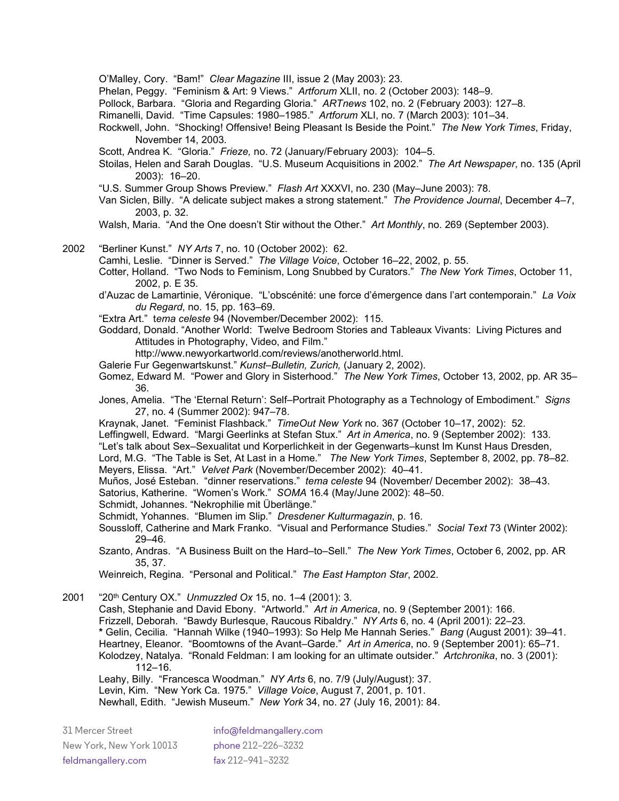O'Malley, Cory. "Bam!" *Clear Magazine* III, issue 2 (May 2003): 23.

Phelan, Peggy. "Feminism & Art: 9 Views." *Artforum* XLII, no. 2 (October 2003): 148–9.

Pollock, Barbara. "Gloria and Regarding Gloria." *ARTnews* 102, no. 2 (February 2003): 127–8.

Rimanelli, David. "Time Capsules: 1980–1985." *Artforum* XLI, no. 7 (March 2003): 101–34.

Rockwell, John. "Shocking! Offensive! Being Pleasant Is Beside the Point." *The New York Times*, Friday, November 14, 2003.

Scott, Andrea K. "Gloria." *Frieze,* no. 72 (January/February 2003): 104–5.

Stoilas, Helen and Sarah Douglas. "U.S. Museum Acquisitions in 2002." *The Art Newspaper*, no. 135 (April 2003): 16–20.

"U.S. Summer Group Shows Preview." *Flash Art* XXXVI, no. 230 (May–June 2003): 78.

Van Siclen, Billy. "A delicate subject makes a strong statement." *The Providence Journal*, December 4–7, 2003, p. 32.

Walsh, Maria. "And the One doesn't Stir without the Other." *Art Monthly*, no. 269 (September 2003).

2002 "Berliner Kunst." *NY Arts* 7, no. 10 (October 2002): 62.

Camhi, Leslie. "Dinner is Served." *The Village Voice*, October 16–22, 2002, p. 55.

Cotter, Holland. "Two Nods to Feminism, Long Snubbed by Curators." *The New York Times*, October 11, 2002, p. E 35.

d'Auzac de Lamartinie, Véronique. "L'obscénité: une force d'émergence dans l'art contemporain." *La Voix du Regard*, no. 15, pp. 163–69.

"Extra Art." t*ema celeste* 94 (November/December 2002): 115.

Goddard, Donald. "Another World: Twelve Bedroom Stories and Tableaux Vivants: Living Pictures and Attitudes in Photography, Video, and Film."

http://www.newyorkartworld.com/reviews/anotherworld.html.

Galerie Fur Gegenwartskunst." *Kunst–Bulletin, Zurich,* (January 2, 2002).

Gomez, Edward M. "Power and Glory in Sisterhood." *The New York Times*, October 13, 2002, pp. AR 35– 36.

Jones, Amelia. "The 'Eternal Return': Self–Portrait Photography as a Technology of Embodiment." *Signs* 27, no. 4 (Summer 2002): 947–78.

Kraynak, Janet. "Feminist Flashback." *TimeOut New York* no. 367 (October 10–17, 2002): 52.

Leffingwell, Edward. "Margi Geerlinks at Stefan Stux." *Art in America*, no. 9 (September 2002): 133.

"Let's talk about Sex–Sexualitat und Korperlichkeit in der Gegenwarts–kunst Im Kunst Haus Dresden,

Lord, M.G. "The Table is Set, At Last in a Home." *The New York Times*, September 8, 2002, pp. 78–82. Meyers, Elissa. "Art." *Velvet Park* (November/December 2002): 40–41.

Muños, José Esteban. "dinner reservations." *tema celeste* 94 (November/ December 2002): 38–43.

Satorius, Katherine. "Women's Work." *SOMA* 16.4 (May/June 2002): 48–50.

Schmidt, Johannes. "Nekrophilie mit Überlänge."

Schmidt, Yohannes. "Blumen im Slip." *Dresdener Kulturmagazin*, p. 16.

Soussloff, Catherine and Mark Franko. "Visual and Performance Studies." *Social Text* 73 (Winter 2002): 29–46.

Szanto, Andras. "A Business Built on the Hard–to–Sell." *The New York Times*, October 6, 2002, pp. AR 35, 37.

Weinreich, Regina. "Personal and Political." *The East Hampton Star*, 2002.

2001 "20th Century OX." *Unmuzzled Ox* 15, no. 1–4 (2001): 3.

Cash, Stephanie and David Ebony. "Artworld." *Art in America*, no. 9 (September 2001): 166. Frizzell, Deborah. "Bawdy Burlesque, Raucous Ribaldry." *NY Arts* 6, no. 4 (April 2001): 22–23. **\*** Gelin, Cecilia. "Hannah Wilke (1940–1993): So Help Me Hannah Series." *Bang* (August 2001): 39–41. Heartney, Eleanor. "Boomtowns of the Avant–Garde." *Art in America*, no. 9 (September 2001): 65–71. Kolodzey, Natalya. "Ronald Feldman: I am looking for an ultimate outsider." *Artchronika*, no. 3 (2001): 112–16.

Leahy, Billy. "Francesca Woodman." *NY Arts* 6, no. 7/9 (July/August): 37.

Levin, Kim. "New York Ca. 1975." *Village Voice*, August 7, 2001, p. 101.

Newhall, Edith. "Jewish Museum." *New York* 34, no. 27 (July 16, 2001): 84.

| 31 Mercer Street         | info@feldmangallery.com        |
|--------------------------|--------------------------------|
| New York. New York 10013 | phone 212-226-3232             |
| feldmangallery.com       | $\frac{1}{2}$ fax 212-941-3232 |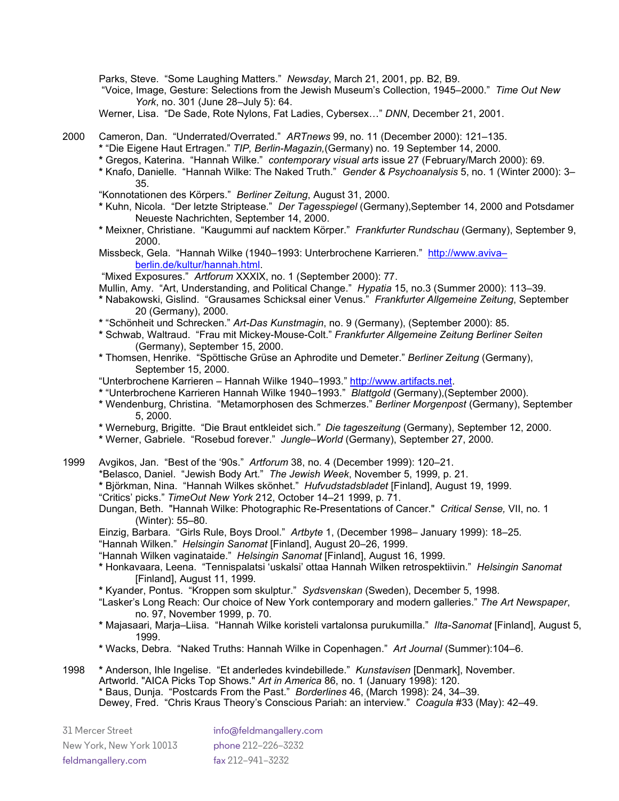Parks, Steve. "Some Laughing Matters." *Newsday*, March 21, 2001, pp. B2, B9.

"Voice, Image, Gesture: Selections from the Jewish Museum's Collection, 1945–2000." *Time Out New York*, no. 301 (June 28–July 5): 64.

Werner, Lisa. "De Sade, Rote Nylons, Fat Ladies, Cybersex…" *DNN*, December 21, 2001.

- 2000 Cameron, Dan. "Underrated/Overrated." *ARTnews* 99, no. 11 (December 2000): 121–135.
	- **\*** "Die Eigene Haut Ertragen." *TIP, Berlin-Magazin,*(Germany) no. 19 September 14, 2000.
	- **\*** Gregos, Katerina. "Hannah Wilke." *contemporary visual arts* issue 27 (February/March 2000): 69.
	- **\*** Knafo, Danielle. "Hannah Wilke: The Naked Truth." *Gender & Psychoanalysis* 5, no. 1 (Winter 2000): 3– 35.
	- "Konnotationen des Körpers." *Berliner Zeitung*, August 31, 2000.
	- **\*** Kuhn, Nicola. "Der letzte Striptease." *Der Tagesspiegel* (Germany),September 14, 2000 and Potsdamer Neueste Nachrichten, September 14, 2000.
	- **\*** Meixner, Christiane. "Kaugummi auf nacktem Körper." *Frankfurter Rundschau* (Germany), September 9, 2000.
	- Missbeck, Gela. "Hannah Wilke (1940–1993: Unterbrochene Karrieren." [http://www.aviva–](http://www.aviva-berlin.de/kultur/hannah.html) [berlin.de/kultur/hannah.html.](http://www.aviva-berlin.de/kultur/hannah.html)
	- "Mixed Exposures." *Artforum* XXXIX, no. 1 (September 2000): 77.
	- Mullin, Amy. "Art, Understanding, and Political Change." *Hypatia* 15, no.3 (Summer 2000): 113–39.
	- **\*** Nabakowski, Gislind. "Grausames Schicksal einer Venus." *Frankfurter Allgemeine Zeitung*, September 20 (Germany), 2000.
	- **\*** "Schönheit und Schrecken." *Art-Das Kunstmagin*, no. 9 (Germany), (September 2000): 85.
	- **\*** Schwab, Waltraud. "Frau mit Mickey-Mouse-Colt." *Frankfurter Allgemeine Zeitung Berliner Seiten* (Germany), September 15, 2000.
	- **\*** Thomsen, Henrike. "Spöttische Grüse an Aphrodite und Demeter." *Berliner Zeitung* (Germany), September 15, 2000.
	- "Unterbrochene Karrieren Hannah Wilke 1940–1993." [http://www.artifacts.net.](http://www.artifacts.net/)
	- **\*** "Unterbrochene Karrieren Hannah Wilke 1940–1993." *Blattgold* (Germany),(September 2000).
	- **\*** Wendenburg, Christina. "Metamorphosen des Schmerzes." *Berliner Morgenpost* (Germany), September 5, 2000.
	- **\*** Werneburg, Brigitte. "Die Braut entkleidet sich*." Die tageszeitung* (Germany), September 12, 2000.
	- **\*** Werner, Gabriele. "Rosebud forever." *Jungle–World* (Germany), September 27, 2000.
- 1999 Avgikos, Jan. "Best of the '90s." *Artforum* 38, no. 4 (December 1999): 120–21.
	- \*Belasco, Daniel. "Jewish Body Art." *The Jewish Week*, November 5, 1999, p. 21.
	- **\*** Björkman, Nina. "Hannah Wilkes skönhet." *Hufvudstadsbladet* [Finland], August 19, 1999.
	- "Critics' picks." *TimeOut New York* 212, October 14–21 1999, p. 71.
	- Dungan, Beth. "Hannah Wilke: Photographic Re-Presentations of Cancer." *Critical Sense,* VII, no. 1 (Winter): 55–80.
	- Einzig, Barbara. "Girls Rule, Boys Drool." *Artbyte* 1, (December 1998– January 1999): 18–25.
	- "Hannah Wilken." *Helsingin Sanomat* [Finland], August 20–26, 1999.
	- "Hannah Wilken vaginataide." *Helsingin Sanomat* [Finland], August 16, 1999.
	- **\*** Honkavaara, Leena. "Tennispalatsi 'uskalsi' ottaa Hannah Wilken retrospektiivin." *Helsingin Sanomat* [Finland], August 11, 1999.
	- **\*** Kyander, Pontus. "Kroppen som skulptur." *Sydsvenskan* (Sweden), December 5, 1998.
	- "Lasker's Long Reach: Our choice of New York contemporary and modern galleries." *The Art Newspaper*, no. 97, November 1999, p. 70.
	- **\*** Majasaari, Marja–Liisa. "Hannah Wilke koristeli vartalonsa purukumilla." *Ilta-Sanomat* [Finland], August 5, 1999.
	- **\*** Wacks, Debra. "Naked Truths: Hannah Wilke in Copenhagen." *Art Journal* (Summer):104–6.
- 1998 **\*** Anderson, Ihle Ingelise. "Et anderledes kvindebillede." *Kunstavisen* [Denmark], November.
	- Artworld. "AICA Picks Top Shows." *Art in America* 86, no. 1 (January 1998): 120.
	- \* Baus, Dunja. "Postcards From the Past." *Borderlines* 46, (March 1998): 24, 34–39.
	- Dewey, Fred. "Chris Kraus Theory's Conscious Pariah: an interview." *Coagula* #33 (May): 42–49.

| 31 Mercer Street         | info@feldmangallery.com        |
|--------------------------|--------------------------------|
| New York, New York 10013 | phone 212-226-3232             |
| feldmangallery.com       | $\frac{1}{2}$ fax 212-941-3232 |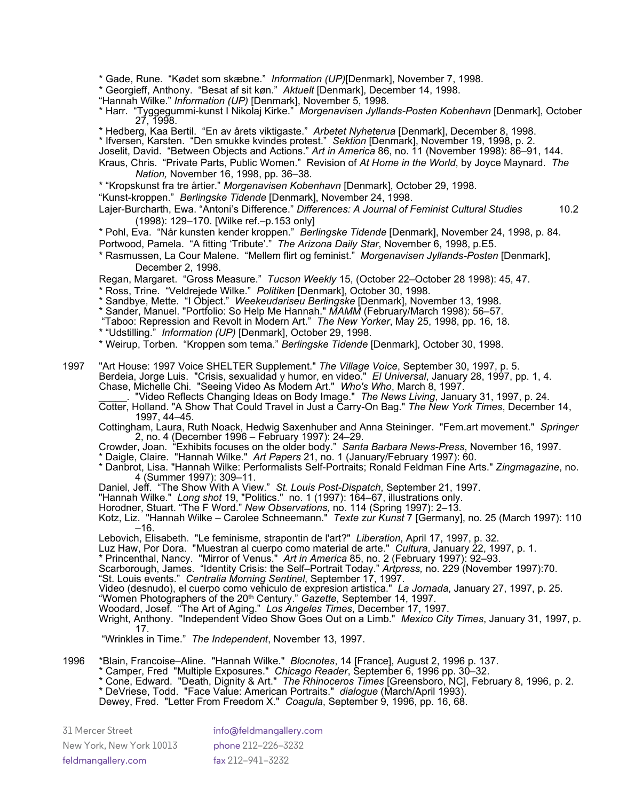\* Gade, Rune. "Kødet som skæbne." *Information (UP)*[Denmark], November 7, 1998.

- \* Georgieff, Anthony. "Besat af sit køn." *Aktuelt* [Denmark], December 14, 1998.
- "Hannah Wilke." *Information (UP)* [Denmark], November 5, 1998.
- \* Harr. "Tyggegummi-kunst I Nikolaj Kirke." *Morgenavisen Jyllands-Posten Kobenhavn* [Denmark], October 27, 1998.
- \* Hedberg, Kaa Bertil. "En av årets viktigaste." *Arbetet Nyheterua* [Denmark], December 8, 1998.
- \* Ifversen, Karsten. "Den smukke kvindes protest." *Sektion* [Denmark], November 19, 1998, p. 2.
- Joselit, David. "Between Objects and Actions." *Art in America* 86, no. 11 (November 1998): 86–91, 144.
- Kraus, Chris. "Private Parts, Public Women." Revision of *At Home in the World*, by Joyce Maynard. *The Nation,* November 16, 1998, pp. 36–38.
- \* "Kropskunst fra tre årtier." *Morgenavisen Kobenhavn* [Denmark], October 29, 1998.
- "Kunst-kroppen." *Berlingske Tidende* [Denmark], November 24, 1998.
- Lajer-Burcharth, Ewa. "Antoni's Difference." *Differences: A Journal of Feminist Cultural Studies* 10.2 (1998): 129–170. [Wilke ref.–p.153 only]

\* Pohl, Eva. "Når kunsten kender kroppen." *Berlingske Tidende* [Denmark], November 24, 1998, p. 84. Portwood, Pamela. "A fitting 'Tribute'." *The Arizona Daily Star*, November 6, 1998, p.E5.

\* Rasmussen, La Cour Malene. "Mellem flirt og feminist." *Morgenavisen Jyllands-Posten* [Denmark], December 2, 1998.

Regan, Margaret. "Gross Measure." *Tucson Weekly* 15, (October 22–October 28 1998): 45, 47.

- \* Ross, Trine. "Veldrejede Wilke." *Politiken* [Denmark], October 30, 1998.
- \* Sandbye, Mette. "I Object." *Weekeudariseu Berlingske* [Denmark], November 13, 1998.
- \* Sander, Manuel. "Portfolio: So Help Me Hannah." *MAMM* (February/March 1998): 56–57.
- "Taboo: Repression and Revolt in Modern Art." *The New Yorker*, May 25, 1998, pp. 16, 18.
- \* "Udstilling." *Information (UP)* [Denmark], October 29, 1998.
- \* Weirup, Torben. "Kroppen som tema." *Berlingske Tidende* [Denmark], October 30, 1998.
- 1997 "Art House: 1997 Voice SHELTER Supplement." *The Village Voice*, September 30, 1997, p. 5. Berdeia, Jorge Luis. "Crisis, sexualidad y humor, en video." *El Universal*, January 28, 1997, pp. 1, 4. Chase, Michelle Chi. "Seeing Video As Modern Art." *Who's Who*, March 8, 1997.
	- \_\_\_\_\_. "Video Reflects Changing Ideas on Body Image." *The News Living*, January 31, 1997, p. 24.
	- Cotter, Holland. "A Show That Could Travel in Just a Carry-On Bag." *The New York Times*, December 14, 1997, 44–45.
	- Cottingham, Laura, Ruth Noack, Hedwig Saxenhuber and Anna Steininger. "Fem.art movement." *Springer*  2, no. 4 (December 1996 – February 1997): 24–29.
	- Crowder, Joan. "Exhibits focuses on the older body." *Santa Barbara News-Press*, November 16, 1997.
	- \* Daigle, Claire. "Hannah Wilke." *Art Papers* 21, no. 1 (January/February 1997): 60.
	- \* Danbrot, Lisa. "Hannah Wilke: Performalists Self-Portraits; Ronald Feldman Fine Arts." *Zingmagazine*, no. 4 (Summer 1997): 309–11.
	- Daniel, Jeff. "The Show With A View." *St. Louis Post-Dispatch*, September 21, 1997.
	- "Hannah Wilke." *Long shot* 19, "Politics." no. 1 (1997): 164–67, illustrations only.
	- Horodner, Stuart. "The F Word." *New Observations,* no. 114 (Spring 1997): 2–13.
	- Kotz, Liz. "Hannah Wilke Carolee Schneemann." *Texte zur Kunst* 7 [Germany], no. 25 (March 1997): 110 –16.
	- Lebovich, Elisabeth. "Le feminisme, strapontin de l'art?" *Liberation*, April 17, 1997, p. 32.
	- Luz Haw, Por Dora. "Muestran al cuerpo como material de arte." *Cultura*, January 22, 1997, p. 1.
	- \* Princenthal, Nancy. "Mirror of Venus." *Art in America* 85, no. 2 (February 1997): 92–93.

Scarborough, James. "Identity Crisis: the Self–Portrait Today." *Artpress,* no. 229 (November 1997):70.

"St. Louis events." *Centralia Morning Sentinel*, September 17, 1997.

Video (desnudo), el cuerpo como vehiculo de expresion artistica." *La Jornada*, January 27, 1997, p. 25.

- "Women Photographers of the 20th Century." *Gazette*, September 14, 1997.
- Woodard, Josef. "The Art of Aging." *Los Angeles Times*, December 17, 1997.
- Wright, Anthony. "Independent Video Show Goes Out on a Limb." *Mexico City Times*, January 31, 1997, p. 17.

"Wrinkles in Time." *The Independent*, November 13, 1997.

- 1996 \*Blain, Francoise–Aline. "Hannah Wilke." *Blocnotes*, 14 [France], August 2, 1996 p. 137.
	- \* Camper, Fred "Multiple Exposures." *Chicago Reader*, September 6, 1996 pp. 30–32.
	- \* Cone, Edward. "Death, Dignity & Art." *The Rhinoceros Times* [Greensboro, NC], February 8, 1996, p. 2.
	- \* DeVriese, Todd. "Face Value: American Portraits." *dialogue* (March/April 1993).
	- Dewey, Fred. "Letter From Freedom X." *Coagula*, September 9, 1996, pp. 16, 68.

| 31 Mercer Street         | info@feldmangallery.com        |
|--------------------------|--------------------------------|
| New York. New York 10013 | phone 212-226-3232             |
| feldmangallery.com       | $\frac{1}{2}$ fax 212-941-3232 |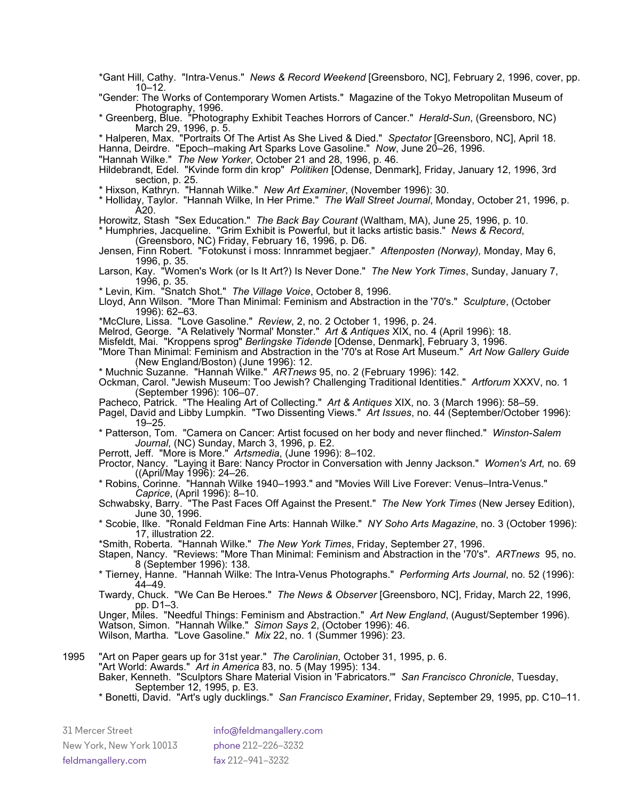31 Mercer Street info@feldmangallery.com New York, New York 10013 phone 212–226–3232 \*Gant Hill, Cathy. "Intra-Venus." *News & Record Weekend* [Greensboro, NC], February 2, 1996, cover, pp. 10–12. "Gender: The Works of Contemporary Women Artists." Magazine of the Tokyo Metropolitan Museum of Photography, 1996. \* Greenberg, Blue. "Photography Exhibit Teaches Horrors of Cancer." *Herald-Sun*, (Greensboro, NC) March 29, 1996, p. 5. \* Halperen, Max. "Portraits Of The Artist As She Lived & Died." *Spectator* [Greensboro, NC], April 18. Hanna, Deirdre. "Epoch–making Art Sparks Love Gasoline." *Now*, June 20–26, 1996. "Hannah Wilke." *The New Yorker*, October 21 and 28, 1996, p. 46. Hildebrandt, Edel. "Kvinde form din krop" *Politiken* [Odense, Denmark], Friday, January 12, 1996, 3rd section, p. 25. \* Hixson, Kathryn. "Hannah Wilke." *New Art Examiner*, (November 1996): 30. \* Holliday, Taylor. "Hannah Wilke, In Her Prime." *The Wall Street Journal*, Monday, October 21, 1996, p. A20. Horowitz, Stash "Sex Education." *The Back Bay Courant* (Waltham, MA), June 25, 1996, p. 10. \* Humphries, Jacqueline. "Grim Exhibit is Powerful, but it lacks artistic basis." *News & Record*, (Greensboro, NC) Friday, February 16, 1996, p. D6. Jensen, Finn Robert. "Fotokunst i moss: Innrammet begjaer." *Aftenposten (Norway),* Monday, May 6, 1996, p. 35. Larson, Kay. "Women's Work (or Is It Art?) Is Never Done." *The New York Times*, Sunday, January 7, 1996, p. 35. \* Levin, Kim. "Snatch Shot." *The Village Voice*, October 8, 1996. Lloyd, Ann Wilson. "More Than Minimal: Feminism and Abstraction in the '70's." *Sculpture*, (October 1996): 62–63. \*McClure, Lissa. "Love Gasoline." *Review*, 2, no. 2 October 1, 1996, p. 24. Melrod, George. "A Relatively 'Normal' Monster." *Art & Antiques* XIX, no. 4 (April 1996): 18. Misfeldt, Mai. "Kroppens sprog" *Berlingske Tidende* [Odense, Denmark], February 3, 1996. "More Than Minimal: Feminism and Abstraction in the '70's at Rose Art Museum." *Art Now Gallery Guide* (New England/Boston) (June 1996): 12. \* Muchnic Suzanne. "Hannah Wilke." *ARTnews* 95, no. 2 (February 1996): 142. Ockman, Carol. "Jewish Museum: Too Jewish? Challenging Traditional Identities." *Artforum* XXXV, no. 1 (September 1996): 106–07. Pacheco, Patrick. "The Healing Art of Collecting." *Art & Antiques* XIX, no. 3 (March 1996): 58–59. Pagel, David and Libby Lumpkin. "Two Dissenting Views." *Art Issues*, no. 44 (September/October 1996): 19–25. \* Patterson, Tom. "Camera on Cancer: Artist focused on her body and never flinched." *Winston-Salem Journal*, (NC) Sunday, March 3, 1996, p. E2. Perrott, Jeff. "More is More." *Artsmedia*, (June 1996): 8–102. Proctor, Nancy. "Laying it Bare: Nancy Proctor in Conversation with Jenny Jackson." Women's Art, no. 69 ((April/May 1996): 24–26. \* Robins, Corinne. "Hannah Wilke 1940–1993." and "Movies Will Live Forever: Venus–Intra-Venus." *Caprice*, (April 1996): 8–10. Schwabsky, Barry. "The Past Faces Off Against the Present." *The New York Times* (New Jersey Edition), June 30, 1996. \* Scobie, Ilke. "Ronald Feldman Fine Arts: Hannah Wilke." *NY Soho Arts Magazine*, no. 3 (October 1996): 17, illustration 22. \*Smith, Roberta. "Hannah Wilke." *The New York Times*, Friday, September 27, 1996. Stapen, Nancy. "Reviews: "More Than Minimal: Feminism and Abstraction in the '70's". *ARTnews* 95, no. 8 (September 1996): 138. \* Tierney, Hanne. "Hannah Wilke: The Intra-Venus Photographs." *Performing Arts Journal*, no. 52 (1996): 44–49. Twardy, Chuck. "We Can Be Heroes." *The News & Observer* [Greensboro, NC], Friday, March 22, 1996, pp. D1–3. Unger, Miles. "Needful Things: Feminism and Abstraction." *Art New England*, (August/September 1996). Watson, Simon. "Hannah Wilke." *Simon Says* 2, (October 1996): 46. Wilson, Martha. "Love Gasoline." *Mix* 22, no. 1 (Summer 1996): 23. 1995 "Art on Paper gears up for 31st year." *The Carolinian*, October 31, 1995, p. 6. "Art World: Awards." *Art in America* 83, no. 5 (May 1995): 134. Baker, Kenneth. "Sculptors Share Material Vision in 'Fabricators.'" *San Francisco Chronicle*, Tuesday, September 12, 1995, p. E3. \* Bonetti, David. "Art's ugly ducklings." *San Francisco Examiner*, Friday, September 29, 1995, pp. C10–11.

feldmangallery.com fax 212–941–3232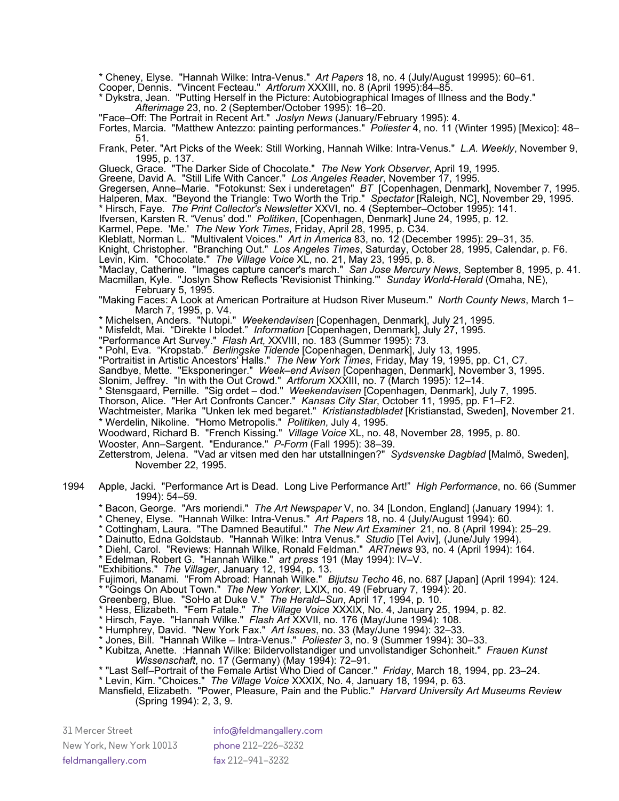\* Cheney, Elyse. "Hannah Wilke: Intra-Venus." *Art Papers* 18, no. 4 (July/August 19995): 60–61.

Cooper, Dennis. "Vincent Fecteau." *Artforum* XXXIII, no. 8 (April 1995):84–85.

\* Dykstra, Jean. "Putting Herself in the Picture: Autobiographical Images of Illness and the Body."

*Afterimage* 23, no. 2 (September/October 1995): 16–20.

"Face–Off: The Portrait in Recent Art." *Joslyn News* (January/February 1995): 4.

Fortes, Marcia. "Matthew Antezzo: painting performances." *Poliester* 4, no. 11 (Winter 1995) [Mexico]: 48– 51.

Frank, Peter. "Art Picks of the Week: Still Working, Hannah Wilke: Intra-Venus." *L.A. Weekly*, November 9, 1995, p. 137.

Glueck, Grace. "The Darker Side of Chocolate." *The New York Observer*, April 19, 1995.

Greene, David A. "Still Life With Cancer." *Los Angeles Reader*, November 17, 1995.

Gregersen, Anne–Marie. "Fotokunst: Sex i underetagen" *BT* [Copenhagen, Denmark], November 7, 1995.

Halperen, Max. "Beyond the Triangle: Two Worth the Trip." *Spectator* [Raleigh, NC], November 29, 1995.

\* Hirsch, Faye. *The Print Collector's Newsletter* XXVI, no. 4 (September–October 1995): 141.

Ifversen, Karsten R. "Venus' dod." *Politiken*, [Copenhagen, Denmark] June 24, 1995, p. 12.

Karmel, Pepe. 'Me.' *The New York Times*, Friday, April 28, 1995, p. C34.

Kleblatt, Norman L. "Multivalent Voices." *Art in America* 83, no. 12 (December 1995): 29–31, 35.

Knight, Christopher. "Branching Out." *Los Angeles Times*, Saturday, October 28, 1995, Calendar, p. F6. Levin, Kim. "Chocolate." *The Village Voice* XL, no. 21, May 23, 1995, p. 8.

\*Maclay, Catherine. "Images capture cancer's march." *San Jose Mercury News*, September 8, 1995, p. 41. Macmillan, Kyle. "Joslyn Show Reflects 'Revisionist Thinking.'" *Sunday World-Herald* (Omaha, NE), February 5, 1995.

"Making Faces: A Look at American Portraiture at Hudson River Museum." *North County News*, March 1– March 7, 1995, p. V4.

\* Michelsen, Anders. "Nutopi." *Weekendavisen* [Copenhagen, Denmark], July 21, 1995.

\* Misfeldt, Mai. "Direkte I blodet." *Information* [Copenhagen, Denmark], July 27, 1995.

"Performance Art Survey." *Flash Art,* XXVIII, no. 183 (Summer 1995): 73.

\* Pohl, Eva. "Kropstab." *Berlingske Tidende* [Copenhagen, Denmark], July 13, 1995.

"Portraitist in Artistic Ancestors' Halls." *The New York Times*, Friday, May 19, 1995, pp. C1, C7.

Sandbye, Mette. "Eksponeringer." *Week–end Avisen* [Copenhagen, Denmark], November 3, 1995.

Slonim, Jeffrey. "In with the Out Crowd." *Artforum* XXXIII, no. 7 (March 1995): 12–14.

\* Stensgaard, Pernille. "Sig ordet – dod." *Weekendavisen* [Copenhagen, Denmark], July 7, 1995.

Thorson, Alice. "Her Art Confronts Cancer." *Kansas City Star*, October 11, 1995, pp. F1–F2.

Wachtmeister, Marika "Unken lek med begaret." *Kristianstadbladet* [Kristianstad, Sweden], November 21. \* Werdelin, Nikoline. "Homo Metropolis." *Politiken*, July 4, 1995.

Woodward, Richard B. "French Kissing." *Village Voice* XL, no. 48, November 28, 1995, p. 80.

Wooster, Ann–Sargent. "Endurance." *P-Form* (Fall 1995): 38–39.

Zetterstrom, Jelena. "Vad ar vitsen med den har utstallningen?" *Sydsvenske Dagblad* [Malmö, Sweden], November 22, 1995.

1994 Apple, Jacki. "Performance Art is Dead. Long Live Performance Art!" *High Performance*, no. 66 (Summer 1994): 54–59.

\* Bacon, George. "Ars moriendi." *The Art Newspaper* V, no. 34 [London, England] (January 1994): 1.

\* Cheney, Elyse. "Hannah Wilke: Intra-Venus." *Art Papers* 18, no. 4 (July/August 1994): 60.

- \* Cottingham, Laura. "The Damned Beautiful." *The New Art Examiner* 21, no. 8 (April 1994): 25–29.
- \* Dainutto, Edna Goldstaub. "Hannah Wilke: Intra Venus." *Studio* [Tel Aviv], (June/July 1994).
- \* Diehl, Carol. "Reviews: Hannah Wilke, Ronald Feldman." *ARTnews* 93, no. 4 (April 1994): 164.
- \* Edelman, Robert G. "Hannah Wilke." *art press* 191 (May 1994): IV–V.

"Exhibitions." *The Villager*, January 12, 1994, p. 13.

Fujimori, Manami. "From Abroad: Hannah Wilke." *Bijutsu Techo* 46, no. 687 [Japan] (April 1994): 124.

\* "Goings On About Town." *The New Yorker,* LXIX, no. 49 (February 7, 1994): 20.

Greenberg, Blue. "SoHo at Duke V." *The Herald–Sun*, April 17, 1994, p. 10.

\* Hess, Elizabeth. "Fem Fatale." *The Village Voice* XXXIX, No. 4, January 25, 1994, p. 82.

\* Hirsch, Faye. "Hannah Wilke." *Flash Art* XXVII, no. 176 (May/June 1994): 108.

\* Humphrey, David. "New York Fax." *Art Issues*, no. 33 (May/June 1994): 32–33.

- \* Jones, Bill. "Hannah Wilke Intra-Venus." *Poliester* 3, no. 9 (Summer 1994): 30–33.
- \* Kubitza, Anette. :Hannah Wilke: Bildervollstandiger und unvollstandiger Schonheit." *Frauen Kunst Wissenschaft*, no. 17 (Germany) (May 1994): 72–91.
- \* "Last Self–Portrait of the Female Artist Who Died of Cancer." *Friday*, March 18, 1994, pp. 23–24.

\* Levin, Kim. "Choices." *The Village Voice* XXXIX, No. 4, January 18, 1994, p. 63.

Mansfield, Elizabeth. "Power, Pleasure, Pain and the Public." *Harvard University Art Museums Review* (Spring 1994): 2, 3, 9.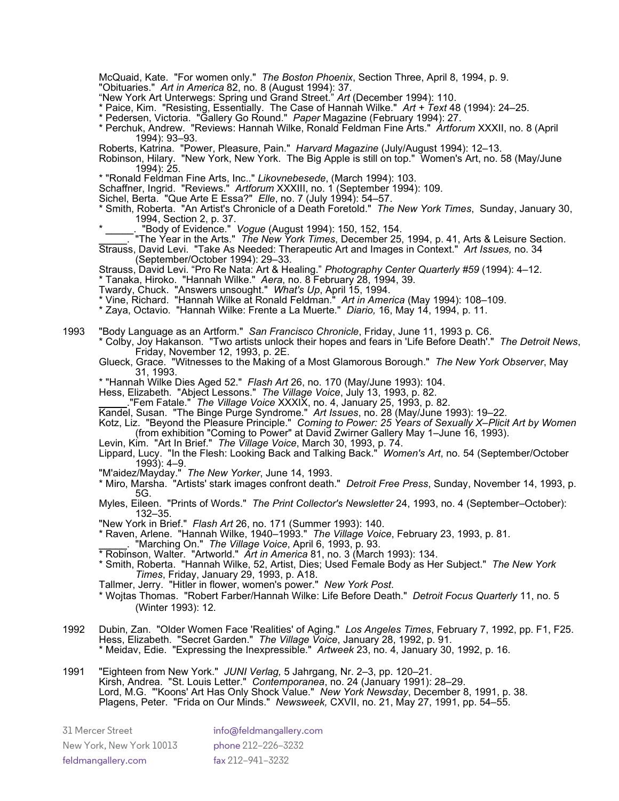McQuaid, Kate. "For women only." *The Boston Phoenix*, Section Three, April 8, 1994, p. 9. "Obituaries." *Art in America* 82, no. 8 (August 1994): 37.

"New York Art Unterwegs: Spring und Grand Street." *Art* (December 1994): 110.

\* Paice, Kim. "Resisting, Essentially. The Case of Hannah Wilke." *Art + Text* 48 (1994): 24–25.

\* Pedersen, Victoria. "Gallery Go Round." *Paper* Magazine (February 1994): 27.

\* Perchuk, Andrew. "Reviews: Hannah Wilke, Ronald Feldman Fine Arts." *Artforum* XXXII, no. 8 (April 1994): 93–93.

Roberts, Katrina. "Power, Pleasure, Pain." *Harvard Magazine* (July/August 1994): 12–13.

Robinson, Hilary. "New York, New York. The Big Apple is still on top." Women's Art, no. 58 (May/June 1994): 25.

\* "Ronald Feldman Fine Arts, Inc.." *Likovnebesede*, (March 1994): 103.

Schaffner, Ingrid. "Reviews." *Artforum* XXXIII, no. 1 (September 1994): 109.

Sichel, Berta. "Que Arte E Essa?" *Elle*, no. 7 (July 1994): 54–57.

\* Smith, Roberta. "An Artist's Chronicle of a Death Foretold." *The New York Times*, Sunday, January 30, 1994, Section 2, p. 37.

\* \_\_\_\_\_. "Body of Evidence." *Vogue* (August 1994): 150, 152, 154.

\_\_\_\_\_. "The Year in the Arts." *The New York Times*, December 25, 1994, p. 41, Arts & Leisure Section. Strauss, David Levi. "Take As Needed: Therapeutic Art and Images in Context." *Art Issues,* no. 34

(September/October 1994): 29–33.

Strauss, David Levi. "Pro Re Nata: Art & Healing." *Photography Center Quarterly #59* (1994): 4–12.

\* Tanaka, Hiroko. "Hannah Wilke." *Aera*, no. 8 February 28, 1994, 39.

Twardy, Chuck. "Answers unsought." *What's Up*, April 15, 1994.

\* Vine, Richard. "Hannah Wilke at Ronald Feldman." *Art in America* (May 1994): 108–109.

\* Zaya, Octavio. "Hannah Wilke: Frente a La Muerte." *Diario,* 16, May 14, 1994, p. 11.

1993 "Body Language as an Artform." *San Francisco Chronicle*, Friday, June 11, 1993 p. C6.

\* Colby, Joy Hakanson. "Two artists unlock their hopes and fears in 'Life Before Death'." *The Detroit News*, Friday, November 12, 1993, p. 2E.

Glueck, Grace. "Witnesses to the Making of a Most Glamorous Borough." *The New York Observer*, May 31, 1993.

\* "Hannah Wilke Dies Aged 52." *Flash Art* 26, no. 170 (May/June 1993): 104.

"Fem Fatale." *The Village Voice XXXIX*, no. 4, January 25, 1993, p. 82.

Kandel, Susan. "The Binge Purge Syndrome." *Art Issues*, no. 28 (May/June 1993): 19–22.

- Kotz, Liz. "Beyond the Pleasure Principle." *Coming to Power: 25 Years of Sexually X–Plicit Art by Women* (from exhibition "Coming to Power" at David Zwirner Gallery May 1–June 16, 1993).
- Levin, Kim. "Art In Brief." *The Village Voice*, March 30, 1993, p. 74.

Lippard, Lucy. "In the Flesh: Looking Back and Talking Back." *Women's Art*, no. 54 (September/October 1993): 4–9.

- "M'aidez/Mayday." *The New Yorker*, June 14, 1993.
- \* Miro, Marsha. "Artists' stark images confront death." *Detroit Free Press*, Sunday, November 14, 1993, p. 5G.
- Myles, Eileen. "Prints of Words." *The Print Collector's Newsletter* 24, 1993, no. 4 (September–October): 132–35.
- "New York in Brief." *Flash Art* 26, no. 171 (Summer 1993): 140.

\* Raven, Arlene. "Hannah Wilke, 1940–1993." *The Village Voice*, February 23, 1993, p. 81.

- \_\_\_\_\_. "Marching On." *The Village Voice*, April 6, 1993, p. 93.
- \* Robinson, Walter. "Artworld." *Art in America* 81, no. 3 (March 1993): 134.

\* Smith, Roberta. "Hannah Wilke, 52, Artist, Dies; Used Female Body as Her Subject." *The New York Times*, Friday, January 29, 1993, p. A18.

Tallmer, Jerry. "Hitler in flower, women's power." *New York Post*.

\* Wojtas Thomas. "Robert Farber/Hannah Wilke: Life Before Death." *Detroit Focus Quarterly* 11, no. 5 (Winter 1993): 12.

1992 Dubin, Zan. "Older Women Face 'Realities' of Aging." *Los Angeles Times*, February 7, 1992, pp. F1, F25. Hess, Elizabeth. "Secret Garden." *The Village Voice*, January 28, 1992, p. 91. \* Meidav, Edie. "Expressing the Inexpressible." *Artweek* 23, no. 4, January 30, 1992, p. 16.

1991 "Eighteen from New York." *JUNI Verlag,* 5 Jahrgang, Nr. 2–3, pp. 120–21. Kirsh, Andrea. "St. Louis Letter." *Contemporanea*, no. 24 (January 1991): 28–29. Lord, M.G. "'Koons' Art Has Only Shock Value." *New York Newsday*, December 8, 1991, p. 38. Plagens, Peter. "Frida on Our Minds." *Newsweek,* CXVII, no. 21, May 27, 1991, pp. 54–55.

| 31 Mercer Street         | info@feldmangallery.com        |
|--------------------------|--------------------------------|
| New York. New York 10013 | phone 212-226-3232             |
| feldmangallery.com       | $\frac{1}{2}$ fax 212-941-3232 |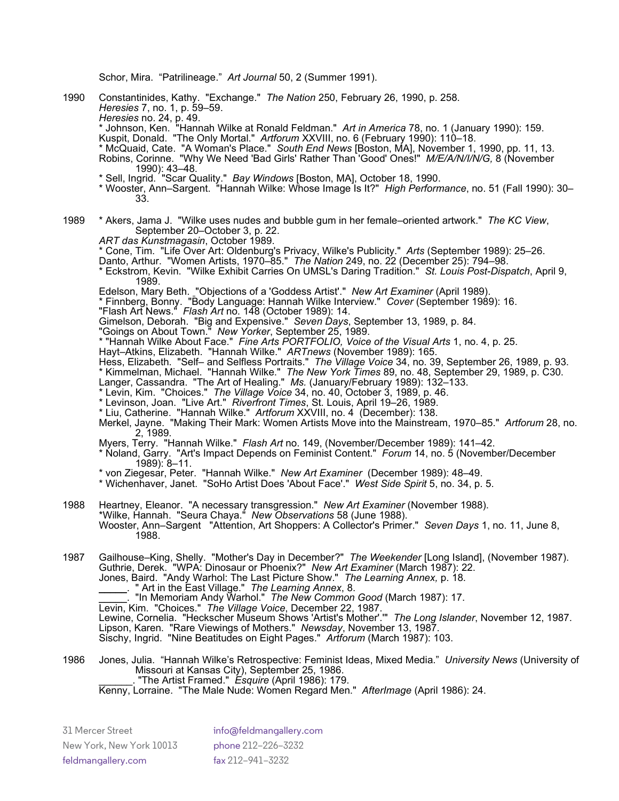Schor, Mira. "Patrilineage." *Art Journal* 50, 2 (Summer 1991).

1990 Constantinides, Kathy. "Exchange." *The Nation* 250, February 26, 1990, p. 258.

*Heresies* 7, no. 1, p. 59–59.

*Heresies* no. 24, p. 49.

\* Johnson, Ken. "Hannah Wilke at Ronald Feldman." *Art in America* 78, no. 1 (January 1990): 159.

Kuspit, Donald. "The Only Mortal." *Artforum* XXVIII, no. 6 (February 1990): 110–18.

- \* McQuaid, Cate. "A Woman's Place." *South End News* [Boston, MA], November 1, 1990, pp. 11, 13. Robins, Corinne. "Why We Need 'Bad Girls' Rather Than 'Good' Ones!" *M/E/A/N/I/N/G,* 8 (November 1990): 43–48.
- \* Sell, Ingrid. "Scar Quality." *Bay Windows* [Boston, MA], October 18, 1990.
- \* Wooster, Ann–Sargent. "Hannah Wilke: Whose Image Is It?" *High Performance*, no. 51 (Fall 1990): 30– 33.
- 1989 \* Akers, Jama J. "Wilke uses nudes and bubble gum in her female–oriented artwork." *The KC View*, September 20–October 3, p. 22.
	- *ART das Kunstmagasin*, October 1989.
	- \* Cone, Tim. "Life Over Art: Oldenburg's Privacy, Wilke's Publicity." *Arts* (September 1989): 25–26. Danto, Arthur. "Women Artists, 1970–85." *The Nation* 249, no. 22 (December 25): 794–98.
	- \* Eckstrom, Kevin. "Wilke Exhibit Carries On UMSL's Daring Tradition." *St. Louis Post-Dispatch*, April 9, 1989.
	- Edelson, Mary Beth. "Objections of a 'Goddess Artist'." *New Art Examiner* (April 1989).

\* Finnberg, Bonny. "Body Language: Hannah Wilke Interview." *Cover* (September 1989): 16.

"Flash Art News." *Flash Art* no. 148 (October 1989): 14.

Gimelson, Deborah. "Big and Expensive." *Seven Days*, September 13, 1989, p. 84.

"Goings on About Town." *New Yorker*, September 25, 1989.

\* "Hannah Wilke About Face." *Fine Arts PORTFOLIO, Voice of the Visual Arts* 1, no. 4, p. 25.

Hayt–Atkins, Elizabeth. "Hannah Wilke." *ARTnews* (November 1989): 165.

Hess, Elizabeth. "Self– and Selfless Portraits." *The Village Voice* 34, no. 39, September 26, 1989, p. 93.

\* Kimmelman, Michael. "Hannah Wilke." *The New York Times* 89, no. 48, September 29, 1989, p. C30.

- Langer, Cassandra. "The Art of Healing." *Ms.* (January/February 1989): 132–133.
- \* Levin, Kim. "Choices." *The Village Voice* 34, no. 40, October 3, 1989, p. 46. \* Levinson, Joan. "Live Art." *Riverfront Times*, St. Louis, April 19–26, 1989.
- 
- \* Liu, Catherine. "Hannah Wilke." *Artforum* XXVIII, no. 4 (December): 138. Merkel, Jayne. "Making Their Mark: Women Artists Move into the Mainstream, 1970–85." *Artforum* 28, no. 2, 1989.

Myers, Terry. "Hannah Wilke." *Flash Art* no. 149, (November/December 1989): 141–42.

- \* Noland, Garry. "Art's Impact Depends on Feminist Content." *Forum* 14, no. 5 (November/December 1989): 8–11.
- \* von Ziegesar, Peter. "Hannah Wilke." *New Art Examiner* (December 1989): 48–49.
- \* Wichenhaver, Janet. "SoHo Artist Does 'About Face'." *West Side Spirit* 5, no. 34, p. 5.
- 1988 Heartney, Eleanor. "A necessary transgression." *New Art Examiner* (November 1988). \*Wilke, Hannah. "Seura Chaya." *New Observations* 58 (June 1988). Wooster, Ann–Sargent "Attention, Art Shoppers: A Collector's Primer." *Seven Days* 1, no. 11, June 8, 1988.
- 1987 Gailhouse–King, Shelly. "Mother's Day in December?" *The Weekender* [Long Island], (November 1987). Guthrie, Derek. "WPA: Dinosaur or Phoenix?" *New Art Examiner* (March 1987): 22. Jones, Baird. "Andy Warhol: The Last Picture Show." *The Learning Annex,* p. 18.<br>\_\_\_\_\_\_. " Art in the East Village." *The Learning Annex*, 8. \_\_\_\_\_. "In Memoriam Andy Warhol." *The New Common Good* (March 1987): 17. Levin, Kim. "Choices." *The Village Voice*, December 22, 1987. Lewine, Cornelia. "Heckscher Museum Shows 'Artist's Mother'.'" *The Long Islander*, November 12, 1987. Lipson, Karen. "Rare Viewings of Mothers." *Newsday*, November 13, 1987. Sischy, Ingrid. "Nine Beatitudes on Eight Pages." *Artforum* (March 1987): 103.
- 1986 Jones, Julia. "Hannah Wilke's Retrospective: Feminist Ideas, Mixed Media." *University News* (University of Missouri at Kansas City), September 25, 1986. \_\_\_\_\_\_. "The Artist Framed." *Esquire* (April 1986): 179.

Kenny, Lorraine. "The Male Nude: Women Regard Men." *AfterImage* (April 1986): 24.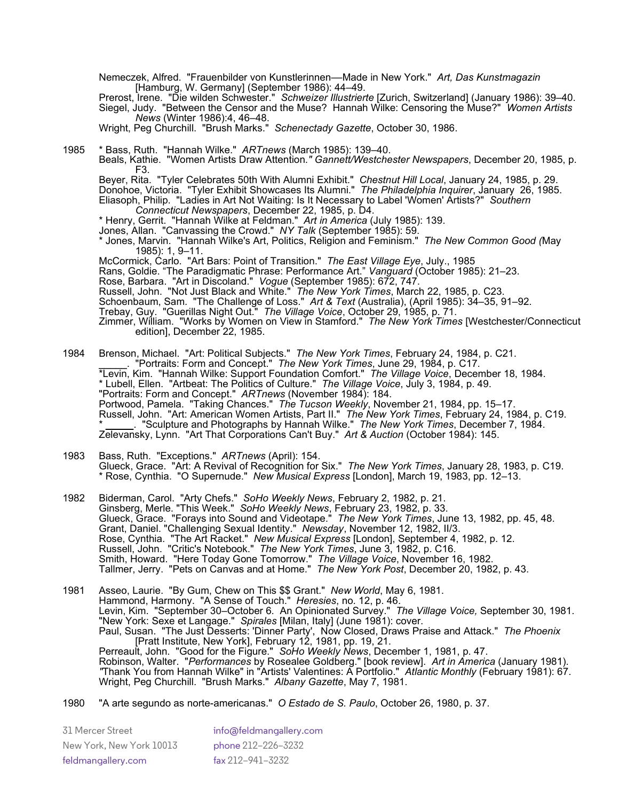Nemeczek, Alfred. "Frauenbilder von Kunstlerinnen––Made in New York." *Art, Das Kunstmagazin* [Hamburg, W. Germany] (September 1986): 44–49.

Prerost, Irene. "Die wilden Schwester." *Schweizer Illustrierte* [Zurich, Switzerland] (January 1986): 39–40. Siegel, Judy. "Between the Censor and the Muse? Hannah Wilke: Censoring the Muse?" *Women Artists News* (Winter 1986):4, 46–48.

Wright, Peg Churchill. "Brush Marks." *Schenectady Gazette*, October 30, 1986.

- 1985 \* Bass, Ruth. "Hannah Wilke." *ARTnews* (March 1985): 139–40.
	- Beals, Kathie. "Women Artists Draw Attention.*" Gannett/Westchester Newspapers*, December 20, 1985, p. F3.

Beyer, Rita. "Tyler Celebrates 50th With Alumni Exhibit." *Chestnut Hill Local*, January 24, 1985, p. 29. Donohoe, Victoria. "Tyler Exhibit Showcases Its Alumni." *The Philadelphia Inquirer*, January 26, 1985. Eliasoph, Philip. "Ladies in Art Not Waiting: Is It Necessary to Label 'Women' Artists?" *Southern Connecticut Newspapers*, December 22, 1985, p. D4.

- \* Henry, Gerrit. "Hannah Wilke at Feldman." *Art in America* (July 1985): 139.
- Jones, Allan. "Canvassing the Crowd." *NY Talk* (September 1985): 59.

\* Jones, Marvin. "Hannah Wilke's Art, Politics, Religion and Feminism." *The New Common Good (*May 1985): 1, 9–11.

McCormick, Carlo. "Art Bars: Point of Transition." *The East Village Eye*, July., 1985 Rans, Goldie. "The Paradigmatic Phrase: Performance Art." *Vanguard* (October 1985): 21–23. Rose, Barbara. "Art in Discoland." *Vogue* (September 1985): 672, 747. Russell, John. "Not Just Black and White." *The New York Times*, March 22, 1985, p. C23. Schoenbaum, Sam. "The Challenge of Loss." *Art & Text* (Australia), (April 1985): 34–35, 91–92. Trebay, Guy. "Guerillas Night Out." *The Village Voice*, October 29, 1985, p. 71. Zimmer, William. "Works by Women on View in Stamford." *The New York Times* [Westchester/Connecticut edition], December 22, 1985.

<sup>1984</sup> Brenson, Michael. "Art: Political Subjects." *The New York Times*, February 24, 1984, p. C21. \_\_\_\_\_. "Portraits: Form and Concept." *The New York Times*, June 29, 1984, p. C17. \*Levin, Kim. "Hannah Wilke: Support Foundation Comfort." *The Village Voice*, December 18, 1984. \* Lubell, Ellen. "Artbeat: The Politics of Culture." *The Village Voice*, July 3, 1984, p. 49. "Portraits: Form and Concept." *ARTnews* (November 1984): 184. Portwood, Pamela. "Taking Chances." *The Tucson Weekly*, November 21, 1984, pp. 15–17. Russell, John. "Art: American Women Artists, Part II." *The New York Times*, February 24, 1984, p. C19. \* \_\_\_\_\_. "Sculpture and Photographs by Hannah Wilke." *The New York Times*, December 7, 1984. Zelevansky, Lynn. "Art That Corporations Can't Buy." *Art & Auction* (October 1984): 145.

- 1983 Bass, Ruth. "Exceptions." *ARTnews* (April): 154. Glueck, Grace. "Art: A Revival of Recognition for Six." *The New York Times*, January 28, 1983, p. C19. \* Rose, Cynthia. "O Supernude." *New Musical Express* [London], March 19, 1983, pp. 12–13.
- 1982 Biderman, Carol. "Arty Chefs." *SoHo Weekly News*, February 2, 1982, p. 21. Ginsberg, Merle. "This Week." *SoHo Weekly News*, February 23, 1982, p. 33. Glueck, Grace. "Forays into Sound and Videotape." *The New York Times*, June 13, 1982, pp. 45, 48. Grant, Daniel. "Challenging Sexual Identity." *Newsday*, November 12, 1982, II/3. Rose, Cynthia. "The Art Racket." *New Musical Express* [London], September 4, 1982, p. 12. Russell, John. "Critic's Notebook." *The New York Times*, June 3, 1982, p. C16. Smith, Howard. "Here Today Gone Tomorrow." *The Village Voice*, November 16, 1982. Tallmer, Jerry. "Pets on Canvas and at Home." *The New York Post*, December 20, 1982, p. 43.
- 1981 Asseo, Laurie. "By Gum, Chew on This \$\$ Grant." *New World*, May 6, 1981. Hammond, Harmony. "A Sense of Touch." *Heresies*, no. 12, p. 46. Levin, Kim. "September 30–October 6. An Opinionated Survey." *The Village Voice,* September 30, 1981. "New York: Sexe et Langage." *Spirales* [Milan, Italy] (June 1981): cover. Paul, Susan. "The Just Desserts: 'Dinner Party', Now Closed, Draws Praise and Attack." *The Phoenix*  [Pratt Institute, New York], February 12, 1981, pp. 19, 21. Perreault, John. "Good for the Figure." *SoHo Weekly News*, December 1, 1981, p. 47. Robinson, Walter. "*Performances* by Rosealee Goldberg." [book review]. *Art in America* (January 1981). *"*Thank You from Hannah Wilke" in "Artists' Valentines: A Portfolio." *Atlantic Monthly* (February 1981): 67. Wright, Peg Churchill. "Brush Marks." *Albany Gazette*, May 7, 1981.
- 1980 "A arte segundo as norte-americanas." *O Estado de S. Paulo*, October 26, 1980, p. 37.

| 31 Mercer Street         | info@feldmangallery.com        |
|--------------------------|--------------------------------|
| New York, New York 10013 | phone 212-226-3232             |
| feldmangallery.com       | $\frac{1}{2}$ fax 212-941-3232 |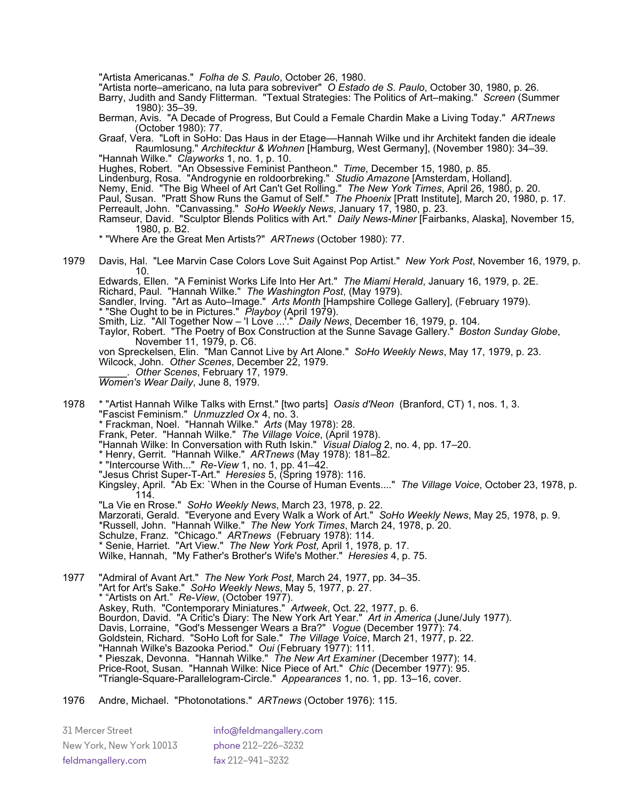"Artista Americanas." *Folha de S. Paulo*, October 26, 1980.

"Artista norte–americano, na luta para sobreviver" *O Estado de S. Paulo*, October 30, 1980, p. 26.

Barry, Judith and Sandy Flitterman. "Textual Strategies: The Politics of Art–making." *Screen* (Summer 1980): 35–39.

Berman, Avis. "A Decade of Progress, But Could a Female Chardin Make a Living Today." *ARTnews* (October 1980): 77.

Graaf, Vera. "Loft in SoHo: Das Haus in der Etage––Hannah Wilke und ihr Architekt fanden die ideale Raumlosung." *Architecktur & Wohnen* [Hamburg, West Germany], (November 1980): 34–39. "Hannah Wilke." *Clayworks* 1, no. 1, p. 10.

Hughes, Robert. "An Obsessive Feminist Pantheon." *Time*, December 15, 1980, p. 85.

Lindenburg, Rosa. "Androgynie en roldoorbreking." *Studio Amazone* [Amsterdam, Holland].

Nemy, Enid. "The Big Wheel of Art Can't Get Rolling." *The New York Times*, April 26, 1980, p. 20.

Paul, Susan. "Pratt Show Runs the Gamut of Self." *The Phoenix* [Pratt Institute], March 20, 1980, p. 17. Perreault, John. "Canvassing." *SoHo Weekly News*, January 17, 1980, p. 23.

Ramseur, David. "Sculptor Blends Politics with Art." *Daily News-Miner* [Fairbanks, Alaska], November 15, 1980, p. B2.

\* "Where Are the Great Men Artists?" *ARTnews* (October 1980): 77.

1979 Davis, Hal. "Lee Marvin Case Colors Love Suit Against Pop Artist." *New York Post*, November 16, 1979, p. 10.

Edwards, Ellen. "A Feminist Works Life Into Her Art." *The Miami Herald*, January 16, 1979, p. 2E. Richard, Paul. "Hannah Wilke." *The Washington Post*, (May 1979).

Sandler, Irving. "Art as Auto–Image." *Arts Month* [Hampshire College Gallery], (February 1979).

\* "She Ought to be in Pictures." *Playboy* (April 1979).

Smith, Liz. "All Together Now – 'I Love ...'." *Daily News*, December 16, 1979, p. 104.

Taylor, Robert. "The Poetry of Box Construction at the Sunne Savage Gallery." *Boston Sunday Globe*, November 11, 1979, p. C6.

von Spreckelsen, Elin. "Man Cannot Live by Art Alone." *SoHo Weekly News*, May 17, 1979, p. 23.

Wilcock, John. *Other Scenes*, December 22, 1979. \_\_\_\_\_. *Other Scenes*, February 17, 1979.

*Women's Wear Daily*, June 8, 1979.

1978 \* "Artist Hannah Wilke Talks with Ernst." [two parts] *Oasis d'Neon* (Branford, CT) 1, nos. 1, 3. "Fascist Feminism." *Unmuzzled Ox* 4, no. 3.

- \* Frackman, Noel. "Hannah Wilke." *Arts* (May 1978): 28.
- Frank, Peter. "Hannah Wilke." *The Village Voice*, (April 1978).
- "Hannah Wilke: In Conversation with Ruth Iskin." *Visual Dialog* 2, no. 4, pp. 17–20.
- \* Henry, Gerrit. "Hannah Wilke." *ARTnews* (May 1978): 181–82.
- \* "Intercourse With..." *Re-View* 1, no. 1, pp. 41–42.
- "Jesus Christ Super-T-Art." *Heresies* 5, (Spring 1978): 116.

Kingsley, April. "Ab Ex: `When in the Course of Human Events...." *The Village Voice*, October 23, 1978, p. 114.

"La Vie en Rrose." *SoHo Weekly News*, March 23, 1978, p. 22.

Marzorati, Gerald. "Everyone and Every Walk a Work of Art." *SoHo Weekly News*, May 25, 1978, p. 9.

\*Russell, John. "Hannah Wilke." *The New York Times*, March 24, 1978, p. 20.

Schulze, Franz. "Chicago." *ARTnews* (February 1978): 114.

\* Senie, Harriet. "Art View." *The New York Post*, April 1, 1978, p. 17.

Wilke, Hannah, "My Father's Brother's Wife's Mother." *Heresies* 4, p. 75.

1977 "Admiral of Avant Art." *The New York Post*, March 24, 1977, pp. 34–35. "Art for Art's Sake." *SoHo Weekly News*, May 5, 1977, p. 27. \* "Artists on Art." *Re-View*, (October 1977). Askey, Ruth. "Contemporary Miniatures." *Artweek*, Oct. 22, 1977, p. 6. Bourdon, David. "A Critic's Diary: The New York Art Year." *Art in America* (June/July 1977). Davis, Lorraine, "God's Messenger Wears a Bra?" *Vogue* (December 1977): 74. Goldstein, Richard. "SoHo Loft for Sale." *The Village Voice*, March 21, 1977, p. 22. "Hannah Wilke's Bazooka Period." *Oui* (February 1977): 111. \* Pieszak, Devonna. "Hannah Wilke." *The New Art Examiner* (December 1977): 14. Price-Root, Susan. "Hannah Wilke: Nice Piece of Art." *Chic* (December 1977): 95. "Triangle-Square-Parallelogram-Circle." Appearances 1, no. 1, pp. 13–16, cover.

1976 Andre, Michael. "Photonotations." *ARTnews* (October 1976): 115.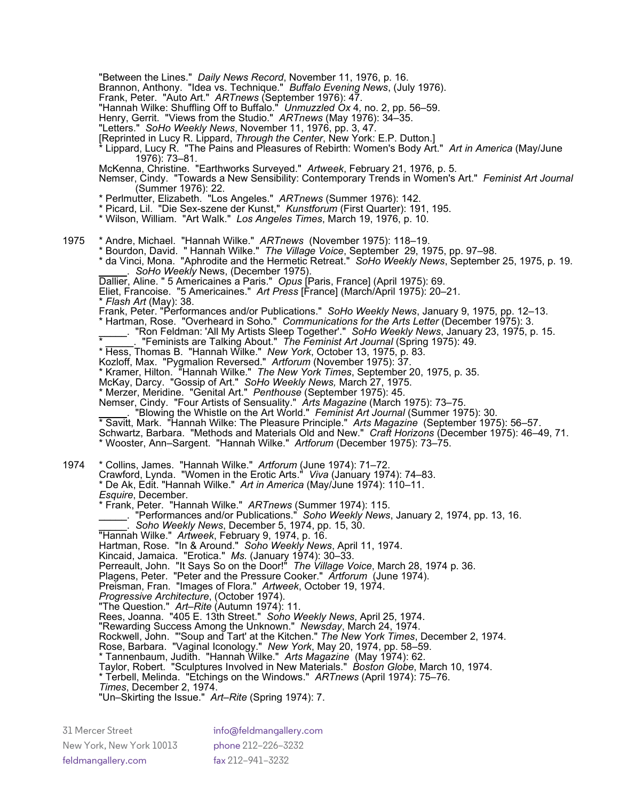"Between the Lines." *Daily News Record*, November 11, 1976, p. 16.

Brannon, Anthony. "Idea vs. Technique." *Buffalo Evening News*, (July 1976).

Frank, Peter. "Auto Art." *ARTnews* (September 1976): 47.

"Hannah Wilke: Shuffling Off to Buffalo." *Unmuzzled Ox* 4*,* no. 2, pp. 56–59.

Henry, Gerrit. "Views from the Studio." *ARTnews* (May 1976): 34–35.

"Letters." *SoHo Weekly News*, November 11, 1976, pp. 3, 47.

[Reprinted in Lucy R. Lippard, *Through the Center*, New York: E.P. Dutton.]

\* Lippard, Lucy R. "The Pains and Pleasures of Rebirth: Women's Body Art." *Art in America* (May/June 1976): 73–81.

McKenna, Christine. "Earthworks Surveyed." *Artweek*, February 21, 1976, p. 5.

Nemser, Cindy. "Towards a New Sensibility: Contemporary Trends in Women's Art." *Feminist Art Journal* (Summer 1976): 22.

\* Perlmutter, Elizabeth. "Los Angeles." *ARTnews* (Summer 1976): 142.

\* Picard, Lil. "Die Sex-szene der Kunst," *Kunstforum* (First Quarter): 191, 195.

\* Wilson, William. "Art Walk." *Los Angeles Times*, March 19, 1976, p. 10.

1975 \* Andre, Michael. "Hannah Wilke." *ARTnews* (November 1975): 118–19.

\* Bourdon, David. " Hannah Wilke." *The Village Voice*, September 29, 1975, pp. 97–98.

\* da Vinci, Mona. "Aphrodite and the Hermetic Retreat." *SoHo Weekly News*, September 25, 1975, p. 19. SoHo Weekly News, (December 1975)

Dallier, Aline. " 5 Americaines a Paris." *Opus* [Paris, France] (April 1975): 69.

Eliet, Francoise. "5 Americaines." *Art Press* [France] (March/April 1975): 20–21.

\* *Flash Art* (May): 38.

Frank, Peter. "Performances and/or Publications." *SoHo Weekly News*, January 9, 1975, pp. 12–13.

\* Hartman, Rose. "Overheard in Soho." *Communications for the Arts Letter* (December 1975): 3.

\_\_\_\_\_. "Ron Feldman: 'All My Artists Sleep Together'." *SoHo Weekly News*, January 23, 1975, p. 15.

\* \_\_\_\_\_. "Feminists are Talking About." *The Feminist Art Journal* (Spring 1975): 49.

\* Hess, Thomas B. "Hannah Wilke." *New York*, October 13, 1975, p. 83.

Kozloff, Max. "Pygmalion Reversed." *Artforum* (November 1975): 37.

\* Kramer, Hilton. "Hannah Wilke." *The New York Times*, September 20, 1975, p. 35.

McKay, Darcy. "Gossip of Art." *SoHo Weekly News,* March 27, 1975.

\* Merzer, Meridine. "Genital Art." *Penthouse* (September 1975): 45.

Nemser, Cindy. "Four Artists of Sensuality." *Arts Magazine* (March 1975): 73–75.

\_\_\_\_\_. "Blowing the Whistle on the Art World." *Feminist Art Journal* (Summer 1975): 30.

\* Savitt, Mark. "Hannah Wilke: The Pleasure Principle." *Arts Magazine* (September 1975): 56–57. Schwartz, Barbara. "Methods and Materials Old and New." *Craft Horizons* (December 1975): 46–49, 71.

\* Wooster, Ann–Sargent. "Hannah Wilke." *Artforum* (December 1975): 73–75.

1974 \* Collins, James. "Hannah Wilke." *Artforum* (June 1974): 71–72. Crawford, Lynda. "Women in the Erotic Arts." *Viva* (January 1974): 74–83.

\* De Ak, Edit. "Hannah Wilke." *Art in America* (May/June 1974): 110–11.

*Esquire*, December.

\* Frank, Peter. "Hannah Wilke." *ARTnews* (Summer 1974): 115. \_\_\_\_\_. "Performances and/or Publications." *Soho Weekly News*, January 2, 1974, pp. 13, 16.

\_\_\_\_\_. *Soho Weekly News*, December 5, 1974, pp. 15, 30.

"Hannah Wilke." *Artweek*, February 9, 1974, p. 16.

Hartman, Rose. "In & Around." *Soho Weekly News*, April 11, 1974.

Kincaid, Jamaica. "Erotica." *Ms.* (January 1974): 30–33.

Perreault, John. "It Says So on the Door!" *The Village Voice*, March 28, 1974 p. 36.

Plagens, Peter. "Peter and the Pressure Cooker." *Artforum* (June 1974).

Preisman, Fran. "Images of Flora." *Artweek*, October 19, 1974.

*Progressive Architecture*, (October 1974).

"The Question." *Art–Rite* (Autumn 1974): 11.

Rees, Joanna. "405 E. 13th Street." *Soho Weekly News*, April 25, 1974.

"Rewarding Success Among the Unknown." *Newsday*, March 24, 1974.

Rockwell, John. "'Soup and Tart' at the Kitchen." *The New York Times*, December 2, 1974.

Rose, Barbara. "Vaginal Iconology." *New York*, May 20, 1974, pp. 58–59.

\* Tannenbaum, Judith. "Hannah Wilke." *Arts Magazine* (May 1974): 62.

Taylor, Robert. "Sculptures Involved in New Materials." *Boston Globe*, March 10, 1974.

\* Terbell, Melinda. "Etchings on the Windows." *ARTnews* (April 1974): 75–76.

*Times*, December 2, 1974.

"Un–Skirting the Issue." *Art–Rite* (Spring 1974): 7.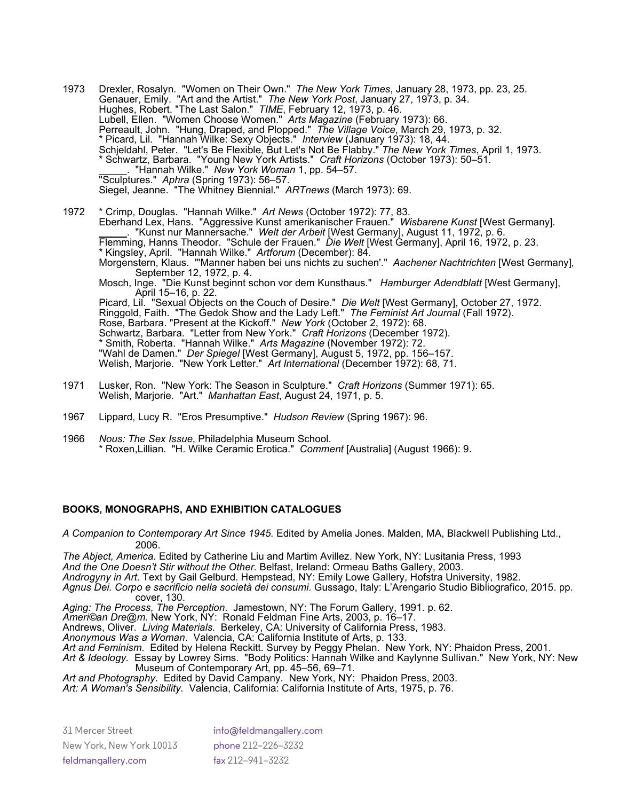- 1973 Drexler, Rosalyn. "Women on Their Own." *The New York Times*, January 28, 1973, pp. 23, 25. Genauer, Emily. "Art and the Artist." *The New York Post*, January 27, 1973, p. 34. Hughes, Robert. "The Last Salon." *TIME*, February 12, 1973, p. 46. Lubell, Ellen. "Women Choose Women." *Arts Magazine* (February 1973): 66. Perreault, John. "Hung, Draped, and Plopped." *The Village Voice*, March 29, 1973, p. 32. \* Picard, Lil. "Hannah Wilke: Sexy Objects." *Interview* (January 1973): 18, 44. Schjeldahl, Peter. "Let's Be Flexible, But Let's Not Be Flabby." *The New York Times*, April 1, 1973. \* Schwartz, Barbara. "Young New York Artists." *Craft Horizons* (October 1973): 50–51. \_\_\_\_\_. "Hannah Wilke." *New York Woman* 1, pp. 54–57. "Sculptures." *Aphra* (Spring 1973): 56–57. Siegel, Jeanne. "The Whitney Biennial." *ARTnews* (March 1973): 69. 1972 \* Crimp, Douglas. "Hannah Wilke." *Art News* (October 1972): 77, 83. Eberhand Lex, Hans. "Aggressive Kunst amerikanischer Frauen." *Wisbarene Kunst* [West Germany]*.*<br>\_\_\_\_\_\_. "Kunst nur Mannersache." *Welt der Arbeit* [West Germany], August 11, 1972, p. 6. Flemming, Hanns Theodor. "Schule der Frauen." *Die Welt* [West Germany], April 16, 1972, p. 23. \* Kingsley, April. "Hannah Wilke." *Artforum* (December): 84. Morgenstern, Klaus. "'Manner haben bei uns nichts zu suchen'." *Aachener Nachtrichten* [West Germany]*,* September 12, 1972, p. 4. Mosch, Inge. "Die Kunst beginnt schon vor dem Kunsthaus." *Hamburger Adendblatt* [West Germany], April 15–16, p. 22. Picard, Lil. "Sexual Objects on the Couch of Desire." *Die Welt* [West Germany], October 27, 1972. Ringgold, Faith. "The Gedok Show and the Lady Left." *The Feminist Art Journal* (Fall 1972). Rose, Barbara. "Present at the Kickoff." *New York* (October 2, 1972): 68. Schwartz, Barbara. "Letter from New York." *Craft Horizons* (December 1972). \* Smith, Roberta. "Hannah Wilke." *Arts Magazine* (November 1972): 72. "Wahl de Damen." *Der Spiegel* [West Germany], August 5, 1972, pp. 156–157. Welish, Marjorie. "New York Letter." *Art International* (December 1972): 68, 71.
- 1971 Lusker, Ron. "New York: The Season in Sculpture." *Craft Horizons* (Summer 1971): 65. Welish, Marjorie. "Art." *Manhattan East*, August 24, 1971, p. 5.
- 1967 Lippard, Lucy R. "Eros Presumptive." *Hudson Review* (Spring 1967): 96.
- 1966 *Nous: The Sex Issue*, Philadelphia Museum School. \* Roxen,Lillian. "H. Wilke Ceramic Erotica." *Comment* [Australia] (August 1966): 9.

#### **BOOKS, MONOGRAPHS, AND EXHIBITION CATALOGUES**

*A Companion to Contemporary Art Since 1945.* Edited by Amelia Jones. Malden, MA, Blackwell Publishing Ltd., 2006.

*The Abject, America*. Edited by Catherine Liu and Martim Avillez. New York, NY: Lusitania Press, 1993 *And the One Doesn't Stir without the Other.* Belfast, Ireland: Ormeau Baths Gallery, 2003.

*Androgyny in Art*. Text by Gail Gelburd. Hempstead, NY: Emily Lowe Gallery, Hofstra University, 1982.

*Agnus Dei. Corpo e sacrificio nella società dei consumi*. Gussago, Italy: L'Arengario Studio Bibliografico, 2015. pp. cover, 130.

*Aging: The Process, The Perception*. Jamestown, NY: The Forum Gallery, 1991. p. 62.

*Ameri©an Dre@m.* New York, NY: Ronald Feldman Fine Arts, 2003, p. 16–17.

Andrews, Oliver. *Living Materials.* Berkeley, CA: University of California Press, 1983.

*Anonymous Was a Woman*. Valencia, CA: California Institute of Arts, p. 133.

*Art and Feminism*. Edited by Helena Reckitt. Survey by Peggy Phelan. New York, NY: Phaidon Press, 2001.

*Art & Ideology.* Essay by Lowrey Sims. "Body Politics: Hannah Wilke and Kaylynne Sullivan." New York, NY: New Museum of Contemporary Art, pp. 45–56, 69–71.

*Art and Photography*.Edited by David Campany. New York, NY: Phaidon Press, 2003.

*Art: A Woman's Sensibility.* Valencia, California: California Institute of Arts, 1975, p. 76.

New York, New York 10013 phone 212–226–3232 feldmangallery.com fax 212–941–3232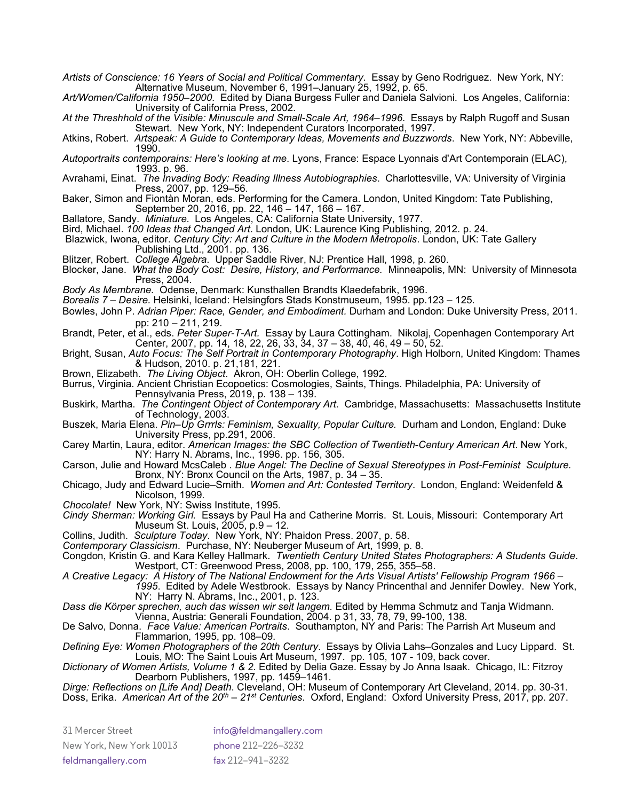*Artists of Conscience: 16 Years of Social and Political Commentary*. Essay by Geno Rodriguez. New York, NY: Alternative Museum, November 6, 1991–January 25, 1992, p. 65.

*Art/Women/California 1950–2000*. Edited by Diana Burgess Fuller and Daniela Salvioni. Los Angeles, California: University of California Press, 2002.

*At the Threshhold of the Visible: Minuscule and Small-Scale Art, 1964–1996*. Essays by Ralph Rugoff and Susan Stewart. New York, NY: Independent Curators Incorporated, 1997.

Atkins, Robert. *Artspeak: A Guide to Contemporary Ideas, Movements and Buzzwords*. New York, NY: Abbeville, 1990.

*Autoportraits contemporains: Here's looking at me*. Lyons, France: Espace Lyonnais d'Art Contemporain (ELAC), 1993. p. 96.

Avrahami, Einat. *The Invading Body: Reading Illness Autobiographies*. Charlottesville, VA: University of Virginia Press, 2007, pp. 129–56.

Baker, Simon and Fiontàn Moran, eds. Performing for the Camera. London, United Kingdom: Tate Publishing, September 20, 2016, pp. 22, 146 – 147, 166 – 167.

Ballatore, Sandy. *Miniature*. Los Angeles, CA: California State University, 1977.

Bird, Michael. *100 Ideas that Changed Art*. London, UK: Laurence King Publishing, 2012. p. 24.

Blazwick, Iwona, editor. *Century City: Art and Culture in the Modern Metropolis*. London, UK: Tate Gallery Publishing Ltd., 2001. pp. 136.

Blitzer, Robert. *College Algebra*. Upper Saddle River, NJ: Prentice Hall, 1998, p. 260.

Blocker, Jane. *What the Body Cost: Desire, History, and Performance.* Minneapolis, MN: University of Minnesota Press, 2004.

*Body As Membrane.* Odense, Denmark: Kunsthallen Brandts Klaedefabrik, 1996.

*Borealis 7 – Desire.* Helsinki, Iceland: Helsingfors Stads Konstmuseum, 1995. pp.123 – 125.

Bowles, John P. *Adrian Piper: Race, Gender, and Embodiment.* Durham and London: Duke University Press, 2011. pp: 210 – 211, 219.

Brandt, Peter, et al., eds. *Peter Super-T-Art.* Essay by Laura Cottingham. Nikolaj, Copenhagen Contemporary Art Center, 2007, pp. 14, 18, 22, 26, 33, 34, 37 – 38, 40, 46, 49 – 50, 52.

Bright, Susan, *Auto Focus: The Self Portrait in Contemporary Photography*. High Holborn, United Kingdom: Thames & Hudson, 2010. p. 21,181, 221.

Brown, Elizabeth. *The Living Object*. Akron, OH: Oberlin College, 1992.

Burrus, Virginia. Ancient Christian Ecopoetics: Cosmologies, Saints, Things. Philadelphia, PA: University of Pennsylvania Press, 2019, p. 138 – 139.

Buskirk, Martha. *The Contingent Object of Contemporary Art*. Cambridge, Massachusetts: Massachusetts Institute of Technology, 2003.

Buszek, Maria Elena. *Pin–Up Grrrls: Feminism, Sexuality, Popular Culture.* Durham and London, England: Duke University Press, pp.291, 2006.

Carey Martin, Laura, editor. *American Images: the SBC Collection of Twentieth-Century American Art*. New York, NY: Harry N. Abrams, Inc., 1996. pp. 156, 305.

Carson, Julie and Howard McsCaleb . *Blue Angel: The Decline of Sexual Stereotypes in Post-Feminist Sculpture.* Bronx, NY: Bronx Council on the Arts, 1987, p. 34 – 35.

Chicago, Judy and Edward Lucie–Smith. *Women and Art: Contested Territory*. London, England: Weidenfeld & Nicolson, 1999.

*Chocolate!* New York, NY: Swiss Institute, 1995.

*Cindy Sherman: Working Girl.* Essays by Paul Ha and Catherine Morris. St. Louis, Missouri: Contemporary Art Museum St. Louis, 2005, p.9 – 12.

Collins, Judith. *Sculpture Today*. New York, NY: Phaidon Press. 2007, p. 58.

*Contemporary Classicism*. Purchase, NY: Neuberger Museum of Art, 1999, p. 8.

Congdon, Kristin G. and Kara Kelley Hallmark. *Twentieth Century United States Photographers: A Students Guide*. Westport, CT: Greenwood Press, 2008, pp. 100, 179, 255, 355–58.

*A Creative Legacy: A History of The National Endowment for the Arts Visual Artists' Fellowship Program 1966 – 1995*. Edited by Adele Westbrook. Essays by Nancy Princenthal and Jennifer Dowley. New York, NY: Harry N. Abrams, Inc., 2001, p. 123.

*Dass die Körper sprechen, auch das wissen wir seit langem.* Edited by Hemma Schmutz and Tanja Widmann. Vienna, Austria: Generali Foundation, 2004. p 31, 33, 78, 79, 99-100, 138.

De Salvo, Donna. *Face Value: American Portraits*. Southampton, NY and Paris: The Parrish Art Museum and Flammarion, 1995, pp. 108–09.

*Defining Eye: Women Photographers of the 20th Century*. Essays by Olivia Lahs–Gonzales and Lucy Lippard. St. Louis, MO: The Saint Louis Art Museum, 1997. pp. 105, 107 - 109, back cover.

*Dictionary of Women Artists, Volume 1 & 2*. Edited by Delia Gaze. Essay by Jo Anna Isaak. Chicago, IL: Fitzroy Dearborn Publishers, 1997, pp. 1459–1461.

*Dirge: Reflections on [Life And] Death*. Cleveland, OH: Museum of Contemporary Art Cleveland, 2014. pp. 30-31. Doss, Erika. *American Art of the 20th – 21st Centuries*. Oxford, England: Oxford University Press, 2017, pp. 207.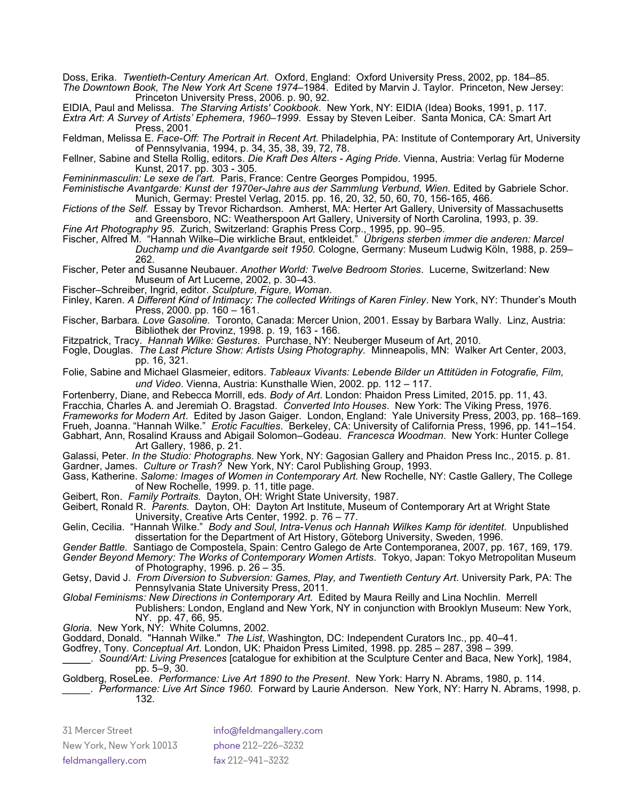Doss, Erika. *Twentieth-Century American Art*. Oxford, England: Oxford University Press, 2002, pp. 184–85. *The Downtown Book, The New York Art Scene 1974–*1984. Edited by Marvin J. Taylor. Princeton, New Jersey: Princeton University Press, 2006. p. 90, 92.

EIDIA, Paul and Melissa. *The Starving Artists' Cookbook*. New York, NY: EIDIA (Idea) Books, 1991, p. 117. *Extra Art*: *A Survey of Artists' Ephemera*, *1960–1999*. Essay by Steven Leiber. Santa Monica, CA: Smart Art Press, 2001.

Feldman, Melissa E. *Face-Off: The Portrait in Recent Art.* Philadelphia, PA: Institute of Contemporary Art, University of Pennsylvania, 1994, p. 34, 35, 38, 39, 72, 78.

Fellner, Sabine and Stella Rollig, editors. *Die Kraft Des Alters - Aging Pride*. Vienna, Austria: Verlag für Moderne Kunst, 2017. pp. 303 - 305.

*Femininmasculin: Le sexe de l'art.* Paris, France: Centre Georges Pompidou, 1995.

*Feministische Avantgarde: Kunst der 1970er-Jahre aus der Sammlung Verbund, Wien*. Edited by Gabriele Schor. Munich, Germay: Prestel Verlag, 2015. pp. 16, 20, 32, 50, 60, 70, 156-165, 466.

*Fictions of the Self.* Essay by Trevor Richardson. Amherst, MA: Herter Art Gallery, University of Massachusetts and Greensboro, NC: Weatherspoon Art Gallery, University of North Carolina, 1993, p. 39.

*Fine Art Photography 95*. Zurich, Switzerland: Graphis Press Corp., 1995, pp. 90–95.

Fischer, Alfred M. "Hannah Wilke–Die wirkliche Braut, entkleidet." *Übrigens sterben immer die anderen: Marcel Duchamp und die Avantgarde seit 1950.* Cologne, Germany: Museum Ludwig Köln, 1988, p. 259– 262.

Fischer, Peter and Susanne Neubauer. *Another World: Twelve Bedroom Stories*. Lucerne, Switzerland: New Museum of Art Lucerne, 2002, p. 30–43.<br>Fischer–Schreiber, Ingrid, editor. Sculpture, Figure, Woman.

Finley, Karen. A Different Kind of Intimacy: The collected Writings of Karen Finley. New York, NY: Thunder's Mouth Press, 2000. pp. 160 – 161.

Fischer, Barbara*. Love Gasoline.* Toronto, Canada: Mercer Union, 2001. Essay by Barbara Wally. Linz, Austria: Bibliothek der Provinz, 1998. p. 19, 163 - 166.

Fitzpatrick, Tracy. *Hannah Wilke: Gestures*. Purchase, NY: Neuberger Museum of Art, 2010.

Fogle, Douglas. *The Last Picture Show: Artists Using Photography.* Minneapolis, MN: Walker Art Center, 2003, pp. 16, 321.

Folie, Sabine and Michael Glasmeier, editors. *Tableaux Vivants: Lebende Bilder un Attitüden in Fotografie, Film, und Video*. Vienna, Austria: Kunsthalle Wien, 2002. pp. 112 – 117.

Fortenberry, Diane, and Rebecca Morrill, eds. *Body of Art*. London: Phaidon Press Limited, 2015. pp. 11, 43. Fracchia, Charles A. and Jeremiah O. Bragstad. *Converted Into Houses*. New York: The Viking Press, 1976. *Frameworks for Modern Art*. Edited by Jason Gaiger. London, England: Yale University Press, 2003, pp. 168–169. Frueh, Joanna. "Hannah Wilke." *Erotic Faculties*. Berkeley, CA: University of California Press, 1996, pp. 141–154. Gabhart, Ann, Rosalind Krauss and Abigail Solomon–Godeau. *Francesca Woodman*. New York: Hunter College Art Gallery, 1986, p. 21.

Galassi, Peter. *In the Studio: Photographs*. New York, NY: Gagosian Gallery and Phaidon Press Inc., 2015. p. 81. Gardner, James. *Culture or Trash?* New York, NY: Carol Publishing Group, 1993.

Gass, Katherine. *Salome: Images of Women in Contemporary Art.* New Rochelle, NY: Castle Gallery, The College of New Rochelle, 1999. p. 11, title page.

Geibert, Ron. *Family Portraits.* Dayton, OH: Wright State University, 1987.

Geibert, Ronald R. *Parents.* Dayton, OH: Dayton Art Institute, Museum of Contemporary Art at Wright State University, Creative Arts Center, 1992. p. 76 – 77.

Gelin, Cecilia. "Hannah Wilke." *Body and Soul, Intra-Venus och Hannah Wilkes Kamp för identitet*. Unpublished dissertation for the Department of Art History, Göteborg University, Sweden, 1996.

*Gender Battle*. Santiago de Compostela, Spain: Centro Galego de Arte Contemporanea, 2007, pp. 167, 169, 179. *Gender Beyond Memory: The Works of Contemporary Women Artists*. Tokyo, Japan: Tokyo Metropolitan Museum of Photography, 1996. p. 26 – 35.

Getsy, David J. *From Diversion to Subversion: Games, Play, and Twentieth Century Art*. University Park, PA: The Pennsylvania State University Press, 2011.

*Global Feminisms: New Directions in Contemporary Art.* Edited by Maura Reilly and Lina Nochlin. Merrell Publishers: London, England and New York, NY in conjunction with Brooklyn Museum: New York,

NY. pp. 47, 66, 95.

*Gloria*. New York, NY: White Columns, 2002.

Goddard, Donald. "Hannah Wilke." *The List*, Washington, DC: Independent Curators Inc., pp. 40–41.

Godfrey, Tony. *Conceptual Art*. London, UK: Phaidon Press Limited, 1998. pp. 285 – 287, 398 – 399.<br>\_\_\_\_\_. S*ound/Art: Living Presences* [catalogue for exhibition at the Sculpture Center and Baca, New York], 1984, pp. 5–9, 30.

Goldberg, RoseLee. *Performance: Live Art 1890 to the Present*. New York: Harry N. Abrams, 1980, p. 114.

*\_\_\_\_\_. Performance: Live Art Since 1960.* Forward by Laurie Anderson*.* New York, NY: Harry N. Abrams, 1998, p. 132.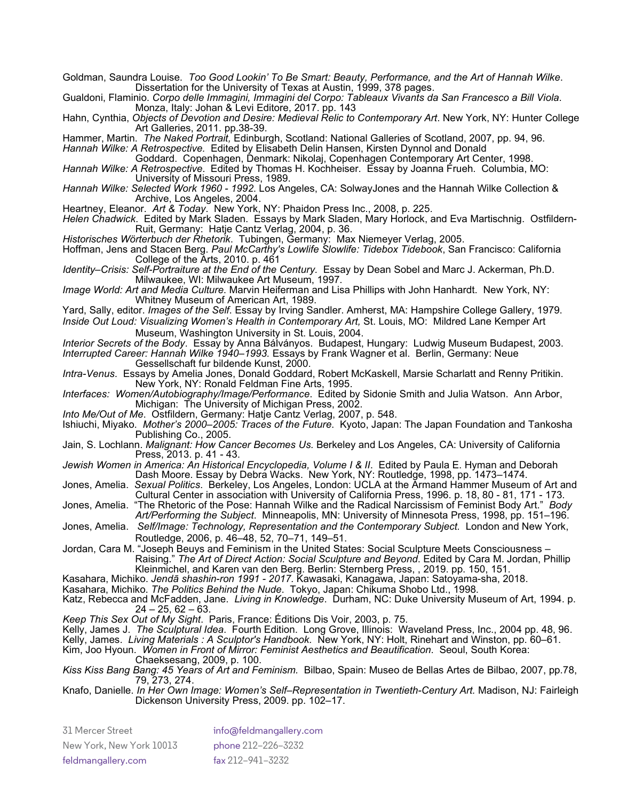Goldman, Saundra Louise. *Too Good Lookin' To Be Smart: Beauty, Performance, and the Art of Hannah Wilke*. Dissertation for the University of Texas at Austin, 1999, 378 pages.

Gualdoni, Flaminio. *Corpo delle Immagini, Immagini del Corpo: Tableaux Vivants da San Francesco a Bill Viola*. Monza, Italy: Johan & Levi Editore, 2017. pp. 143

Hahn, Cynthia, *Objects of Devotion and Desire: Medieval Relic to Contemporary Art*. New York, NY: Hunter College Art Galleries, 2011. pp.38-39.

Hammer, Martin. *The Naked Portrait,* Edinburgh, Scotland: National Galleries of Scotland, 2007, pp. 94, 96. *Hannah Wilke: A Retrospective.* Edited by Elisabeth Delin Hansen, Kirsten Dynnol and Donald

Goddard. Copenhagen, Denmark: Nikolaj, Copenhagen Contemporary Art Center, 1998. *Hannah Wilke: A Retrospective*. Edited by Thomas H. Kochheiser. Essay by Joanna Frueh. Columbia, MO: University of Missouri Press, 1989.

*Hannah Wilke: Selected Work 1960 - 1992*. Los Angeles, CA: SolwayJones and the Hannah Wilke Collection & Archive, Los Angeles, 2004.

Heartney, Eleanor. *Art & Today*. New York, NY: Phaidon Press Inc., 2008, p. 225.

*Helen Chadwick*. Edited by Mark Sladen. Essays by Mark Sladen, Mary Horlock, and Eva Martischnig. Ostfildern-Ruit, Germany: Hatje Cantz Verlag, 2004, p. 36.

*Historisches Wörterbuch der Rhetorik*. Tubingen, Germany: Max Niemeyer Verlag, 2005.

Hoffman, Jens and Stacen Berg. *Paul McCarthy's Lowlife Slowlife: Tidebox Tidebook*, San Francisco: California College of the Arts, 2010. p. 461

*Identity–Crisis: Self-Portraiture at the End of the Century.* Essay by Dean Sobel and Marc J. Ackerman, Ph.D. Milwaukee, WI: Milwaukee Art Museum, 1997.

*Image World: Art and Media Culture*. Marvin Heiferman and Lisa Phillips with John Hanhardt. New York, NY: Whitney Museum of American Art, 1989.

Yard, Sally, editor. *Images of the Self*. Essay by Irving Sandler. Amherst, MA: Hampshire College Gallery, 1979. *Inside Out Loud: Visualizing Women's Health in Contemporary Art,* St. Louis, MO: Mildred Lane Kemper Art

Museum, Washington University in St. Louis, 2004.

*Interior Secrets of the Body*. Essay by Anna Bálványos. Budapest, Hungary: Ludwig Museum Budapest, 2003. *Interrupted Career: Hannah Wilke 1940–1993.* Essays by Frank Wagner et al. Berlin, Germany: Neue Gessellschaft fur bildende Kunst, 2000.

*Intra-Venus*. Essays by Amelia Jones, Donald Goddard, Robert McKaskell, Marsie Scharlatt and Renny Pritikin. New York, NY: Ronald Feldman Fine Arts, 1995.

*Interfaces: Women/Autobiography/Image/Performance*. Edited by Sidonie Smith and Julia Watson. Ann Arbor, Michigan: The University of Michigan Press, 2002.

*Into Me/Out of Me*. Ostfildern, Germany: Hatje Cantz Verlag, 2007, p. 548.

Ishiuchi, Miyako. *Mother's 2000–2005: Traces of the Future*. Kyoto, Japan: The Japan Foundation and Tankosha Publishing Co., 2005.

Jain, S. Lochlann. *Malignant: How Cancer Becomes Us.* Berkeley and Los Angeles, CA: University of California Press, 2013. p. 41 - 43.

*Jewish Women in America: An Historical Encyclopedia, Volume I & II*. Edited by Paula E. Hyman and Deborah Dash Moore. Essay by Debra Wacks. New York, NY: Routledge, 1998, pp. 1473–1474.

Jones, Amelia. *Sexual Politics*. Berkeley, Los Angeles, London: UCLA at the Armand Hammer Museum of Art and Cultural Center in association with University of California Press, 1996. p. 18, 80 - 81, 171 - 173.

Jones, Amelia. "The Rhetoric of the Pose: Hannah Wilke and the Radical Narcissism of Feminist Body Art." *Body Art/Performing the Subject*. Minneapolis, MN: University of Minnesota Press, 1998, pp. 151–196.

Jones, Amelia. *Self/Image: Technology, Representation and the Contemporary Subject.* London and New York, Routledge, 2006, p. 46–48, 52, 70–71, 149–51.

Jordan, Cara M. "Joseph Beuys and Feminism in the United States: Social Sculpture Meets Consciousness – Raising." *The Art of Direct Action: Social Sculpture and Beyond*. Edited by Cara M. Jordan, Phillip Kleinmichel, and Karen van den Berg. Berlin: Sternberg Press, , 2019. pp. 150, 151.

Kasahara, Michiko. *Jendā shashin-ron 1991 - 2017.* Kawasaki, Kanagawa, Japan: Satoyama-sha, 2018.

Kasahara, Michiko. *The Politics Behind the Nude*. Tokyo, Japan: Chikuma Shobo Ltd., 1998.

Katz, Rebecca and McFadden, Jane. *Living in Knowledge*. Durham, NC: Duke University Museum of Art, 1994. p. 24 – 25, 62 – 63.

*Keep This Sex Out of My Sight*. Paris, France: Éditions Dis Voir, 2003, p. 75.

Kelly, James J. *The Sculptural Idea*. Fourth Edition. Long Grove, Illinois: Waveland Press, Inc., 2004 pp. 48, 96.

Kelly, James. *Living Materials : A Sculptor's Handbook.* New York, NY: Holt, Rinehart and Winston, pp. 60–61.

Kim, Joo Hyoun. *Women in Front of Mirror: Feminist Aesthetics and Beautification*. Seoul, South Korea: Chaeksesang, 2009, p. 100.

*Kiss Kiss Bang Bang: 45 Years of Art and Feminism.* Bilbao, Spain: Museo de Bellas Artes de Bilbao, 2007, pp.78, 79, 273, 274.

Knafo, Danielle. *In Her Own Image: Women's Self–Representation in Twentieth-Century Art.* Madison, NJ: Fairleigh Dickenson University Press, 2009. pp. 102–17.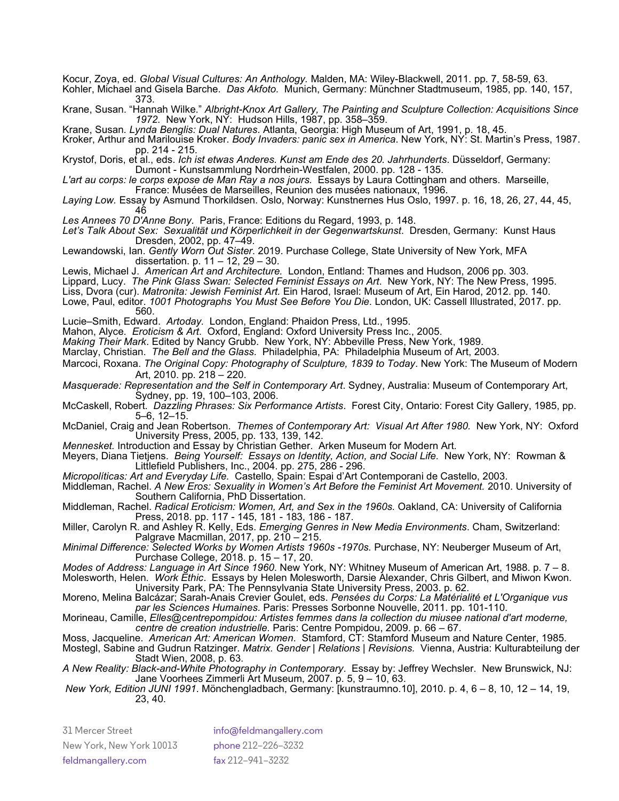Kocur, Zoya, ed. *Global Visual Cultures: An Anthology.* Malden, MA: Wiley-Blackwell, 2011. pp. 7, 58-59, 63.

Kohler, Michael and Gisela Barche. *Das Akfoto*. Munich, Germany: Münchner Stadtmuseum, 1985, pp. 140, 157, 373.

Krane, Susan. "Hannah Wilke." *Albright-Knox Art Gallery, The Painting and Sculpture Collection: Acquisitions Since 1972.* New York, NY: Hudson Hills, 1987, pp. 358–359.

Krane, Susan. *Lynda Benglis: Dual Natures*. Atlanta, Georgia: High Museum of Art, 1991, p. 18, 45.

Kroker, Arthur and Marilouise Kroker. *Body Invaders: panic sex in America*. New York, NY: St. Martin's Press, 1987. pp. 214 - 215.

- Krystof, Doris, et al., eds. *Ich ist etwas Anderes. Kunst am Ende des 20. Jahrhunderts*. Düsseldorf, Germany: Dumont - Kunstsammlung Nordrhein-Westfalen, 2000. pp. 128 - 135.
- *L'art au corps: le corps expose de Man Ray a nos jours.* Essays by Laura Cottingham and others. Marseille, France: Musées de Marseilles, Reunion des musées nationaux, 1996.
- *Laying Low.* Essay by Asmund Thorkildsen. Oslo, Norway: Kunstnernes Hus Oslo, 1997. p. 16, 18, 26, 27, 44, 45, 46
- *Les Annees 70 D'Anne Bony.* Paris, France: Editions du Regard, 1993, p. 148.
- *Let's Talk About Sex: Sexualität und Körperlichkeit in der Gegenwartskunst*. Dresden, Germany: Kunst Haus Dresden, 2002, pp. 47–49.
- Lewandowski, Ian. *Gently Worn Out Sister*. 2019. Purchase College, State University of New York, MFA dissertation. p. 11 – 12, 29 – 30.
- Lewis, Michael J. *American Art and Architecture.* London, Entland: Thames and Hudson, 2006 pp. 303.
- Lippard, Lucy. *The Pink Glass Swan: Selected Feminist Essays on Art*. New York, NY: The New Press, 1995.
- Liss, Dvora (cur). *Matronita: Jewish Feminist Art.* Ein Harod, Israel: Museum of Art, Ein Harod, 2012. pp. 140.
- Lowe, Paul, editor. *1001 Photographs You Must See Before You Die*. London, UK: Cassell Illustrated, 2017. pp. 560.

Lucie–Smith, Edward. *Artoday.* London, England: Phaidon Press, Ltd., 1995.

Mahon, Alyce. *Eroticism & Art*. Oxford, England: Oxford University Press Inc., 2005.

*Making Their Mark*. Edited by Nancy Grubb. New York, NY: Abbeville Press, New York, 1989.

Marclay, Christian. *The Bell and the Glass.* Philadelphia, PA: Philadelphia Museum of Art, 2003.

Marcoci, Roxana. *The Original Copy: Photography of Sculpture, 1839 to Today*. New York: The Museum of Modern Art, 2010. pp. 218 – 220.

*Masquerade: Representation and the Self in Contemporary Art*. Sydney, Australia: Museum of Contemporary Art, Sydney, pp. 19, 100–103, 2006.

McCaskell, Robert. *Dazzling Phrases: Six Performance Artists*. Forest City, Ontario: Forest City Gallery, 1985, pp. 5–6, 12–15.

McDaniel, Craig and Jean Robertson. *Themes of Contemporary Art: Visual Art After 1980.* New York, NY: Oxford University Press, 2005, pp. 133, 139, 142.

*Mennesket.* Introduction and Essay by Christian Gether. Arken Museum for Modern Art.

- Meyers, Diana Tietjens. *Being Yourself: Essays on Identity, Action, and Social Life.* New York, NY: Rowman & Littlefield Publishers, Inc., 2004. pp. 275, 286 - 296.
- *Micropolíticas: Art and Everyday Life.* Castello, Spain: Espai d'Art Contemporani de Castello, 2003.

Middleman, Rachel. *A New Eros: Sexuality in Women's Art Before the Feminist Art Movement.* 2010. University of Southern California, PhD Dissertation.

Middleman, Rachel. *Radical Eroticism: Women, Art, and Sex in the 1960s.* Oakland, CA: University of California Press, 2018. pp. 117 - 145, 181 - 183, 186 - 187.

Miller, Carolyn R. and Ashley R. Kelly, Eds. *Emerging Genres in New Media Environments*. Cham, Switzerland: Palgrave Macmillan, 2017, pp. 210 – 215.

*Minimal Difference: Selected Works by Women Artists 1960s -1970s.* Purchase, NY: Neuberger Museum of Art, Purchase College, 2018. p. 15 – 17, 20.

*Modes of Address: Language in Art Since 1960*. New York, NY: Whitney Museum of American Art, 1988. p. 7 – 8. Molesworth, Helen. *Work Ethic*. Essays by Helen Molesworth, Darsie Alexander, Chris Gilbert, and Miwon Kwon. University Park, PA: The Pennsylvania State University Press, 2003. p. 62.

Moreno, Melina Balcázar; Sarah-Anais Crevier Goulet, eds. *Pensées du Corps: La Matérialité et L'Organique vus par les Sciences Humaines.* Paris: Presses Sorbonne Nouvelle, 2011. pp. 101-110.

Morineau, Camille, *Elles@centrepompidou: Artistes femmes dans la collection du miusee national d'art moderne, centre de creation industrielle.* Paris: Centre Pompidou, 2009. p. 66 – 67.

Moss, Jacqueline. *American Art: American Women*. Stamford, CT: Stamford Museum and Nature Center, 1985.

Mostegl, Sabine and Gudrun Ratzinger. *Matrix. Gender | Relations | Revisions.* Vienna, Austria: Kulturabteilung der Stadt Wien, 2008, p. 63.

*A New Reality: Black-and-White Photography in Contemporary*. Essay by: Jeffrey Wechsler. New Brunswick, NJ: Jane Voorhees Zimmerli Art Museum, 2007. p. 5, 9 – 10, 63.

*New York, Edition JUNI 1991*. Mönchengladbach, Germany: [kunstraumno.10], 2010. p. 4, 6 – 8, 10, 12 – 14, 19, 23, 40.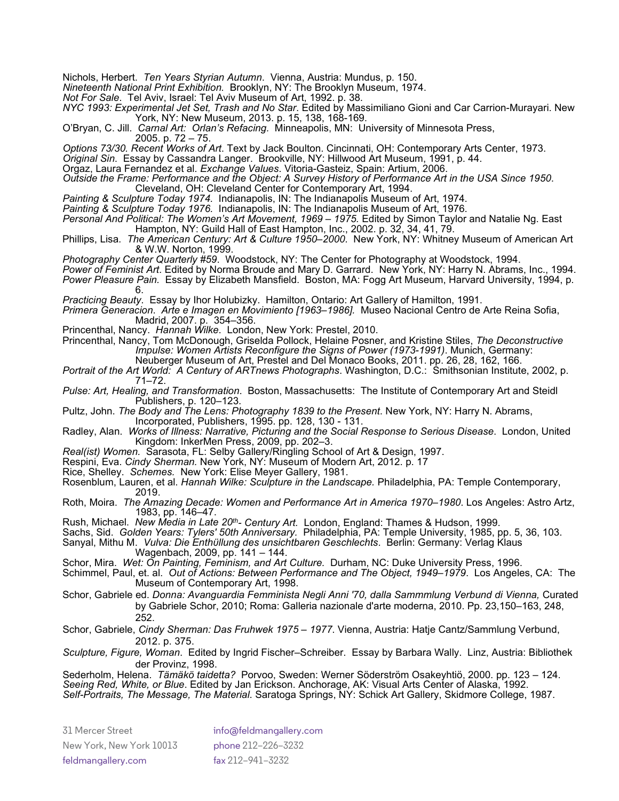Nichols, Herbert. *Ten Years Styrian Autumn*. Vienna, Austria: Mundus, p. 150.

*Nineteenth National Print Exhibition.* Brooklyn, NY: The Brooklyn Museum, 1974.

*Not For Sale*. Tel Aviv, Israel: Tel Aviv Museum of Art, 1992. p. 38.

*NYC 1993: Experimental Jet Set, Trash and No Star*. Edited by Massimiliano Gioni and Car Carrion-Murayari. New York, NY: New Museum, 2013. p. 15, 138, 168-169.

O'Bryan, C. Jill. *Carnal Art: Orlan's Refacing.* Minneapolis, MN: University of Minnesota Press, 2005. p. 72 – 75.

*Options 73/30. Recent Works of Art*. Text by Jack Boulton. Cincinnati, OH: Contemporary Arts Center, 1973.

*Original Sin*. Essay by Cassandra Langer. Brookville, NY: Hillwood Art Museum, 1991, p. 44.

Orgaz, Laura Fernandez et al. *Exchange Values*. Vitoria-Gasteiz, Spain: Artium, 2006.

*Outside the Frame: Performance and the Object: A Survey History of Performance Art in the USA Since 1950*. Cleveland, OH: Cleveland Center for Contemporary Art, 1994.

*Painting & Sculpture Today 1974.* Indianapolis, IN: The Indianapolis Museum of Art, 1974.

*Painting & Sculpture Today 1976.* Indianapolis, IN: The Indianapolis Museum of Art, 1976.

*Personal And Political: The Women's Art Movement, 1969 – 1975.* Edited by Simon Taylor and Natalie Ng. East Hampton, NY: Guild Hall of East Hampton, Inc., 2002. p. 32, 34, 41, 79.

Phillips, Lisa. *The American Century: Art & Culture 1950–2000.* New York, NY: Whitney Museum of American Art & W.W. Norton, 1999.

*Photography Center Quarterly #59*. Woodstock, NY: The Center for Photography at Woodstock, 1994.

*Power of Feminist Art*. Edited by Norma Broude and Mary D. Garrard. New York, NY: Harry N. Abrams, Inc., 1994. *Power Pleasure Pain.* Essay by Elizabeth Mansfield. Boston, MA: Fogg Art Museum, Harvard University, 1994, p.

6. *Practicing Beauty*. Essay by Ihor Holubizky. Hamilton, Ontario: Art Gallery of Hamilton, 1991.

*Primera Generacion*. *Arte e Imagen en Movimiento [1963–1986].* Museo Nacional Centro de Arte Reina Sofia, Madrid, 2007. p. 354–356.

Princenthal, Nancy. *Hannah Wilke*. London, New York: Prestel, 2010.

Princenthal, Nancy, Tom McDonough, Griselda Pollock, Helaine Posner, and Kristine Stiles, *The Deconstructive Impulse: Women Artists Reconfigure the Signs of Power (1973-1991)*. Munich, Germany: Neuberger Museum of Art, Prestel and Del Monaco Books, 2011. pp. 26, 28, 162, 166.

*Portrait of the Art World: A Century of ARTnews Photographs*. Washington, D.C.: Smithsonian Institute, 2002, p. 71–72.

*Pulse: Art, Healing, and Transformation*. Boston, Massachusetts: The Institute of Contemporary Art and Steidl Publishers, p. 120–123.

Pultz, John. *The Body and The Lens: Photography 1839 to the Present*. New York, NY: Harry N. Abrams, Incorporated, Publishers, 1995. pp. 128, 130 - 131.

Radley, Alan. *Works of Illness: Narrative, Picturing and the Social Response to Serious Disease*. London, United Kingdom: InkerMen Press, 2009, pp. 202–3.

*Real(ist) Women.* Sarasota, FL: Selby Gallery/Ringling School of Art & Design, 1997.

Respini, Eva. *Cindy Sherman.* New York, NY: Museum of Modern Art, 2012. p. 17

Rice, Shelley. *Schemes.* New York: Elise Meyer Gallery, 1981.

Rosenblum, Lauren, et al. *Hannah Wilke: Sculpture in the Landscape.* Philadelphia, PA: Temple Contemporary, 2019.

Roth, Moira. *The Amazing Decade: Women and Performance Art in America 1970–1980*. Los Angeles: Astro Artz, 1983, pp. 146–47.

Rush, Michael. *New Media in Late 20th- Century Art.* London, England: Thames & Hudson, 1999.

Sachs, Sid. *Golden Years: Tylers' 50th Anniversary.* Philadelphia, PA: Temple University, 1985, pp. 5, 36, 103.

Sanyal, Mithu M. *Vulva: Die Enthϋllung des unsichtbaren Geschlechts*. Berlin: Germany: Verlag Klaus Wagenbach, 2009, pp. 141 – 144.

Schor, Mira. *Wet: On Painting, Feminism, and Art Culture.* Durham, NC: Duke University Press, 1996.

Schimmel, Paul, et. al. *Out of Actions: Between Performance and The Object, 1949–1979*. Los Angeles, CA: The Museum of Contemporary Art, 1998.

Schor, Gabriele ed. *Donna: Avanguardia Femminista Negli Anni '70, dalla Sammmlung Verbund di Vienna,* Curated by Gabriele Schor, 2010; Roma: Galleria nazionale d'arte moderna, 2010. Pp. 23,150–163, 248,

252.

Schor, Gabriele, *Cindy Sherman: Das Fruhwek 1975 – 1977*. Vienna, Austria: Hatje Cantz/Sammlung Verbund, 2012. p. 375.

*Sculpture, Figure, Woman*. Edited by Ingrid Fischer–Schreiber. Essay by Barbara Wally. Linz, Austria: Bibliothek der Provinz, 1998.

Sederholm, Helena. *Tämäkö taidetta?* Porvoo, Sweden: Werner Söderström Osakeyhtiö, 2000. pp. 123 – 124. *Seeing Red, White, or Blue*. Edited by Jan Erickson. Anchorage, AK: Visual Arts Center of Alaska, 1992. *Self-Portraits, The Message, The Material*. Saratoga Springs, NY: Schick Art Gallery, Skidmore College, 1987.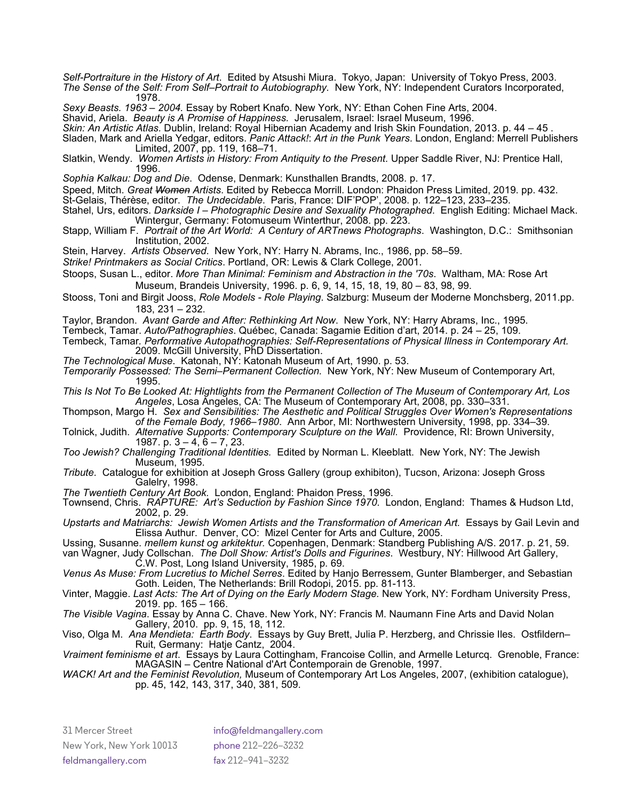*Self-Portraiture in the History of Art*. Edited by Atsushi Miura. Tokyo, Japan: University of Tokyo Press, 2003. *The Sense of the Self: From Self–Portrait to Autobiography.* New York, NY: Independent Curators Incorporated, 1978.

*Sexy Beasts. 1963 – 2004.* Essay by Robert Knafo. New York, NY: Ethan Cohen Fine Arts, 2004.

Shavid, Ariela. *Beauty is A Promise of Happiness.* Jerusalem, Israel: Israel Museum, 1996.

*Skin: An Artistic Atlas.* Dublin, Ireland: Royal Hibernian Academy and Irish Skin Foundation, 2013. p. 44 – 45 .

Sladen, Mark and Ariella Yedgar, editors. *Panic Attack!*: *Art in the Punk Years*. London, England: Merrell Publishers Limited, 2007, pp. 119, 168–71.

Slatkin, Wendy. Women Artists in History: From Antiquity to the Present. Upper Saddle River, NJ: Prentice Hall, 1996.

*Sophia Kalkau: Dog and Die*. Odense, Denmark: Kunsthallen Brandts, 2008. p. 17.

Speed, Mitch. *Great Women Artists*. Edited by Rebecca Morrill. London: Phaidon Press Limited, 2019. pp. 432.

St-Gelais, Thérèse, editor. *The Undecidable*. Paris, France: DIF'POP', 2008. p. 122–123, 233–235.

Stahel, Urs, editors. *Darkside I – Photographic Desire and Sexuality Photographed*. English Editing: Michael Mack. Wintergur, Germany: Fotomuseum Winterthur, 2008. pp. 223.

Stapp, William F. *Portrait of the Art World: A Century of ARTnews Photographs*. Washington, D.C.: Smithsonian Institution, 2002.

Stein, Harvey. *Artists Observed*. New York, NY: Harry N. Abrams, Inc., 1986, pp. 58–59.

*Strike! Printmakers as Social Critics*. Portland, OR: Lewis & Clark College, 2001.

Stoops, Susan L., editor. *More Than Minimal: Feminism and Abstraction in the '70s*. Waltham, MA: Rose Art Museum, Brandeis University, 1996. p. 6, 9, 14, 15, 18, 19, 80 – 83, 98, 99.

Stooss, Toni and Birgit Jooss, *Role Models - Role Playing*. Salzburg: Museum der Moderne Monchsberg, 2011.pp. 183, 231 – 232.

Taylor, Brandon. *Avant Garde and After: Rethinking Art Now*. New York, NY: Harry Abrams, Inc., 1995.

Tembeck, Tamar. *Auto/Pathographies*. Québec, Canada: Sagamie Edition d'art, 2014. p. 24 – 25, 109.

Tembeck, Tamar*. Performative Autopathographies: Self-Representations of Physical Illness in Contemporary Art.*  2009. McGill University, PhD Dissertation.

*The Technological Muse*. Katonah, NY: Katonah Museum of Art, 1990. p. 53.

*Temporarily Possessed: The Semi–Permanent Collection.* New York, NY: New Museum of Contemporary Art, 1995.

*This Is Not To Be Looked At: Hightlights from the Permanent Collection of The Museum of Contemporary Art, Los Angeles*, Losa Angeles, CA: The Museum of Contemporary Art, 2008, pp. 330–331.

Thompson, Margo H. *Sex and Sensibilities: The Aesthetic and Political Struggles Over Women's Representations of the Female Body, 1966–1980*. Ann Arbor, MI: Northwestern University, 1998, pp. 334–39.

Tolnick, Judith. *Alternative Supports: Contemporary Sculpture on the Wall*. Providence, RI: Brown University, 1987. p. 3 – 4, 6 – 7, 23.

*Too Jewish? Challenging Traditional Identities.* Edited by Norman L. Kleeblatt. New York, NY: The Jewish Museum, 1995.

*Tribute.* Catalogue for exhibition at Joseph Gross Gallery (group exhibiton), Tucson, Arizona: Joseph Gross Galelry, 1998.

*The Twentieth Century Art Book.* London, England: Phaidon Press, 1996.

Townsend, Chris. *RAPTURE: Art's Seduction by Fashion Since 1970*. London, England: Thames & Hudson Ltd, 2002, p. 29.

*Upstarts and Matriarchs: Jewish Women Artists and the Transformation of American Art.* Essays by Gail Levin and Elissa Authur. Denver, CO: Mizel Center for Arts and Culture, 2005.

Ussing, Susanne. *mellem kunst og arkitektur.* Copenhagen, Denmark: Standberg Publishing A/S. 2017. p. 21, 59. van Wagner, Judy Collschan. *The Doll Show: Artist's Dolls and Figurines*. Westbury, NY: Hillwood Art Gallery, C.W. Post, Long Island University, 1985, p. 69.

*Venus As Muse: From Lucretius to Michel Serres*. Edited by Hanjo Berressem, Gunter Blamberger, and Sebastian Goth. Leiden, The Netherlands: Brill Rodopi, 2015. pp. 81-113.

Vinter, Maggie. *Last Acts: The Art of Dying on the Early Modern Stage.* New York, NY: Fordham University Press, 2019. pp. 165 – 166.

*The Visible Vagina*. Essay by Anna C. Chave. New York, NY: Francis M. Naumann Fine Arts and David Nolan Gallery, 2010. pp. 9, 15, 18, 112.

Viso, Olga M. *Ana Mendieta: Earth Body*. Essays by Guy Brett, Julia P. Herzberg, and Chrissie Iles. Ostfildern– Ruit, Germany: Hatje Cantz, 2004.

*Vraiment feminisme et art*. Essays by Laura Cottingham, Francoise Collin, and Armelle Leturcq. Grenoble, France: MAGASIN – Centre National d'Art Contemporain de Grenoble, 1997.

*WACK! Art and the Feminist Revolution,* Museum of Contemporary Art Los Angeles, 2007, (exhibition catalogue), pp. 45, 142, 143, 317, 340, 381, 509.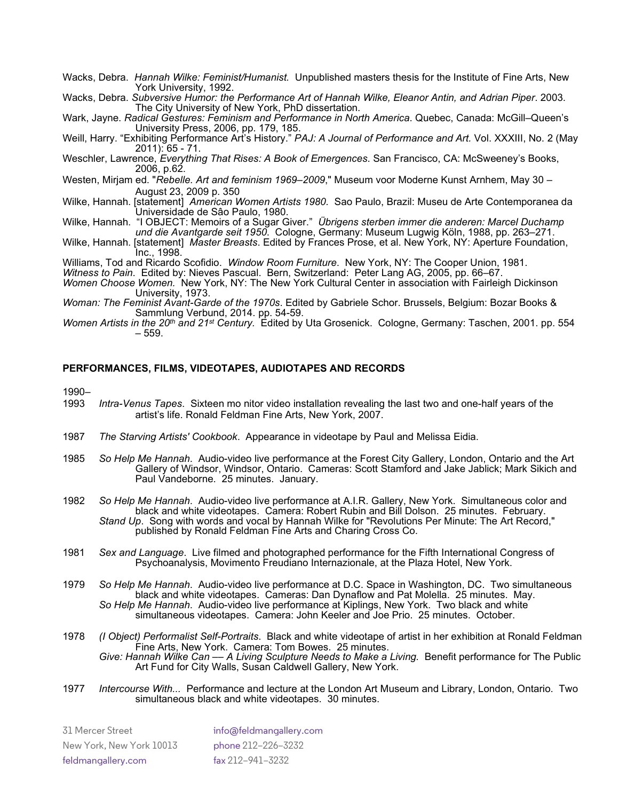Wacks, Debra. *Hannah Wilke: Feminist/Humanist.* Unpublished masters thesis for the Institute of Fine Arts, New York University, 1992.

Wacks, Debra. *Subversive Humor: the Performance Art of Hannah Wilke, Eleanor Antin, and Adrian Piper*. 2003. The City University of New York, PhD dissertation.

Wark, Jayne. *Radical Gestures: Feminism and Performance in North America*. Quebec, Canada: McGill–Queen's University Press, 2006, pp. 179, 185.

- Weill, Harry. "Exhibiting Performance Art's History." *PAJ: A Journal of Performance and Art.* Vol. XXXIII, No. 2 (May 2011): 65 - 71.
- Weschler, Lawrence, *Everything That Rises: A Book of Emergences*. San Francisco, CA: McSweeney's Books, 2006, p.62.
- Westen, Mirjam ed. "*Rebelle. Art and feminism 1969–2009*," Museum voor Moderne Kunst Arnhem, May 30 August 23, 2009 p. 350
- Wilke, Hannah. [statement] *American Women Artists 1980.* Sao Paulo, Brazil: Museu de Arte Contemporanea da Universidade de Sâo Paulo, 1980.
- Wilke, Hannah. "I OBJECT: Memoirs of a Sugar Giver." *Übrigens sterben immer die anderen: Marcel Duchamp und die Avantgarde seit 1950*. Cologne, Germany: Museum Lugwig Köln, 1988, pp. 263–271.
- Wilke, Hannah. [statement] *Master Breasts*. Edited by Frances Prose, et al. New York, NY: Aperture Foundation, Inc., 1998.

Williams, Tod and Ricardo Scofidio. *Window Room Furniture*. New York, NY: The Cooper Union, 1981.

*Witness to Pain*. Edited by: Nieves Pascual. Bern, Switzerland: Peter Lang AG, 2005, pp. 66–67.

*Women Choose Women.* New York, NY: The New York Cultural Center in association with Fairleigh Dickinson University, 1973.

*Woman: The Feminist Avant-Garde of the 1970s*. Edited by Gabriele Schor. Brussels, Belgium: Bozar Books & Sammlung Verbund, 2014. pp. 54-59.

*Women Artists in the 20th and 21st Century.* Edited by Uta Grosenick. Cologne, Germany: Taschen, 2001. pp. 554 – 559.

#### **PERFORMANCES, FILMS, VIDEOTAPES, AUDIOTAPES AND RECORDS**

1990–

- 1993 *Intra-Venus Tapes*. Sixteen mo nitor video installation revealing the last two and one-half years of the artist's life. Ronald Feldman Fine Arts, New York, 2007.
- 1987 *The Starving Artists' Cookbook*. Appearance in videotape by Paul and Melissa Eidia.
- 1985 *So Help Me Hannah*. Audio-video live performance at the Forest City Gallery, London, Ontario and the Art Gallery of Windsor, Windsor, Ontario. Cameras: Scott Stamford and Jake Jablick; Mark Sikich and Paul Vandeborne. 25 minutes. January.
- 1982 *So Help Me Hannah*. Audio-video live performance at A.I.R. Gallery, New York. Simultaneous color and black and white videotapes. Camera: Robert Rubin and Bill Dolson. 25 minutes. February. *Stand Up*. Song with words and vocal by Hannah Wilke for "Revolutions Per Minute: The Art Record," published by Ronald Feldman Fine Arts and Charing Cross Co.
- 1981 *Sex and Language*. Live filmed and photographed performance for the Fifth International Congress of Psychoanalysis, Movimento Freudiano Internazionale, at the Plaza Hotel, New York.
- 1979 *So Help Me Hannah*. Audio-video live performance at D.C. Space in Washington, DC. Two simultaneous black and white videotapes. Cameras: Dan Dynaflow and Pat Molella. 25 minutes. May. *So Help Me Hannah*. Audio-video live performance at Kiplings, New York. Two black and white simultaneous videotapes. Camera: John Keeler and Joe Prio. 25 minutes. October.
- 1978 *(I Object) Performalist Self-Portraits*. Black and white videotape of artist in her exhibition at Ronald Feldman Fine Arts, New York. Camera: Tom Bowes. 25 minutes. *Give: Hannah Wilke Can –– A Living Sculpture Needs to Make a Living.* Benefit performance for The Public Art Fund for City Walls, Susan Caldwell Gallery, New York.
- 1977 *Intercourse With...* Performance and lecture at the London Art Museum and Library, London, Ontario. Two simultaneous black and white videotapes. 30 minutes.

| 31 Mercer Street         | info@feldmangallery.com        |
|--------------------------|--------------------------------|
| New York, New York 10013 | phone 212-226-3232             |
| feldmangallery.com       | $\frac{1}{2}$ fax 212-941-3232 |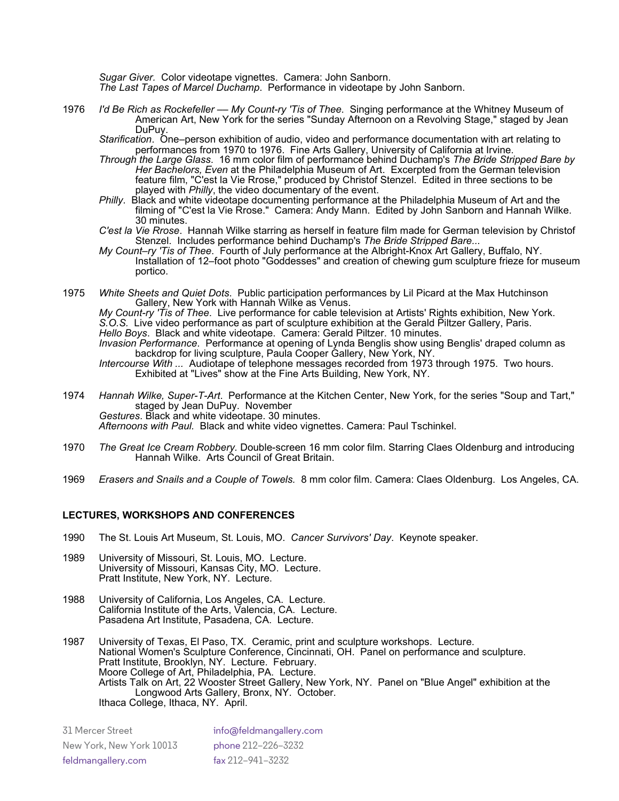*Sugar Giver.* Color videotape vignettes. Camera: John Sanborn. *The Last Tapes of Marcel Duchamp*. Performance in videotape by John Sanborn.

- 1976 *I'd Be Rich as Rockefeller –– My Count-ry 'Tis of Thee*. Singing performance at the Whitney Museum of American Art, New York for the series "Sunday Afternoon on a Revolving Stage," staged by Jean DuPuy.
	- *Starification*. One–person exhibition of audio, video and performance documentation with art relating to performances from 1970 to 1976. Fine Arts Gallery, University of California at Irvine.
	- *Through the Large Glass*. 16 mm color film of performance behind Duchamp's *The Bride Stripped Bare by Her Bachelors, Even* at the Philadelphia Museum of Art. Excerpted from the German television feature film, "C'est la Vie Rrose," produced by Christof Stenzel. Edited in three sections to be played with *Philly*, the video documentary of the event.
	- *Philly*. Black and white videotape documenting performance at the Philadelphia Museum of Art and the filming of "C'est la Vie Rrose." Camera: Andy Mann. Edited by John Sanborn and Hannah Wilke. 30 minutes.
	- *C'est la Vie Rrose*. Hannah Wilke starring as herself in feature film made for German television by Christof Stenzel. Includes performance behind Duchamp's *The Bride Stripped Bare...*
	- *My Count–ry 'Tis of Thee*. Fourth of July performance at the Albright-Knox Art Gallery, Buffalo, NY. Installation of 12–foot photo "Goddesses" and creation of chewing gum sculpture frieze for museum portico.
- 1975 *White Sheets and Quiet Dots*. Public participation performances by Lil Picard at the Max Hutchinson Gallery, New York with Hannah Wilke as Venus.

*My Count-ry 'Tis of Thee*. Live performance for cable television at Artists' Rights exhibition, New York. *S.O.S.* Live video performance as part of sculpture exhibition at the Gerald Piltzer Gallery, Paris. *Hello Boys*. Black and white videotape. Camera: Gerald Piltzer. 10 minutes.

*Invasion Performance*. Performance at opening of Lynda Benglis show using Benglis' draped column as backdrop for living sculpture, Paula Cooper Gallery, New York, NY.

*Intercourse With ...* Audiotape of telephone messages recorded from 1973 through 1975. Two hours. Exhibited at "Lives" show at the Fine Arts Building, New York, NY.

- 1974 *Hannah Wilke, Super-T-Art*. Performance at the Kitchen Center, New York, for the series "Soup and Tart," staged by Jean DuPuy. November *Gestures*. Black and white videotape. 30 minutes. *Afternoons with Paul.* Black and white video vignettes. Camera: Paul Tschinkel.
- 1970 *The Great Ice Cream Robbery.* Double-screen 16 mm color film. Starring Claes Oldenburg and introducing Hannah Wilke. Arts Council of Great Britain.
- 1969 *Erasers and Snails and a Couple of Towels.* 8 mm color film. Camera: Claes Oldenburg. Los Angeles, CA.

# **LECTURES, WORKSHOPS AND CONFERENCES**

- 1990 The St. Louis Art Museum, St. Louis, MO. *Cancer Survivors' Day*. Keynote speaker.
- 1989 University of Missouri, St. Louis, MO. Lecture. University of Missouri, Kansas City, MO. Lecture. Pratt Institute, New York, NY. Lecture.
- 1988 University of California, Los Angeles, CA. Lecture. California Institute of the Arts, Valencia, CA. Lecture. Pasadena Art Institute, Pasadena, CA. Lecture.
- 1987 University of Texas, El Paso, TX. Ceramic, print and sculpture workshops. Lecture. National Women's Sculpture Conference, Cincinnati, OH. Panel on performance and sculpture. Pratt Institute, Brooklyn, NY. Lecture. February. Moore College of Art, Philadelphia, PA. Lecture. Artists Talk on Art, 22 Wooster Street Gallery, New York, NY. Panel on "Blue Angel" exhibition at the Longwood Arts Gallery, Bronx, NY. October. Ithaca College, Ithaca, NY. April.

| 31 Mercer Street         | info@feldmangallery.com        |
|--------------------------|--------------------------------|
| New York, New York 10013 | phone 212-226-3232             |
| feldmangallery.com       | $\frac{1}{2}$ fax 212-941-3232 |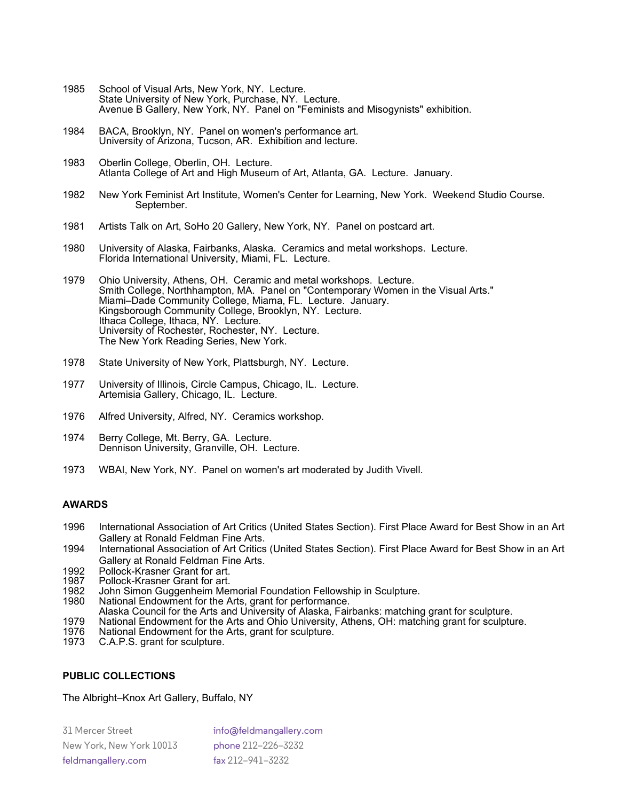- 1985 School of Visual Arts, New York, NY. Lecture. State University of New York, Purchase, NY. Lecture. Avenue B Gallery, New York, NY. Panel on "Feminists and Misogynists" exhibition.
- 1984 BACA, Brooklyn, NY. Panel on women's performance art. University of Arizona, Tucson, AR. Exhibition and lecture.
- 1983 Oberlin College, Oberlin, OH. Lecture. Atlanta College of Art and High Museum of Art, Atlanta, GA. Lecture. January.
- 1982 New York Feminist Art Institute, Women's Center for Learning, New York. Weekend Studio Course. September.
- 1981 Artists Talk on Art, SoHo 20 Gallery, New York, NY. Panel on postcard art.
- 1980 University of Alaska, Fairbanks, Alaska. Ceramics and metal workshops. Lecture. Florida International University, Miami, FL. Lecture.
- 1979 Ohio University, Athens, OH. Ceramic and metal workshops. Lecture. Smith College, Northhampton, MA. Panel on "Contemporary Women in the Visual Arts." Miami–Dade Community College, Miama, FL. Lecture. January. Kingsborough Community College, Brooklyn, NY. Lecture. Ithaca College, Ithaca, NY. Lecture. University of Rochester, Rochester, NY. Lecture. The New York Reading Series, New York.
- 1978 State University of New York, Plattsburgh, NY. Lecture.
- 1977 University of Illinois, Circle Campus, Chicago, IL. Lecture. Artemisia Gallery, Chicago, IL. Lecture.
- 1976 Alfred University, Alfred, NY. Ceramics workshop.
- 1974 Berry College, Mt. Berry, GA. Lecture. Dennison University, Granville, OH. Lecture.
- 1973 WBAI, New York, NY. Panel on women's art moderated by Judith Vivell.

# **AWARDS**

- 1996 International Association of Art Critics (United States Section). First Place Award for Best Show in an Art Gallery at Ronald Feldman Fine Arts.
- 1994 International Association of Art Critics (United States Section). First Place Award for Best Show in an Art Gallery at Ronald Feldman Fine Arts.
- 1992 Pollock-Krasner Grant for art.
- 1987 Pollock-Krasner Grant for art.<br>1982 John Simon Guggenheim Mer
- 1982 John Simon Guggenheim Memorial Foundation Fellowship in Sculpture.<br>1980 National Endowment for the Arts, grant for performance.
- National Endowment for the Arts, grant for performance.
- Alaska Council for the Arts and University of Alaska, Fairbanks: matching grant for sculpture.
- 1979 National Endowment for the Arts and Ohio University, Athens, OH: matching grant for sculpture.<br>1976 National Endowment for the Arts, grant for sculpture.
- 1976 National Endowment for the Arts, grant for sculpture.<br>1973 C.A.P.S. grant for sculpture.
- C.A.P.S. grant for sculpture.

# **PUBLIC COLLECTIONS**

The Albright–Knox Art Gallery, Buffalo, NY